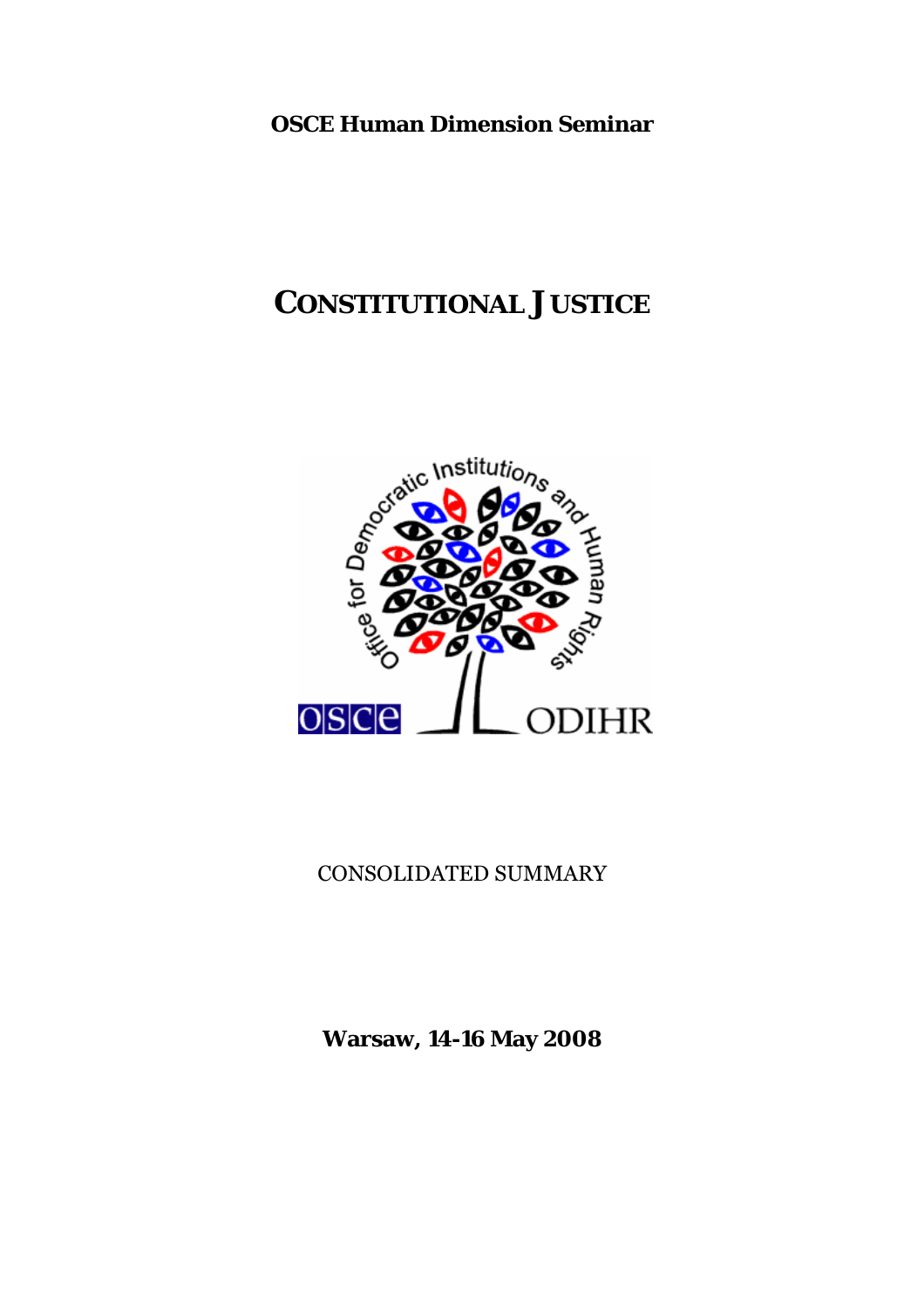**OSCE Human Dimension Seminar** 

# **CONSTITUTIONAL JUSTICE**



# CONSOLIDATED SUMMARY

**Warsaw, 14-16 May 2008**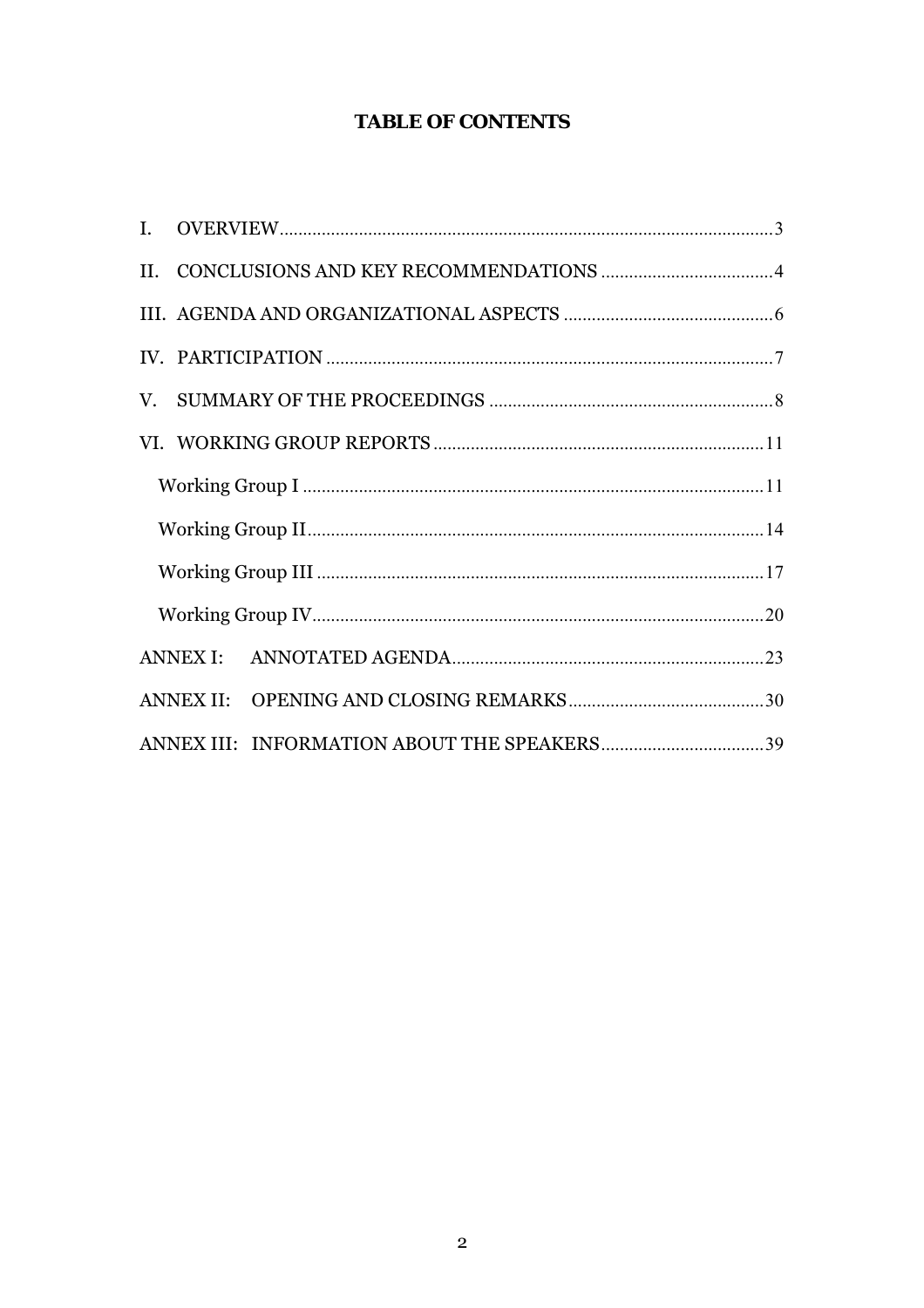# **TABLE OF CONTENTS**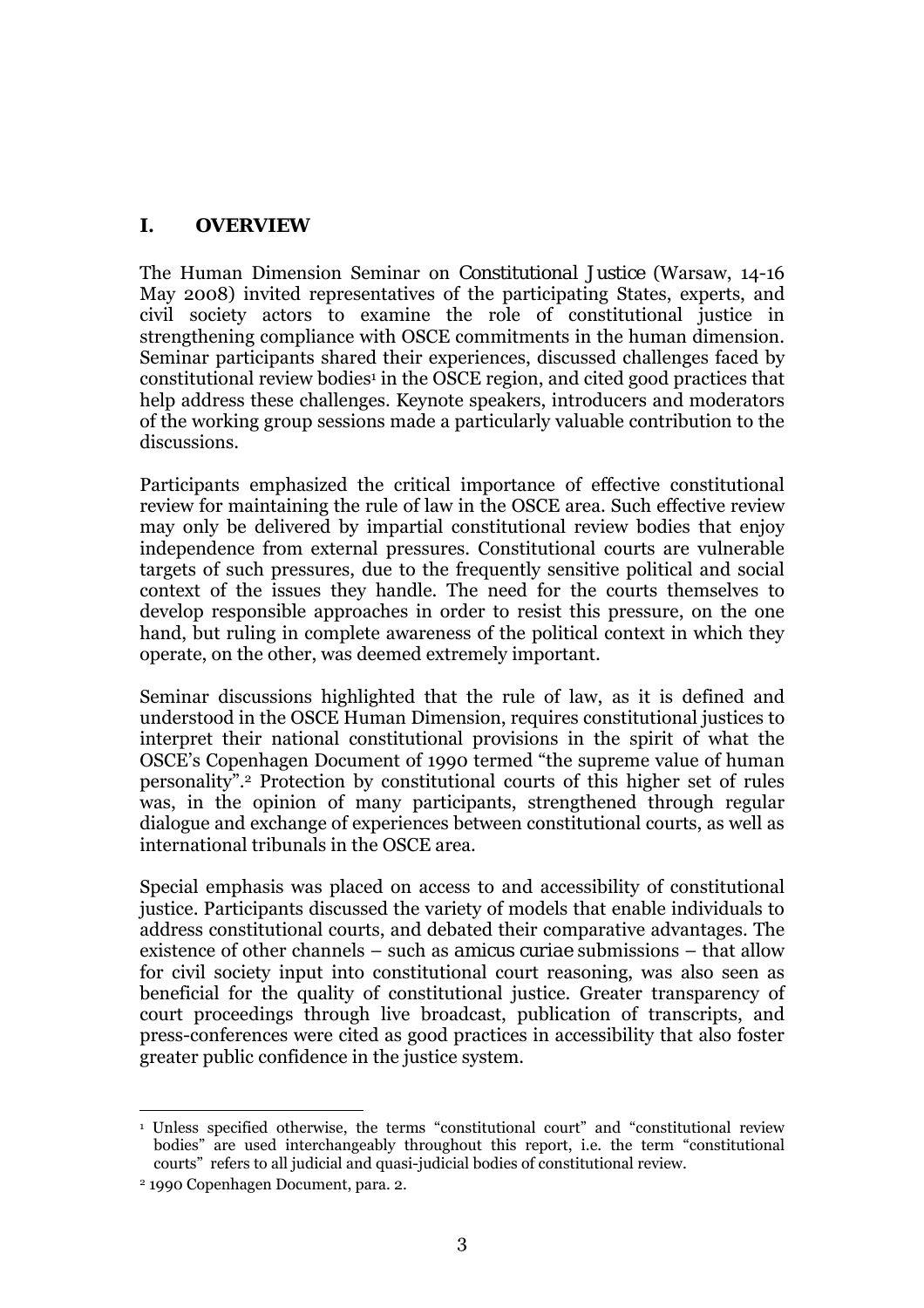# <span id="page-2-0"></span>**I. OVERVIEW**

The Human Dimension Seminar on *Constitutional Justice* (Warsaw, 14-16 May 2008) invited representatives of the participating States, experts, and civil society actors to examine the role of constitutional justice in strengthening compliance with OSCE commitments in the human dimension. Seminar participants shared their experiences, discussed challenges faced by constitutional review bodies<sup>1</sup> in the OSCE region, and cited good practices that help address these challenges. Keynote speakers, introducers and moderators of the working group sessions made a particularly valuable contribution to the discussions.

Participants emphasized the critical importance of effective constitutional review for maintaining the rule of law in the OSCE area. Such effective review may only be delivered by impartial constitutional review bodies that enjoy independence from external pressures. Constitutional courts are vulnerable targets of such pressures, due to the frequently sensitive political and social context of the issues they handle. The need for the courts themselves to develop responsible approaches in order to resist this pressure, on the one hand, but ruling in complete awareness of the political context in which they operate, on the other, was deemed extremely important.

Seminar discussions highlighted that the rule of law, as it is defined and understood in the OSCE Human Dimension, requires constitutional justices to interpret their national constitutional provisions in the spirit of what the OSCE's Copenhagen Document of 1990 termed "the supreme value of human personalityî.[2](#page-2-2) Protection by constitutional courts of this higher set of rules was, in the opinion of many participants, strengthened through regular dialogue and exchange of experiences between constitutional courts, as well as international tribunals in the OSCE area.

Special emphasis was placed on access to and accessibility of constitutional justice. Participants discussed the variety of models that enable individuals to address constitutional courts, and debated their comparative advantages. The existence of other channels – such as *amicus curiae* submissions – that allow for civil society input into constitutional court reasoning, was also seen as beneficial for the quality of constitutional justice. Greater transparency of court proceedings through live broadcast, publication of transcripts, and press-conferences were cited as good practices in accessibility that also foster greater public confidence in the justice system.

<span id="page-2-1"></span> $\overline{a}$  $1$  Unless specified otherwise, the terms "constitutional court" and "constitutional review bodies" are used interchangeably throughout this report, i.e. the term "constitutional courts" refers to all judicial and quasi-judicial bodies of constitutional review.

<span id="page-2-2"></span><sup>2 1990</sup> Copenhagen Document, para. 2.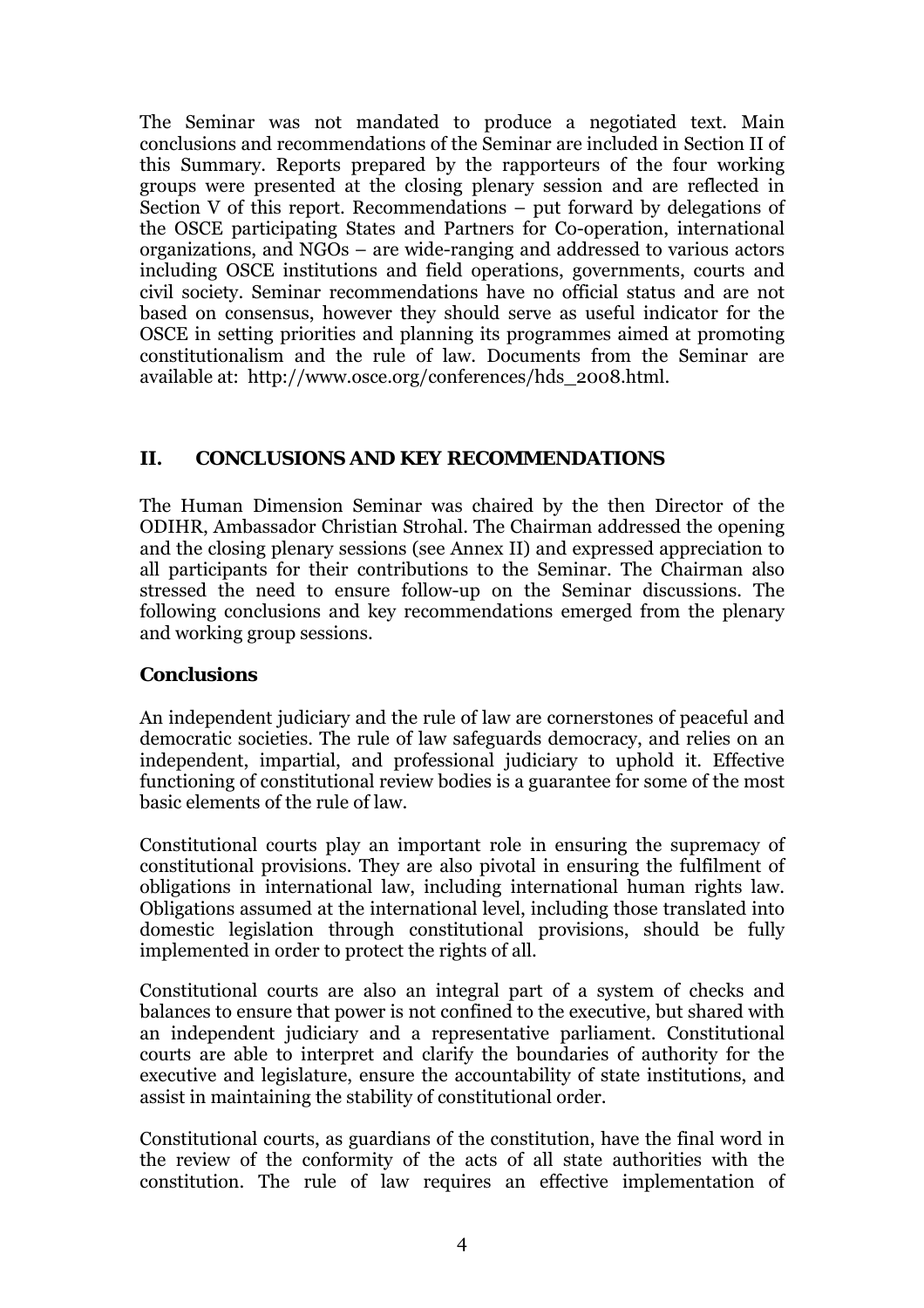<span id="page-3-0"></span>The Seminar was not mandated to produce a negotiated text. Main conclusions and recommendations of the Seminar are included in Section II of this Summary. Reports prepared by the rapporteurs of the four working groups were presented at the closing plenary session and are reflected in Section V of this report. Recommendations  $-$  put forward by delegations of the OSCE participating States and Partners for Co-operation, international organizations, and  $NGOs$  – are wide-ranging and addressed to various actors including OSCE institutions and field operations, governments, courts and civil society. Seminar recommendations have no official status and are not based on consensus, however they should serve as useful indicator for the OSCE in setting priorities and planning its programmes aimed at promoting constitutionalism and the rule of law. Documents from the Seminar are available at: [http://www.osce.org/conferences/hds\\_2008.html](http://www.osce.org/conferences/hds_2008.html).

# **II. CONCLUSIONS AND KEY RECOMMENDATIONS**

The Human Dimension Seminar was chaired by the then Director of the ODIHR, Ambassador Christian Strohal. The Chairman addressed the opening and the closing plenary sessions (see Annex II) and expressed appreciation to all participants for their contributions to the Seminar. The Chairman also stressed the need to ensure follow-up on the Seminar discussions. The following conclusions and key recommendations emerged from the plenary and working group sessions.

### **Conclusions**

An independent judiciary and the rule of law are cornerstones of peaceful and democratic societies. The rule of law safeguards democracy, and relies on an independent, impartial, and professional judiciary to uphold it. Effective functioning of constitutional review bodies is a guarantee for some of the most basic elements of the rule of law.

Constitutional courts play an important role in ensuring the supremacy of constitutional provisions. They are also pivotal in ensuring the fulfilment of obligations in international law, including international human rights law. Obligations assumed at the international level, including those translated into domestic legislation through constitutional provisions, should be fully implemented in order to protect the rights of all.

Constitutional courts are also an integral part of a system of checks and balances to ensure that power is not confined to the executive, but shared with an independent judiciary and a representative parliament. Constitutional courts are able to interpret and clarify the boundaries of authority for the executive and legislature, ensure the accountability of state institutions, and assist in maintaining the stability of constitutional order.

Constitutional courts, as guardians of the constitution, have the final word in the review of the conformity of the acts of all state authorities with the constitution. The rule of law requires an effective implementation of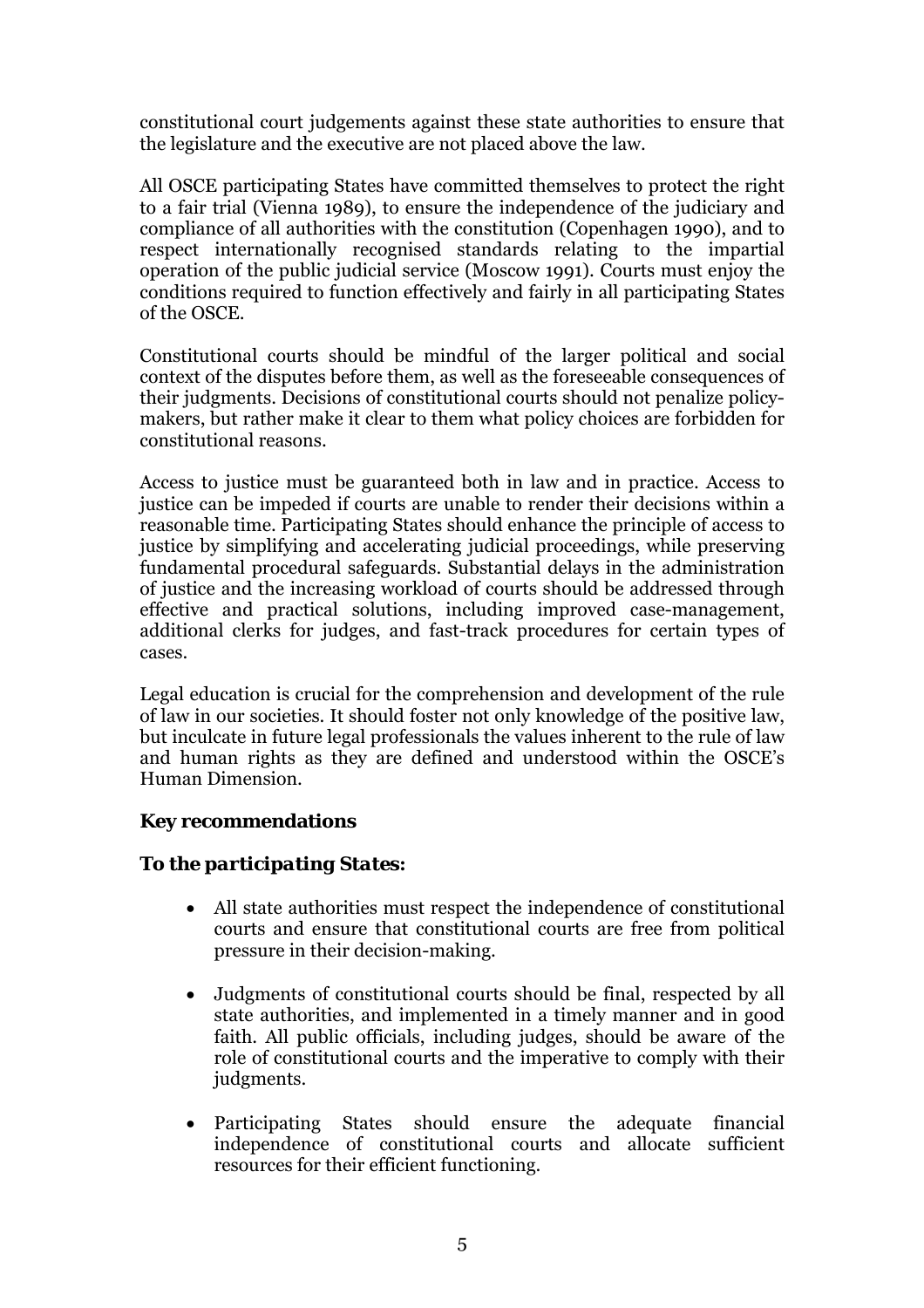constitutional court judgements against these state authorities to ensure that the legislature and the executive are not placed above the law.

All OSCE participating States have committed themselves to protect the right to a fair trial (Vienna 1989), to ensure the independence of the judiciary and compliance of all authorities with the constitution (Copenhagen 1990), and to respect internationally recognised standards relating to the impartial operation of the public judicial service (Moscow 1991). Courts must enjoy the conditions required to function effectively and fairly in all participating States of the OSCE.

Constitutional courts should be mindful of the larger political and social context of the disputes before them, as well as the foreseeable consequences of their judgments. Decisions of constitutional courts should not penalize policymakers, but rather make it clear to them what policy choices are forbidden for constitutional reasons.

Access to justice must be guaranteed both in law and in practice. Access to justice can be impeded if courts are unable to render their decisions within a reasonable time. Participating States should enhance the principle of access to justice by simplifying and accelerating judicial proceedings, while preserving fundamental procedural safeguards. Substantial delays in the administration of justice and the increasing workload of courts should be addressed through effective and practical solutions, including improved case-management, additional clerks for judges, and fast-track procedures for certain types of cases.

Legal education is crucial for the comprehension and development of the rule of law in our societies. It should foster not only knowledge of the positive law, but inculcate in future legal professionals the values inherent to the rule of law and human rights as they are defined and understood within the OSCE's Human Dimension.

# **Key recommendations**

# *To the participating States:*

- All state authorities must respect the independence of constitutional courts and ensure that constitutional courts are free from political pressure in their decision-making.
- Judgments of constitutional courts should be final, respected by all state authorities, and implemented in a timely manner and in good faith. All public officials, including judges, should be aware of the role of constitutional courts and the imperative to comply with their judgments.
- Participating States should ensure the adequate financial independence of constitutional courts and allocate sufficient resources for their efficient functioning.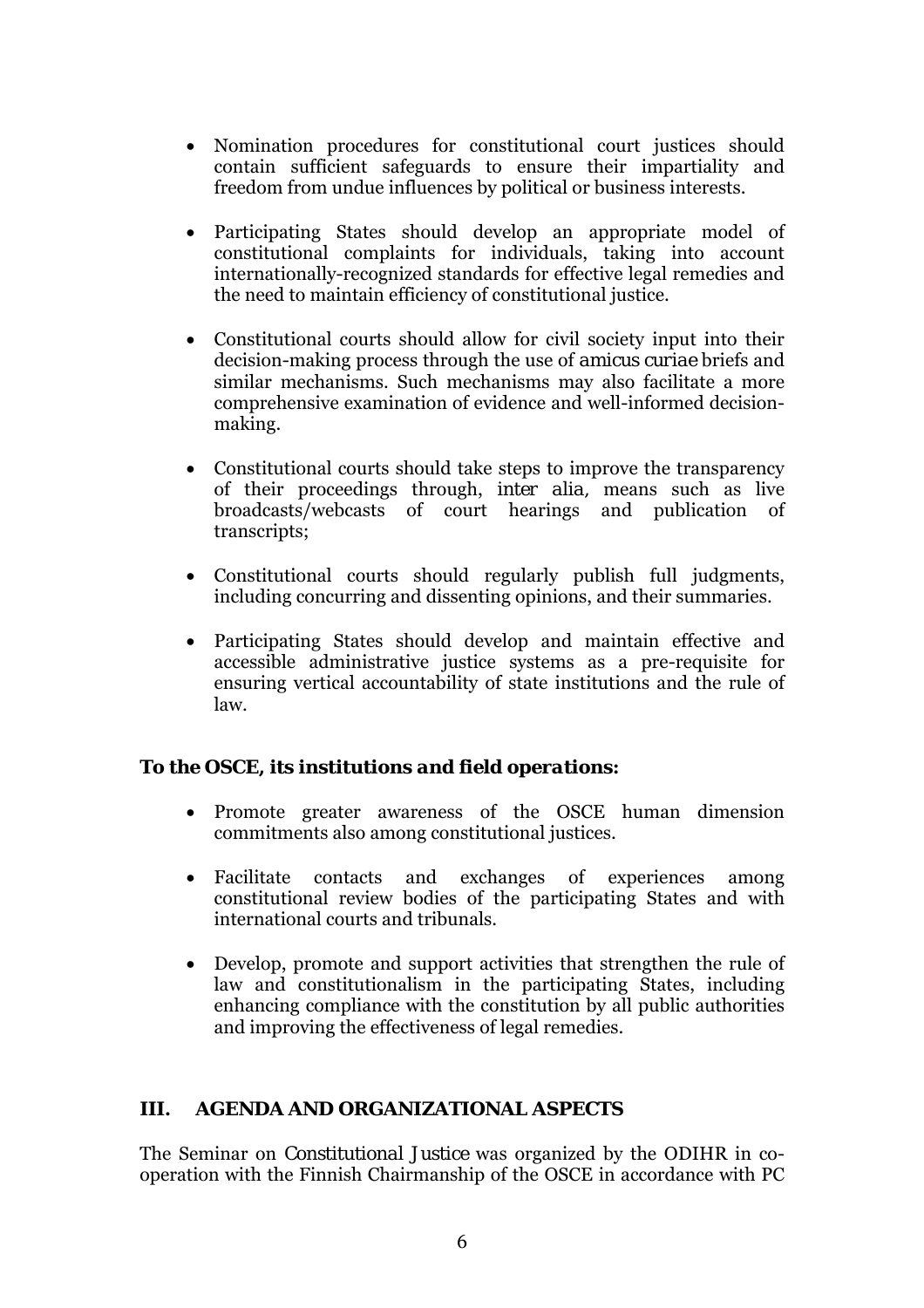- <span id="page-5-0"></span>• Nomination procedures for constitutional court justices should contain sufficient safeguards to ensure their impartiality and freedom from undue influences by political or business interests.
- Participating States should develop an appropriate model of constitutional complaints for individuals, taking into account internationally-recognized standards for effective legal remedies and the need to maintain efficiency of constitutional justice.
- Constitutional courts should allow for civil society input into their decision-making process through the use of *amicus curiae* briefs and similar mechanisms. Such mechanisms may also facilitate a more comprehensive examination of evidence and well-informed decisionmaking.
- Constitutional courts should take steps to improve the transparency of their proceedings through, *inter alia,* means such as live broadcasts/webcasts of court hearings and publication of transcripts;
- Constitutional courts should regularly publish full judgments, including concurring and dissenting opinions, and their summaries.
- Participating States should develop and maintain effective and accessible administrative justice systems as a pre-requisite for ensuring vertical accountability of state institutions and the rule of law.

# *To the OSCE, its institutions and field operations:*

- Promote greater awareness of the OSCE human dimension commitments also among constitutional justices.
- Facilitate contacts and exchanges of experiences among constitutional review bodies of the participating States and with international courts and tribunals.
- Develop, promote and support activities that strengthen the rule of law and constitutionalism in the participating States, including enhancing compliance with the constitution by all public authorities and improving the effectiveness of legal remedies.

### **III. AGENDA AND ORGANIZATIONAL ASPECTS**

The Seminar on *Constitutional Justice* was organized by the ODIHR in cooperation with the Finnish Chairmanship of the OSCE in accordance with PC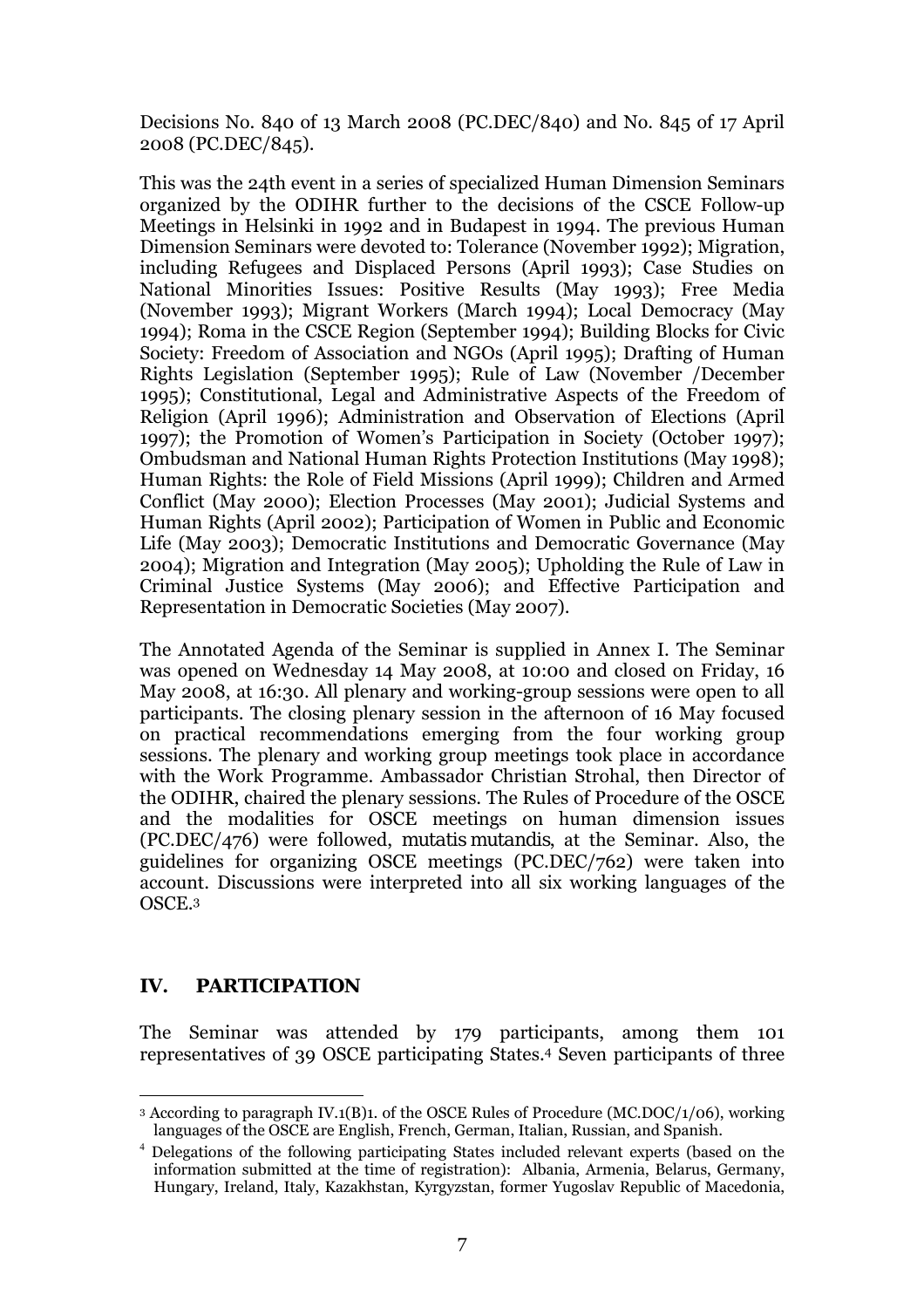<span id="page-6-0"></span>Decisions No. 840 of 13 March 2008 (PC.DEC/840) and No. 845 of 17 April 2008 (PC.DEC/845).

This was the 24th event in a series of specialized Human Dimension Seminars organized by the ODIHR further to the decisions of the CSCE Follow-up Meetings in Helsinki in 1992 and in Budapest in 1994. The previous Human Dimension Seminars were devoted to: Tolerance (November 1992); Migration, including Refugees and Displaced Persons (April 1993); Case Studies on National Minorities Issues: Positive Results (May 1993); Free Media (November 1993); Migrant Workers (March 1994); Local Democracy (May 1994); Roma in the CSCE Region (September 1994); Building Blocks for Civic Society: Freedom of Association and NGOs (April 1995); Drafting of Human Rights Legislation (September 1995); Rule of Law (November /December 1995); Constitutional, Legal and Administrative Aspects of the Freedom of Religion (April 1996); Administration and Observation of Elections (April 1997); the Promotion of Womenís Participation in Society (October 1997); Ombudsman and National Human Rights Protection Institutions (May 1998); Human Rights: the Role of Field Missions (April 1999); Children and Armed Conflict (May 2000); Election Processes (May 2001); Judicial Systems and Human Rights (April 2002); Participation of Women in Public and Economic Life (May 2003); Democratic Institutions and Democratic Governance (May 2004); Migration and Integration (May 2005); Upholding the Rule of Law in Criminal Justice Systems (May 2006); and Effective Participation and Representation in Democratic Societies (May 2007).

The Annotated Agenda of the Seminar is supplied in Annex I. The Seminar was opened on Wednesday 14 May 2008, at 10:00 and closed on Friday, 16 May 2008, at 16:30. All plenary and working-group sessions were open to all participants. The closing plenary session in the afternoon of 16 May focused on practical recommendations emerging from the four working group sessions. The plenary and working group meetings took place in accordance with the Work Programme. Ambassador Christian Strohal, then Director of the ODIHR, chaired the plenary sessions. The Rules of Procedure of the OSCE and the modalities for OSCE meetings on human dimension issues (PC.DEC/476) were followed, *mutatis mutandis*, at the Seminar. Also, the guidelines for organizing OSCE meetings (PC.DEC/762) were taken into account. Discussions were interpreted into all six working languages of the OSCE.[3](#page-6-1) 

# **IV. PARTICIPATION**

The Seminar was attended by 179 participants, among them 101 representatives of 39 OSCE participating States.[4](#page-6-2) Seven participants of three

<span id="page-6-1"></span> $\overline{a}$ 3 According to paragraph IV.1(B)1. of the OSCE Rules of Procedure (MC.DOC/1/06), working languages of the OSCE are English, French, German, Italian, Russian, and Spanish.

<span id="page-6-2"></span><sup>4</sup> Delegations of the following participating States included relevant experts (based on the information submitted at the time of registration): Albania, Armenia, Belarus, Germany, Hungary, Ireland, Italy, Kazakhstan, Kyrgyzstan, former Yugoslav Republic of Macedonia,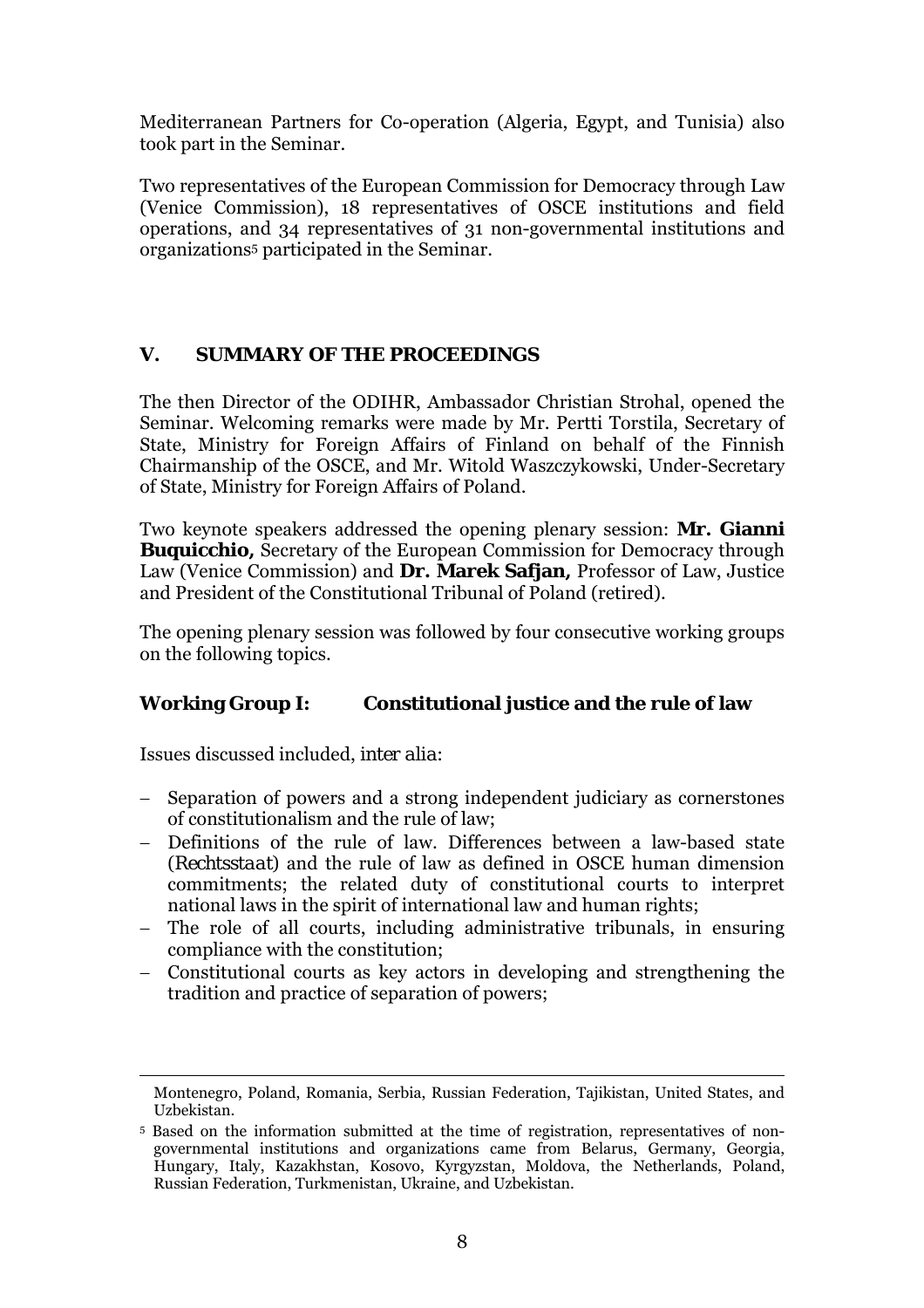<span id="page-7-0"></span>Mediterranean Partners for Co-operation (Algeria, Egypt, and Tunisia) also took part in the Seminar.

Two representatives of the European Commission for Democracy through Law (Venice Commission), 18 representatives of OSCE institutions and field operations, and 34 representatives of 31 non-governmental institutions and organizations[5 p](#page-7-1)articipated in the Seminar.

# **V. SUMMARY OF THE PROCEEDINGS**

The then Director of the ODIHR, Ambassador Christian Strohal, opened the Seminar. Welcoming remarks were made by Mr. Pertti Torstila, Secretary of State, Ministry for Foreign Affairs of Finland on behalf of the Finnish Chairmanship of the OSCE, and Mr. Witold Waszczykowski, Under-Secretary of State, Ministry for Foreign Affairs of Poland.

Two keynote speakers addressed the opening plenary session: **Mr. Gianni Buquicchio,** Secretary of the European Commission for Democracy through Law (Venice Commission) and **Dr. Marek Safjan,** Professor of Law, Justice and President of the Constitutional Tribunal of Poland (retired).

The opening plenary session was followed by four consecutive working groups on the following topics.

# **Working Group I: Constitutional justice and the rule of law**

Issues discussed included, *inter alia*:

 $\overline{a}$ 

- − Separation of powers and a strong independent judiciary as cornerstones of constitutionalism and the rule of law;
- − Definitions of the rule of law. Differences between a law-based state (*Rechtsstaat*) and the rule of law as defined in OSCE human dimension commitments; the related duty of constitutional courts to interpret national laws in the spirit of international law and human rights;
- − The role of all courts, including administrative tribunals, in ensuring compliance with the constitution;
- − Constitutional courts as key actors in developing and strengthening the tradition and practice of separation of powers;

Montenegro, Poland, Romania, Serbia, Russian Federation, Tajikistan, United States, and Uzbekistan.

<span id="page-7-1"></span><sup>5</sup> Based on the information submitted at the time of registration, representatives of nongovernmental institutions and organizations came from Belarus, Germany, Georgia, Hungary, Italy, Kazakhstan, Kosovo, Kyrgyzstan, Moldova, the Netherlands, Poland, Russian Federation, Turkmenistan, Ukraine, and Uzbekistan.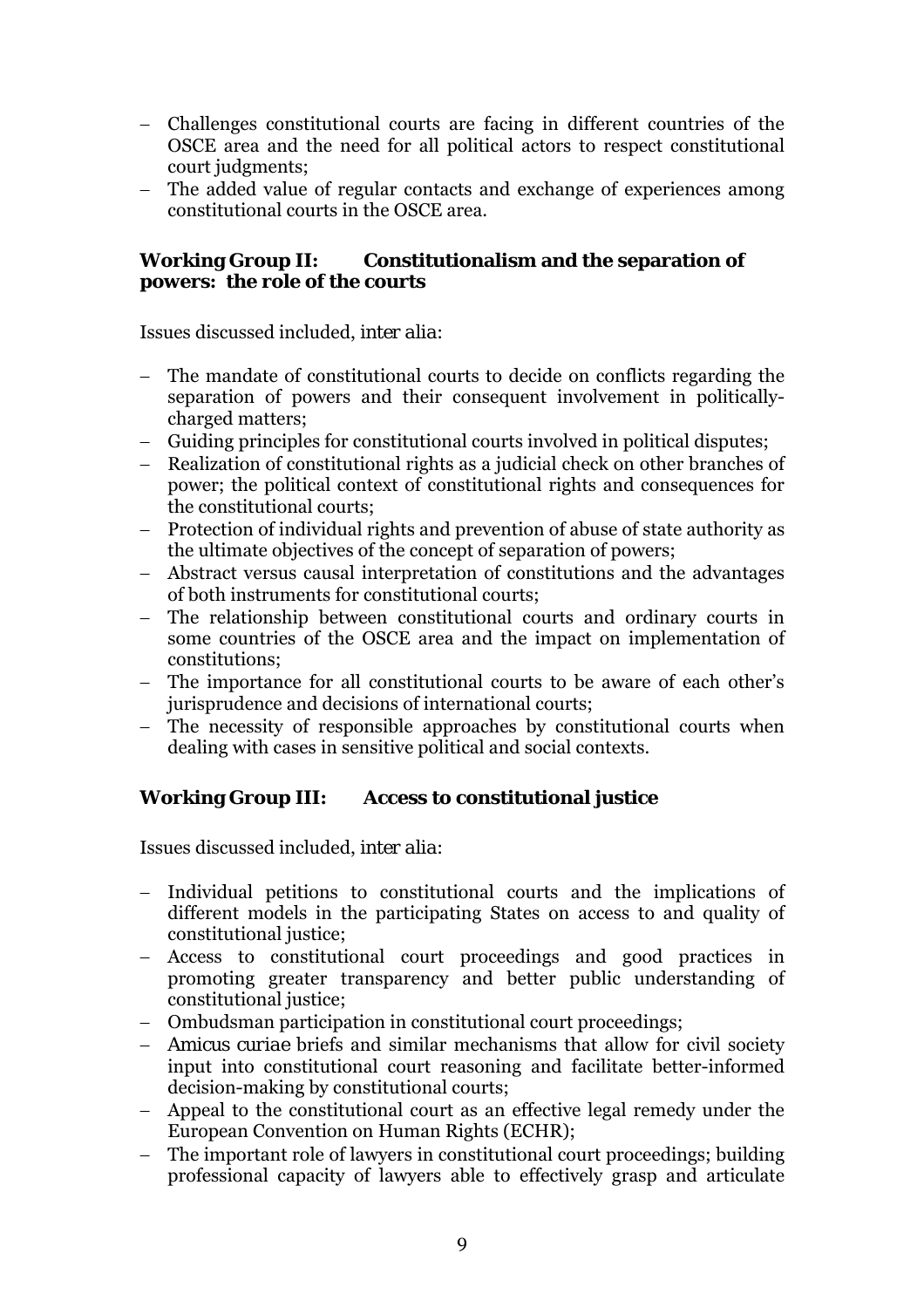- − Challenges constitutional courts are facing in different countries of the OSCE area and the need for all political actors to respect constitutional court judgments;
- − The added value of regular contacts and exchange of experiences among constitutional courts in the OSCE area.

### **Working Group II: Constitutionalism and the separation of powers: the role of the courts**

Issues discussed included, *inter alia*:

- − The mandate of constitutional courts to decide on conflicts regarding the separation of powers and their consequent involvement in politicallycharged matters;
- − Guiding principles for constitutional courts involved in political disputes;
- − Realization of constitutional rights as a judicial check on other branches of power; the political context of constitutional rights and consequences for the constitutional courts;
- − Protection of individual rights and prevention of abuse of state authority as the ultimate objectives of the concept of separation of powers;
- − Abstract versus causal interpretation of constitutions and the advantages of both instruments for constitutional courts;
- − The relationship between constitutional courts and ordinary courts in some countries of the OSCE area and the impact on implementation of constitutions;
- − The importance for all constitutional courts to be aware of each other's jurisprudence and decisions of international courts;
- − The necessity of responsible approaches by constitutional courts when dealing with cases in sensitive political and social contexts.

# **Working Group III: Access to constitutional justice**

Issues discussed included, *inter alia*:

- − Individual petitions to constitutional courts and the implications of different models in the participating States on access to and quality of constitutional justice;
- − Access to constitutional court proceedings and good practices in promoting greater transparency and better public understanding of constitutional justice;
- − Ombudsman participation in constitutional court proceedings;
- − *Amicus curiae* briefs and similar mechanisms that allow for civil society input into constitutional court reasoning and facilitate better-informed decision-making by constitutional courts;
- − Appeal to the constitutional court as an effective legal remedy under the European Convention on Human Rights (ECHR);
- − The important role of lawyers in constitutional court proceedings; building professional capacity of lawyers able to effectively grasp and articulate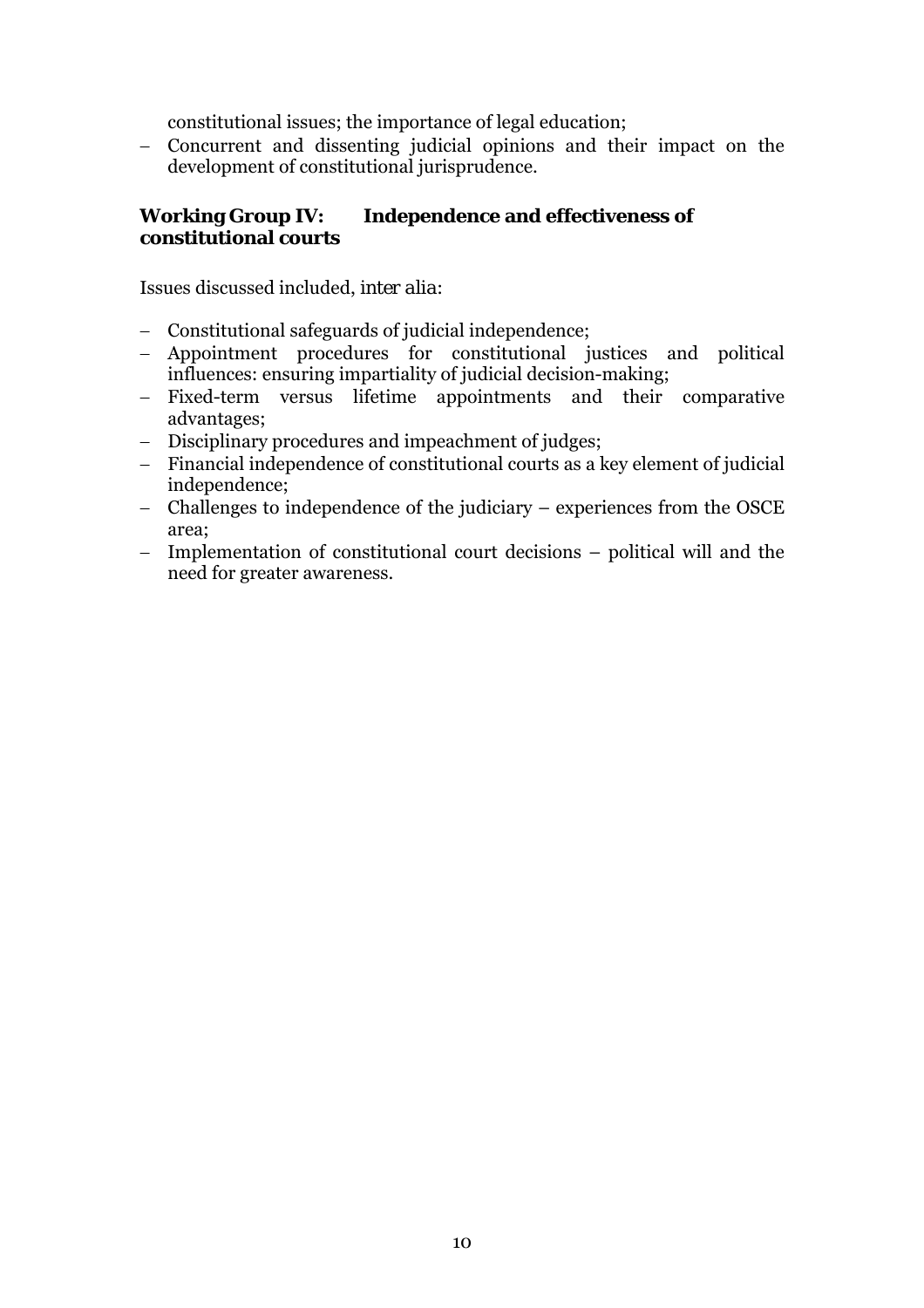constitutional issues; the importance of legal education;

− Concurrent and dissenting judicial opinions and their impact on the development of constitutional jurisprudence.

### **Working Group IV: Independence and effectiveness of constitutional courts**

Issues discussed included, *inter alia*:

- − Constitutional safeguards of judicial independence;
- − Appointment procedures for constitutional justices and political influences: ensuring impartiality of judicial decision-making;
- − Fixed-term versus lifetime appointments and their comparative advantages;
- − Disciplinary procedures and impeachment of judges;
- − Financial independence of constitutional courts as a key element of judicial independence;
- − Challenges to independence of the judiciary − experiences from the OSCE area;
- − Implementation of constitutional court decisions − political will and the need for greater awareness.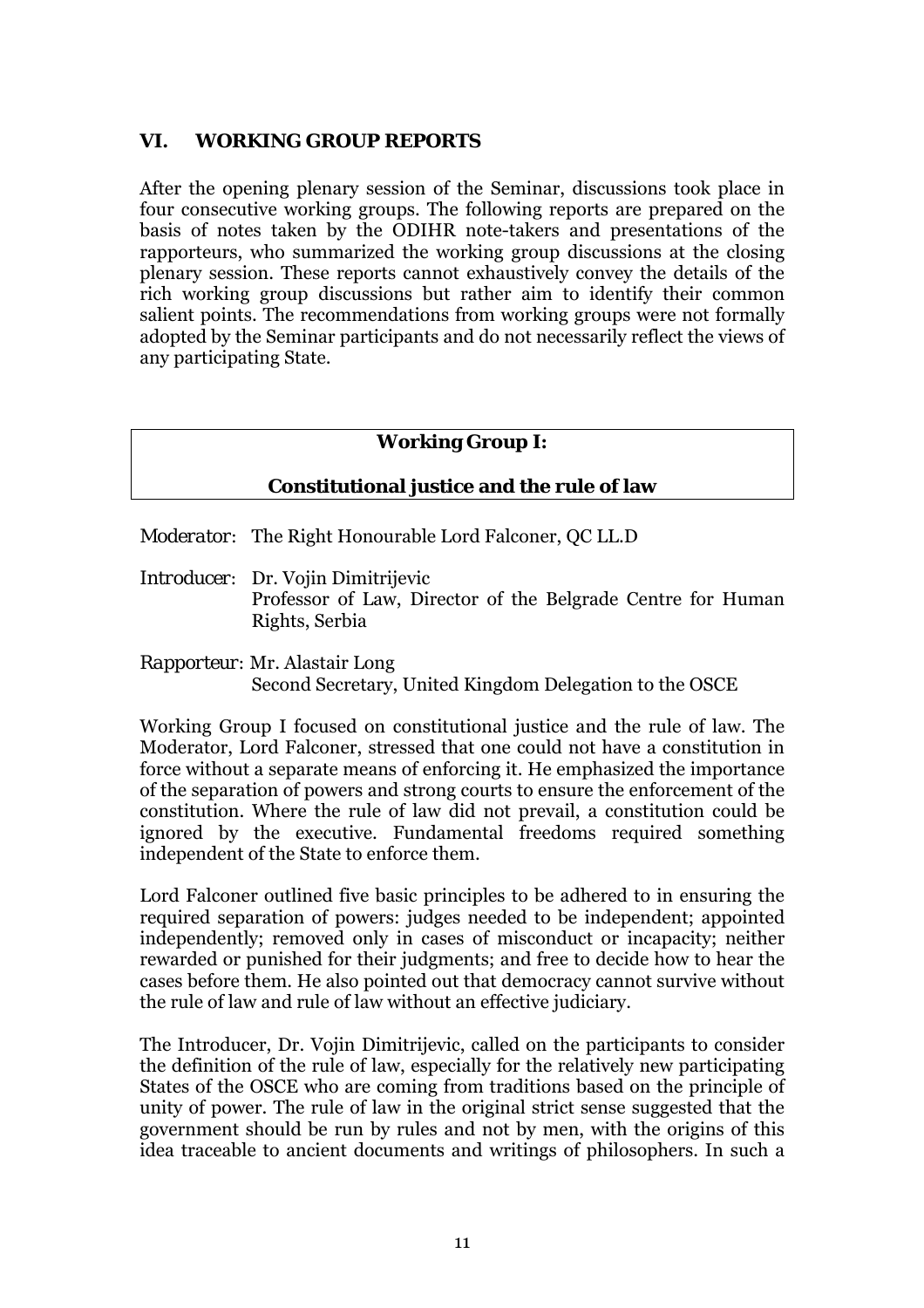# <span id="page-10-0"></span>**VI. WORKING GROUP REPORTS**

After the opening plenary session of the Seminar, discussions took place in four consecutive working groups. The following reports are prepared on the basis of notes taken by the ODIHR note-takers and presentations of the rapporteurs, who summarized the working group discussions at the closing plenary session. These reports cannot exhaustively convey the details of the rich working group discussions but rather aim to identify their common salient points. The recommendations from working groups were not formally adopted by the Seminar participants and do not necessarily reflect the views of any participating State.

# **Working Group I:**

### **Constitutional justice and the rule of law**

*Moderator:* The Right Honourable Lord Falconer, QC LL.D

*Introducer:* Dr. Vojin Dimitrijevic Professor of Law, Director of the Belgrade Centre for Human Rights, Serbia

*Rapporteur:* Mr. Alastair Long Second Secretary, United Kingdom Delegation to the OSCE

Working Group I focused on constitutional justice and the rule of law. The Moderator, Lord Falconer, stressed that one could not have a constitution in force without a separate means of enforcing it. He emphasized the importance of the separation of powers and strong courts to ensure the enforcement of the constitution. Where the rule of law did not prevail, a constitution could be ignored by the executive. Fundamental freedoms required something independent of the State to enforce them.

Lord Falconer outlined five basic principles to be adhered to in ensuring the required separation of powers: judges needed to be independent; appointed independently; removed only in cases of misconduct or incapacity; neither rewarded or punished for their judgments; and free to decide how to hear the cases before them. He also pointed out that democracy cannot survive without the rule of law and rule of law without an effective judiciary.

The Introducer, Dr. Vojin Dimitrijevic, called on the participants to consider the definition of the rule of law, especially for the relatively new participating States of the OSCE who are coming from traditions based on the principle of unity of power. The rule of law in the original strict sense suggested that the government should be run by rules and not by men, with the origins of this idea traceable to ancient documents and writings of philosophers. In such a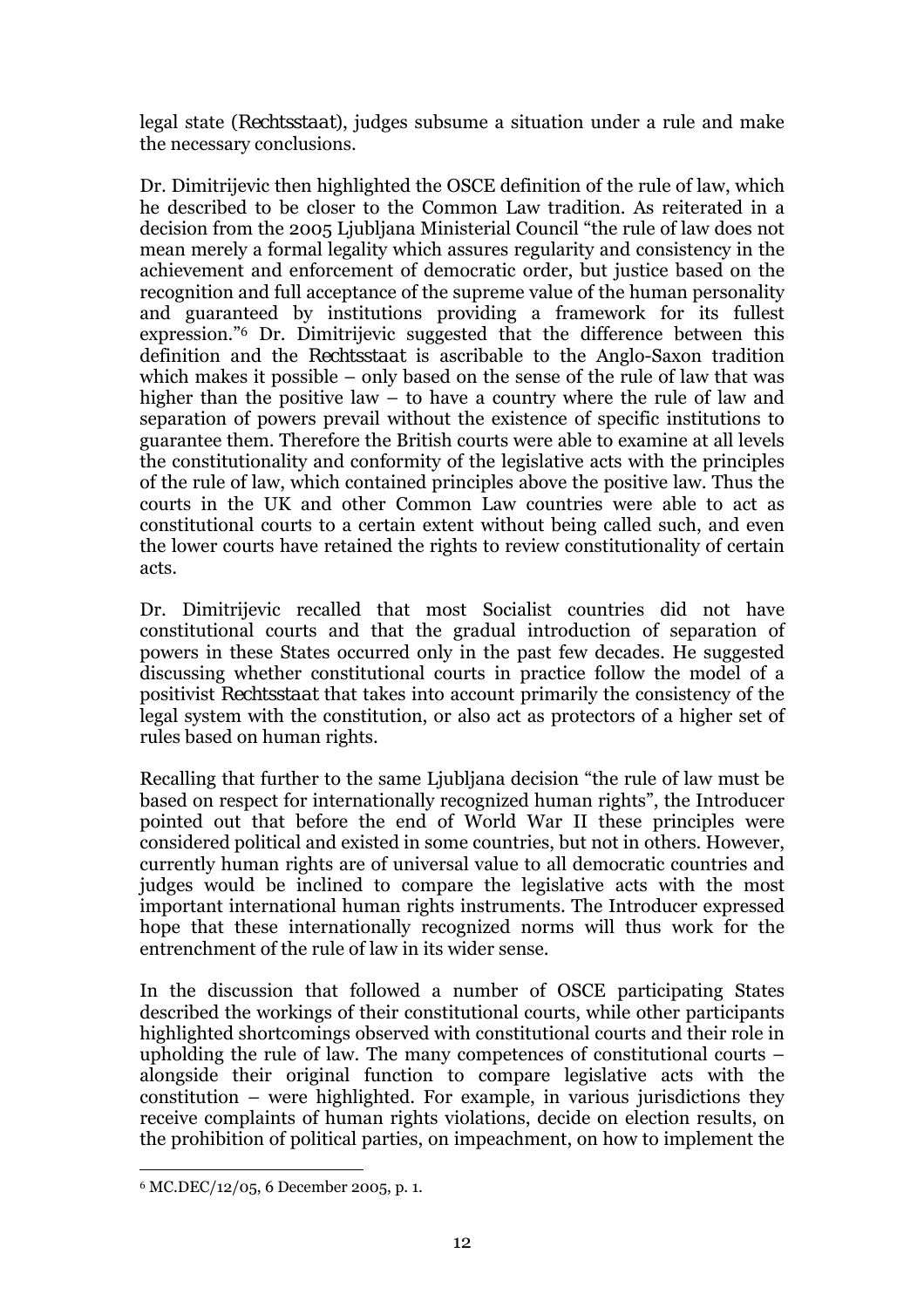legal state (*Rechtsstaat*), judges subsume a situation under a rule and make the necessary conclusions.

Dr. Dimitrijevic then highlighted the OSCE definition of the rule of law, which he described to be closer to the Common Law tradition. As reiterated in a decision from the 2005 Ljubliana Ministerial Council "the rule of law does not mean merely a formal legality which assures regularity and consistency in the achievement and enforcement of democratic order, but justice based on the recognition and full acceptance of the supreme value of the human personality and guaranteed by institutions providing a framework for its fullest expression.<sup>76</sup> Dr. Dimitrijevic suggested that the difference between this definition and the *Rechtsstaat* is ascribable to the Anglo-Saxon tradition which makes it possible  $-$  only based on the sense of the rule of law that was higher than the positive law  $-$  to have a country where the rule of law and separation of powers prevail without the existence of specific institutions to guarantee them. Therefore the British courts were able to examine at all levels the constitutionality and conformity of the legislative acts with the principles of the rule of law, which contained principles above the positive law. Thus the courts in the UK and other Common Law countries were able to act as constitutional courts to a certain extent without being called such, and even the lower courts have retained the rights to review constitutionality of certain acts.

Dr. Dimitrijevic recalled that most Socialist countries did not have constitutional courts and that the gradual introduction of separation of powers in these States occurred only in the past few decades. He suggested discussing whether constitutional courts in practice follow the model of a positivist *Rechtsstaat* that takes into account primarily the consistency of the legal system with the constitution, or also act as protectors of a higher set of rules based on human rights.

Recalling that further to the same Ljubljana decision "the rule of law must be based on respect for internationally recognized human rights", the Introducer pointed out that before the end of World War II these principles were considered political and existed in some countries, but not in others. However, currently human rights are of universal value to all democratic countries and judges would be inclined to compare the legislative acts with the most important international human rights instruments. The Introducer expressed hope that these internationally recognized norms will thus work for the entrenchment of the rule of law in its wider sense.

In the discussion that followed a number of OSCE participating States described the workings of their constitutional courts, while other participants highlighted shortcomings observed with constitutional courts and their role in upholding the rule of law. The many competences of constitutional courts  $$ alongside their original function to compare legislative acts with the constitution  $-$  were highlighted. For example, in various jurisdictions they receive complaints of human rights violations, decide on election results, on the prohibition of political parties, on impeachment, on how to implement the

 $\overline{a}$ 

<span id="page-11-0"></span><sup>6</sup> MC.DEC/12/05, 6 December 2005, p. 1.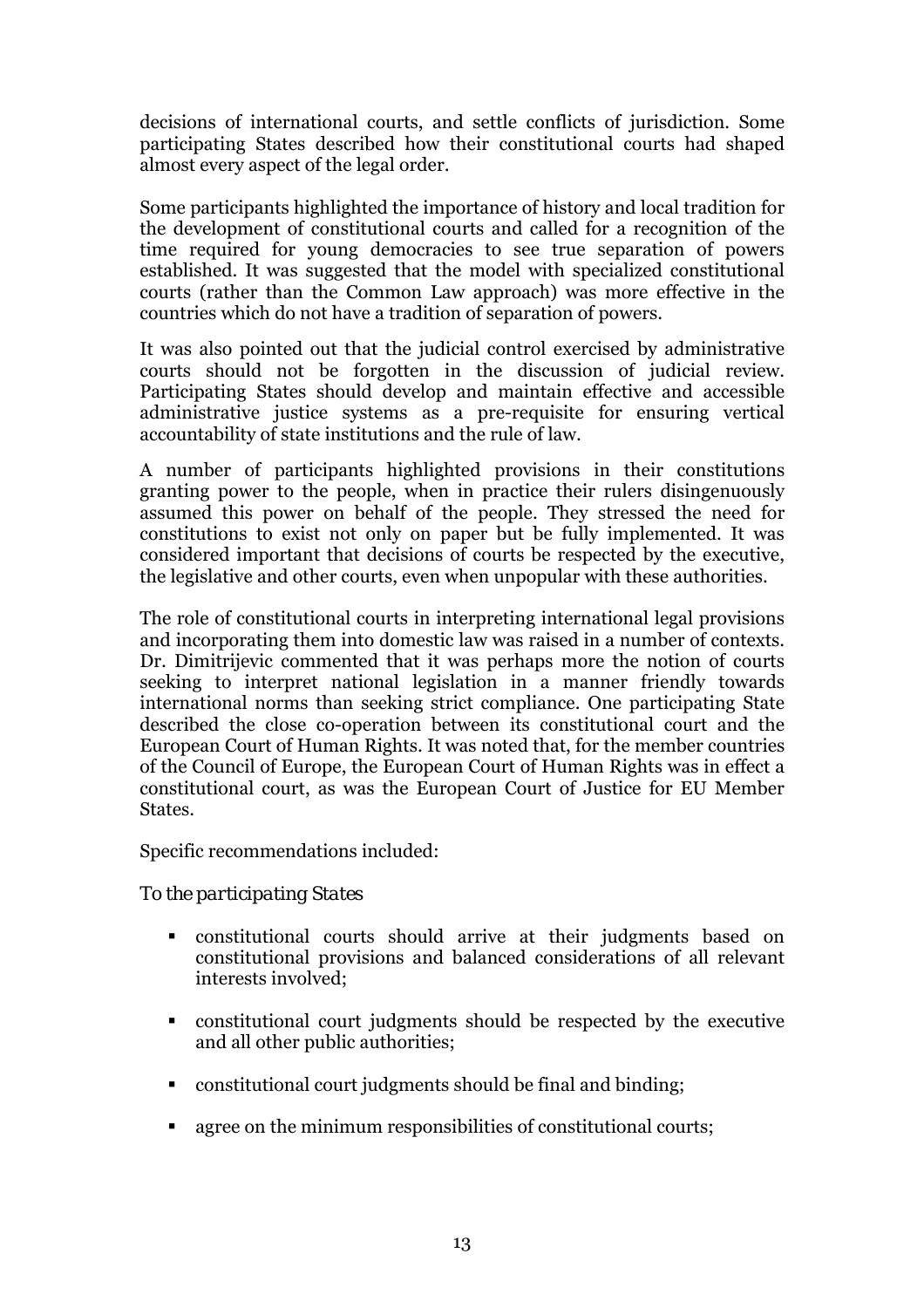decisions of international courts, and settle conflicts of jurisdiction. Some participating States described how their constitutional courts had shaped almost every aspect of the legal order.

Some participants highlighted the importance of history and local tradition for the development of constitutional courts and called for a recognition of the time required for young democracies to see true separation of powers established. It was suggested that the model with specialized constitutional courts (rather than the Common Law approach) was more effective in the countries which do not have a tradition of separation of powers.

It was also pointed out that the judicial control exercised by administrative courts should not be forgotten in the discussion of judicial review. Participating States should develop and maintain effective and accessible administrative justice systems as a pre-requisite for ensuring vertical accountability of state institutions and the rule of law.

A number of participants highlighted provisions in their constitutions granting power to the people, when in practice their rulers disingenuously assumed this power on behalf of the people. They stressed the need for constitutions to exist not only on paper but be fully implemented. It was considered important that decisions of courts be respected by the executive, the legislative and other courts, even when unpopular with these authorities.

The role of constitutional courts in interpreting international legal provisions and incorporating them into domestic law was raised in a number of contexts. Dr. Dimitrijevic commented that it was perhaps more the notion of courts seeking to interpret national legislation in a manner friendly towards international norms than seeking strict compliance. One participating State described the close co-operation between its constitutional court and the European Court of Human Rights. It was noted that, for the member countries of the Council of Europe, the European Court of Human Rights was in effect a constitutional court, as was the European Court of Justice for EU Member States.

Specific recommendations included:

# *To the participating States*

- ! constitutional courts should arrive at their judgments based on constitutional provisions and balanced considerations of all relevant interests involved;
- ! constitutional court judgments should be respected by the executive and all other public authorities;
- ! constitutional court judgments should be final and binding;
- agree on the minimum responsibilities of constitutional courts;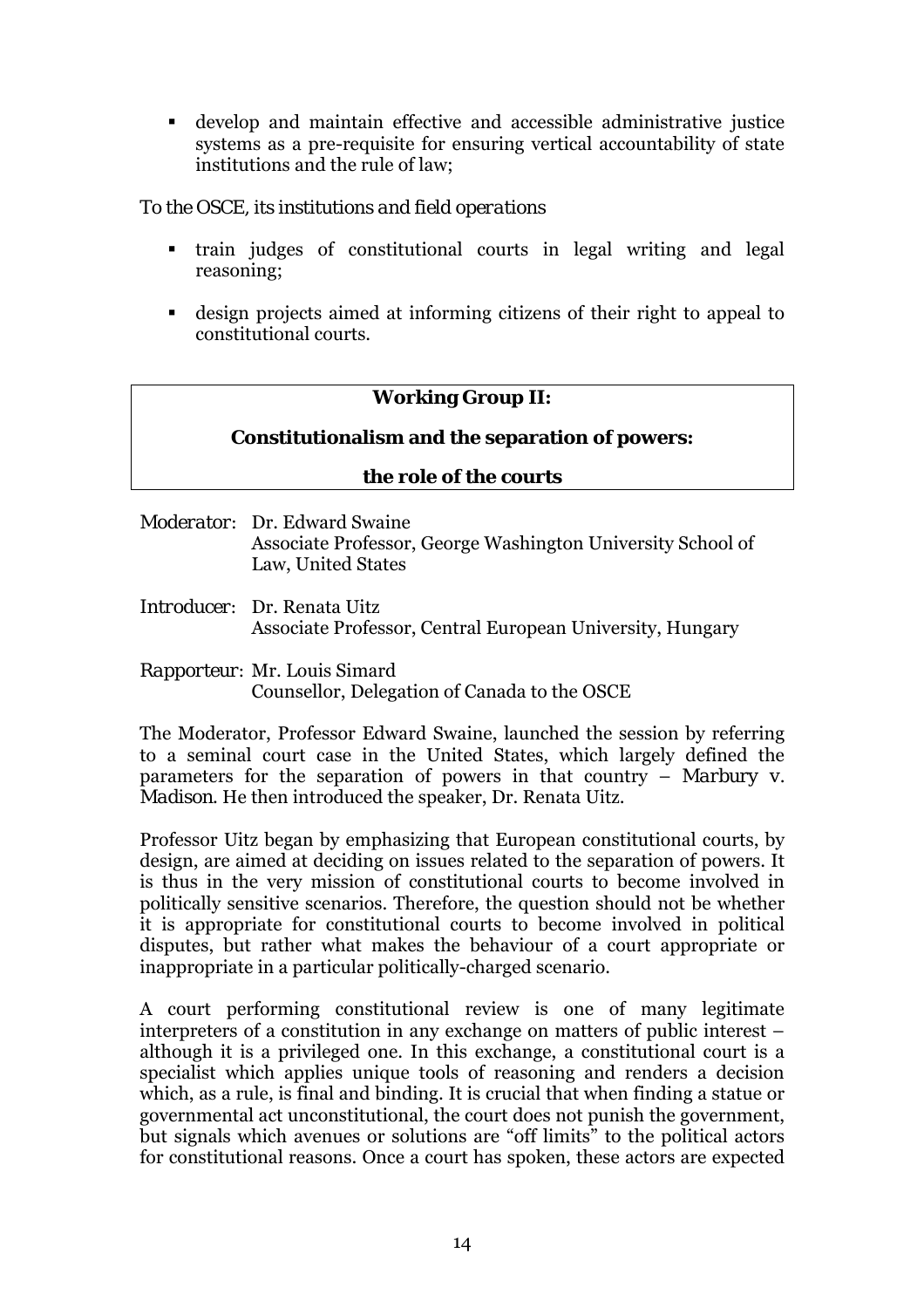<span id="page-13-0"></span>! develop and maintain effective and accessible administrative justice systems as a pre-requisite for ensuring vertical accountability of state institutions and the rule of law;

### *To the OSCE, its institutions and field operations*

- ! train judges of constitutional courts in legal writing and legal reasoning;
- ! design projects aimed at informing citizens of their right to appeal to constitutional courts.

# **Working Group II:**

# **Constitutionalism and the separation of powers:**

### **the role of the courts**

*Moderator:* Dr. Edward Swaine Associate Professor, George Washington University School of Law, United States

*Introducer:* Dr. Renata Uitz Associate Professor, Central European University, Hungary

# *Rapporteur:* Mr. Louis Simard

Counsellor, Delegation of Canada to the OSCE

The Moderator, Professor Edward Swaine, launched the session by referring to a seminal court case in the United States, which largely defined the parameters for the separation of powers in that country  $-$  *Marbury v. Madison*. He then introduced the speaker, Dr. Renata Uitz.

Professor Uitz began by emphasizing that European constitutional courts, by design, are aimed at deciding on issues related to the separation of powers. It is thus in the very mission of constitutional courts to become involved in politically sensitive scenarios. Therefore, the question should not be whether it is appropriate for constitutional courts to become involved in political disputes, but rather what makes the behaviour of a court appropriate or inappropriate in a particular politically-charged scenario.

A court performing constitutional review is one of many legitimate interpreters of a constitution in any exchange on matters of public interest  $\overline{\phantom{a}}$ although it is a privileged one. In this exchange, a constitutional court is a specialist which applies unique tools of reasoning and renders a decision which, as a rule, is final and binding. It is crucial that when finding a statue or governmental act unconstitutional, the court does not punish the government, but signals which avenues or solutions are "off limits" to the political actors for constitutional reasons. Once a court has spoken, these actors are expected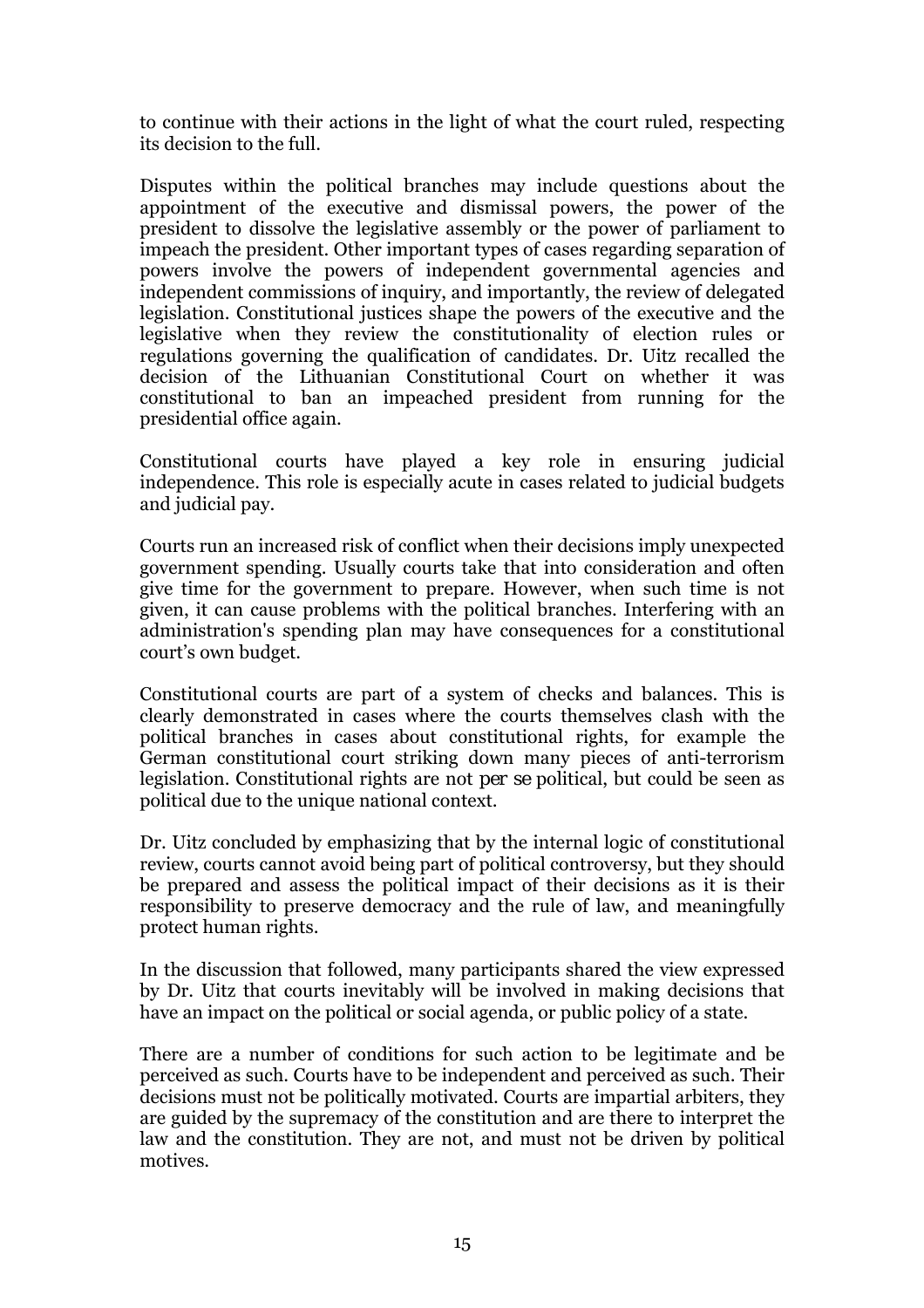to continue with their actions in the light of what the court ruled, respecting its decision to the full.

Disputes within the political branches may include questions about the appointment of the executive and dismissal powers, the power of the president to dissolve the legislative assembly or the power of parliament to impeach the president. Other important types of cases regarding separation of powers involve the powers of independent governmental agencies and independent commissions of inquiry, and importantly, the review of delegated legislation. Constitutional justices shape the powers of the executive and the legislative when they review the constitutionality of election rules or regulations governing the qualification of candidates. Dr. Uitz recalled the decision of the Lithuanian Constitutional Court on whether it was constitutional to ban an impeached president from running for the presidential office again.

Constitutional courts have played a key role in ensuring judicial independence. This role is especially acute in cases related to judicial budgets and judicial pay.

Courts run an increased risk of conflict when their decisions imply unexpected government spending. Usually courts take that into consideration and often give time for the government to prepare. However, when such time is not given, it can cause problems with the political branches. Interfering with an administration's spending plan may have consequences for a constitutional court's own budget.

Constitutional courts are part of a system of checks and balances. This is clearly demonstrated in cases where the courts themselves clash with the political branches in cases about constitutional rights, for example the German constitutional court striking down many pieces of anti-terrorism legislation. Constitutional rights are not *per se* political, but could be seen as political due to the unique national context.

Dr. Uitz concluded by emphasizing that by the internal logic of constitutional review, courts cannot avoid being part of political controversy, but they should be prepared and assess the political impact of their decisions as it is their responsibility to preserve democracy and the rule of law, and meaningfully protect human rights.

In the discussion that followed, many participants shared the view expressed by Dr. Uitz that courts inevitably will be involved in making decisions that have an impact on the political or social agenda, or public policy of a state.

There are a number of conditions for such action to be legitimate and be perceived as such. Courts have to be independent and perceived as such. Their decisions must not be politically motivated. Courts are impartial arbiters, they are guided by the supremacy of the constitution and are there to interpret the law and the constitution. They are not, and must not be driven by political motives.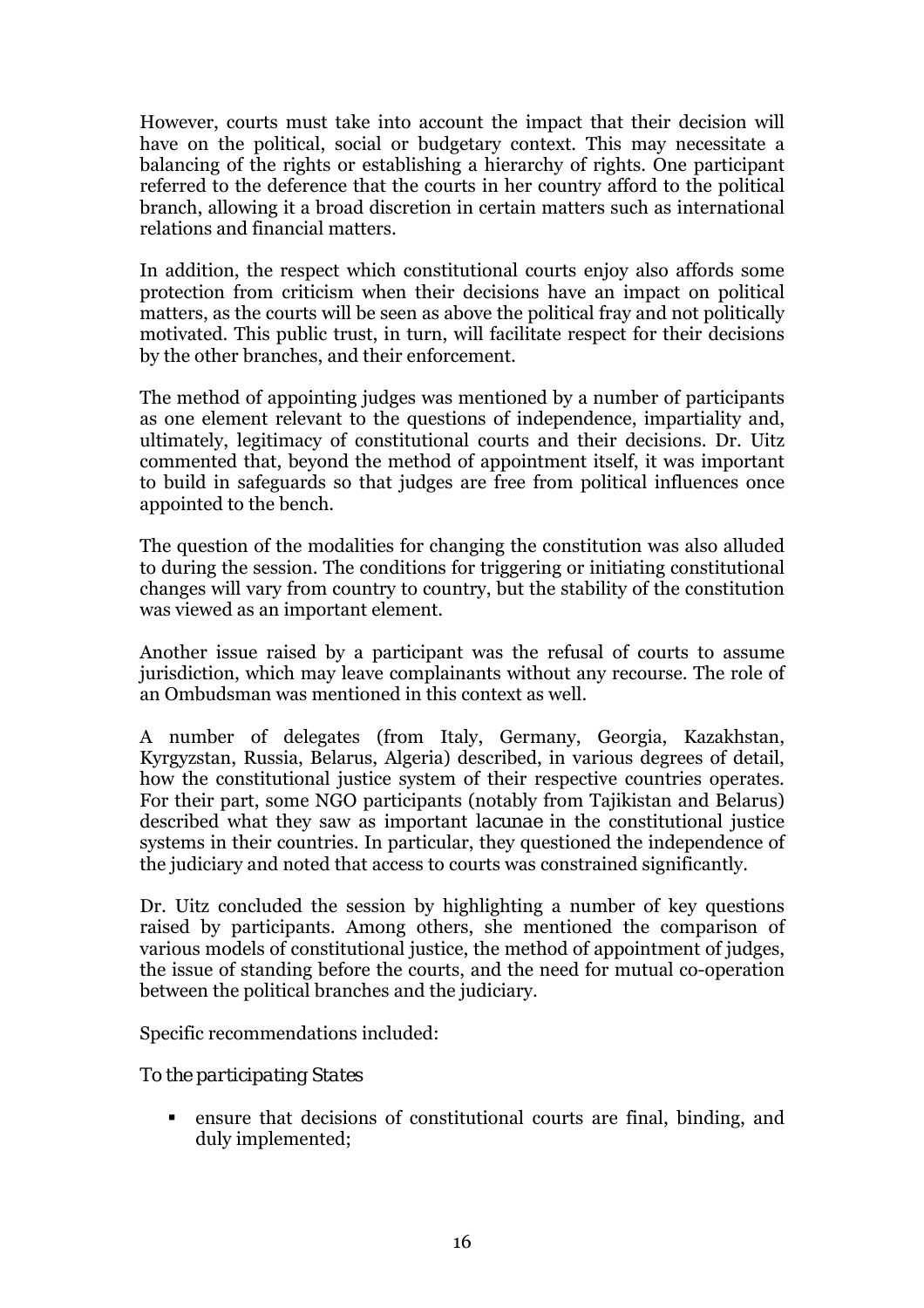However, courts must take into account the impact that their decision will have on the political, social or budgetary context. This may necessitate a balancing of the rights or establishing a hierarchy of rights. One participant referred to the deference that the courts in her country afford to the political branch, allowing it a broad discretion in certain matters such as international relations and financial matters.

In addition, the respect which constitutional courts enjoy also affords some protection from criticism when their decisions have an impact on political matters, as the courts will be seen as above the political fray and not politically motivated. This public trust, in turn, will facilitate respect for their decisions by the other branches, and their enforcement.

The method of appointing judges was mentioned by a number of participants as one element relevant to the questions of independence, impartiality and, ultimately, legitimacy of constitutional courts and their decisions. Dr. Uitz commented that, beyond the method of appointment itself, it was important to build in safeguards so that judges are free from political influences once appointed to the bench.

The question of the modalities for changing the constitution was also alluded to during the session. The conditions for triggering or initiating constitutional changes will vary from country to country, but the stability of the constitution was viewed as an important element.

Another issue raised by a participant was the refusal of courts to assume jurisdiction, which may leave complainants without any recourse. The role of an Ombudsman was mentioned in this context as well.

A number of delegates (from Italy, Germany, Georgia, Kazakhstan, Kyrgyzstan, Russia, Belarus, Algeria) described, in various degrees of detail, how the constitutional justice system of their respective countries operates. For their part, some NGO participants (notably from Tajikistan and Belarus) described what they saw as important *lacunae* in the constitutional justice systems in their countries. In particular, they questioned the independence of the judiciary and noted that access to courts was constrained significantly.

Dr. Uitz concluded the session by highlighting a number of key questions raised by participants. Among others, she mentioned the comparison of various models of constitutional justice, the method of appointment of judges, the issue of standing before the courts, and the need for mutual co-operation between the political branches and the judiciary.

Specific recommendations included:

### *To the participating States*

! ensure that decisions of constitutional courts are final, binding, and duly implemented;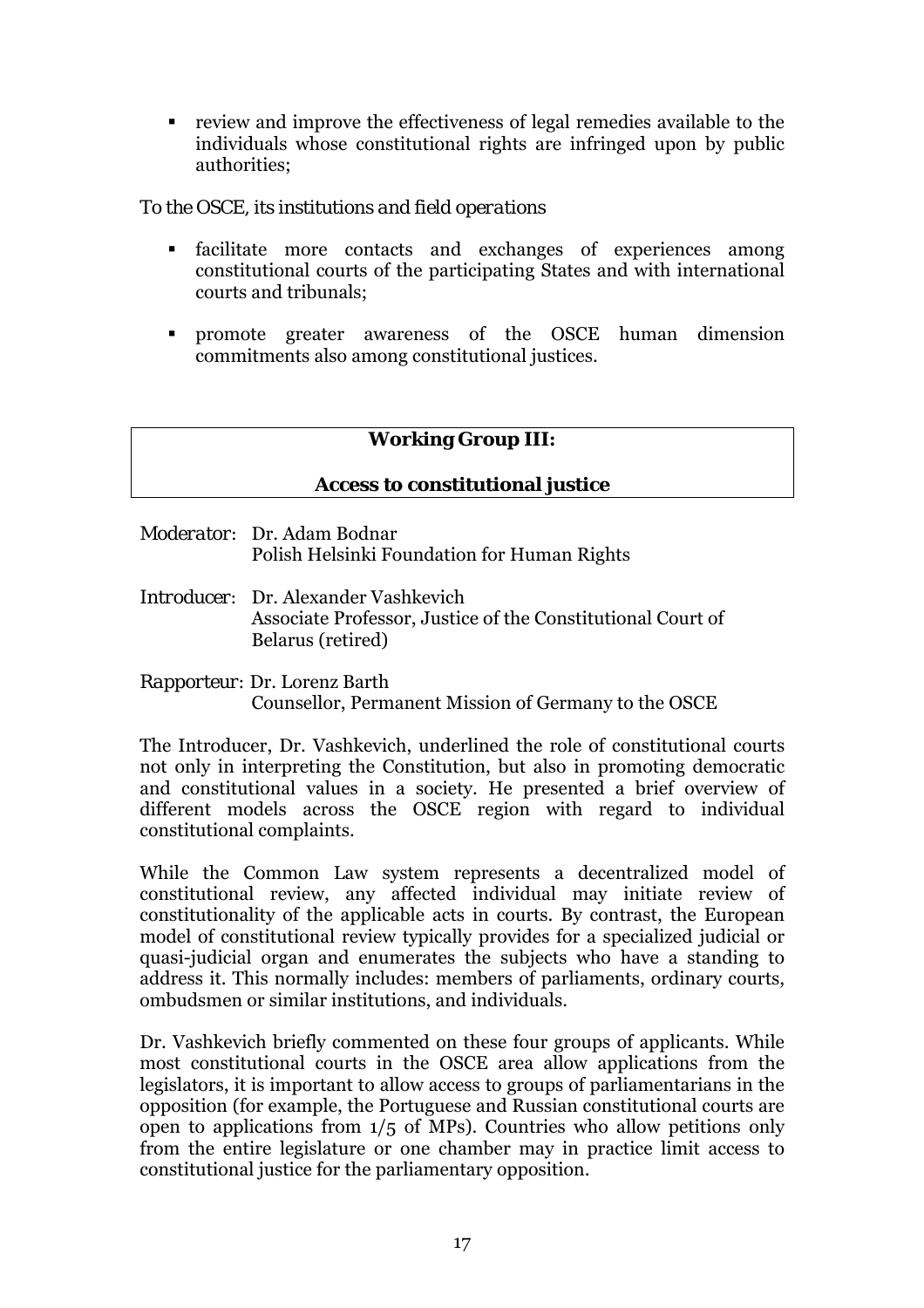<span id="page-16-0"></span>! review and improve the effectiveness of legal remedies available to the individuals whose constitutional rights are infringed upon by public authorities;

### *To the OSCE, its institutions and field operations*

- facilitate more contacts and exchanges of experiences among constitutional courts of the participating States and with international courts and tribunals;
- ! promote greater awareness of the OSCE human dimension commitments also among constitutional justices.

# **Working Group III:**

### **Access to constitutional justice**

- *Moderator:* Dr. Adam Bodnar Polish Helsinki Foundation for Human Rights
- *Introducer:* Dr. Alexander Vashkevich Associate Professor, Justice of the Constitutional Court of Belarus (retired)
- *Rapporteur:* Dr. Lorenz Barth Counsellor, Permanent Mission of Germany to the OSCE

The Introducer, Dr. Vashkevich, underlined the role of constitutional courts not only in interpreting the Constitution, but also in promoting democratic and constitutional values in a society. He presented a brief overview of different models across the OSCE region with regard to individual constitutional complaints.

While the Common Law system represents a decentralized model of constitutional review, any affected individual may initiate review of constitutionality of the applicable acts in courts. By contrast, the European model of constitutional review typically provides for a specialized judicial or quasi-judicial organ and enumerates the subjects who have a standing to address it. This normally includes: members of parliaments, ordinary courts, ombudsmen or similar institutions, and individuals.

Dr. Vashkevich briefly commented on these four groups of applicants. While most constitutional courts in the OSCE area allow applications from the legislators, it is important to allow access to groups of parliamentarians in the opposition (for example, the Portuguese and Russian constitutional courts are open to applications from 1/5 of MPs). Countries who allow petitions only from the entire legislature or one chamber may in practice limit access to constitutional justice for the parliamentary opposition.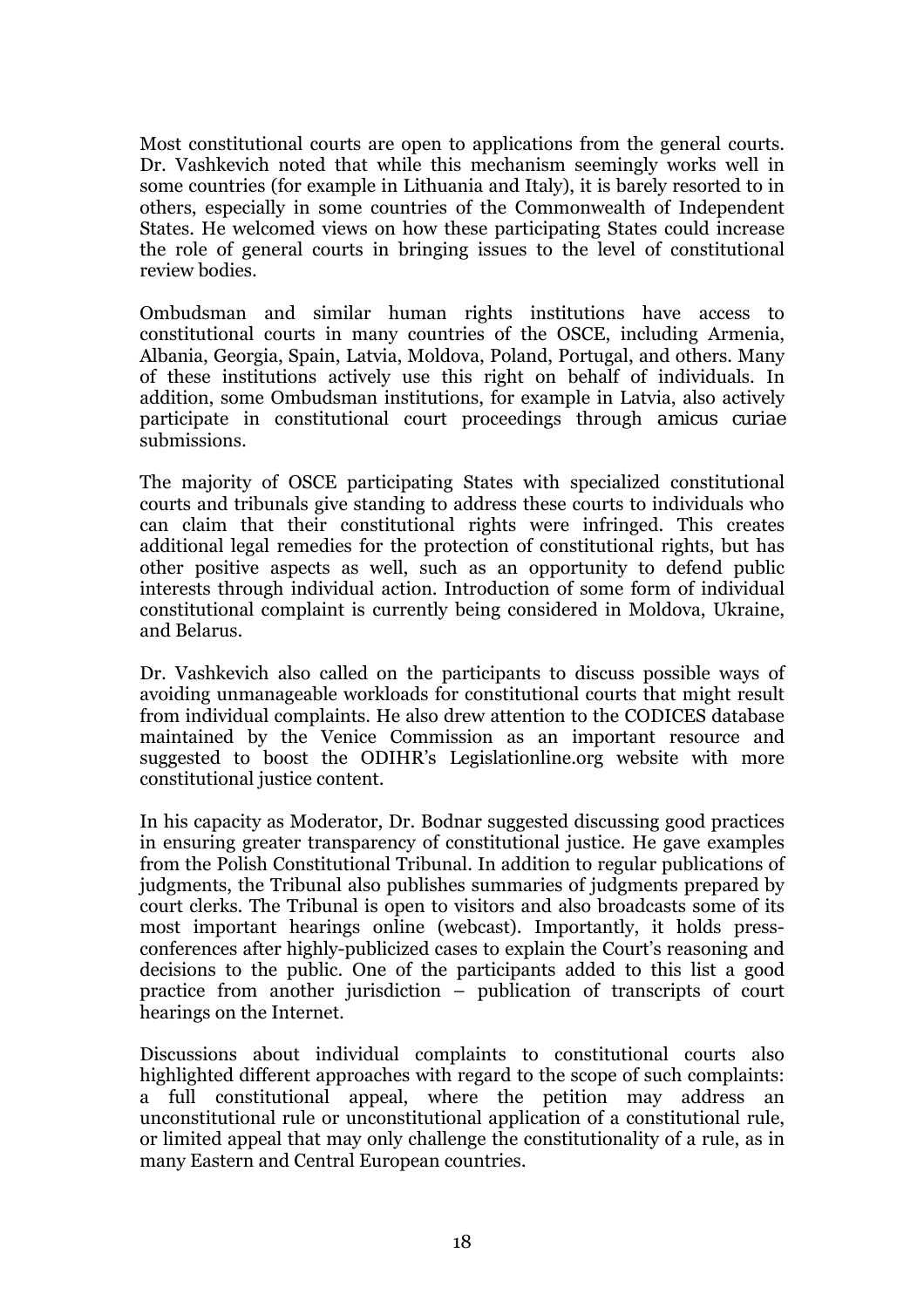Most constitutional courts are open to applications from the general courts. Dr. Vashkevich noted that while this mechanism seemingly works well in some countries (for example in Lithuania and Italy), it is barely resorted to in others, especially in some countries of the Commonwealth of Independent States. He welcomed views on how these participating States could increase the role of general courts in bringing issues to the level of constitutional review bodies.

Ombudsman and similar human rights institutions have access to constitutional courts in many countries of the OSCE, including Armenia, Albania, Georgia, Spain, Latvia, Moldova, Poland, Portugal, and others. Many of these institutions actively use this right on behalf of individuals. In addition, some Ombudsman institutions, for example in Latvia, also actively participate in constitutional court proceedings through *amicus curiae* submissions.

The majority of OSCE participating States with specialized constitutional courts and tribunals give standing to address these courts to individuals who can claim that their constitutional rights were infringed. This creates additional legal remedies for the protection of constitutional rights, but has other positive aspects as well, such as an opportunity to defend public interests through individual action. Introduction of some form of individual constitutional complaint is currently being considered in Moldova, Ukraine, and Belarus.

Dr. Vashkevich also called on the participants to discuss possible ways of avoiding unmanageable workloads for constitutional courts that might result from individual complaints. He also drew attention to the CODICES database maintained by the Venice Commission as an important resource and suggested to boost the ODIHRís Legislationline.org website with more constitutional justice content.

In his capacity as Moderator, Dr. Bodnar suggested discussing good practices in ensuring greater transparency of constitutional justice. He gave examples from the Polish Constitutional Tribunal. In addition to regular publications of judgments, the Tribunal also publishes summaries of judgments prepared by court clerks. The Tribunal is open to visitors and also broadcasts some of its most important hearings online (webcast). Importantly, it holds pressconferences after highly-publicized cases to explain the Court's reasoning and decisions to the public. One of the participants added to this list a good practice from another jurisdiction  $-$  publication of transcripts of court hearings on the Internet.

Discussions about individual complaints to constitutional courts also highlighted different approaches with regard to the scope of such complaints: a full constitutional appeal, where the petition may address an unconstitutional rule or unconstitutional application of a constitutional rule, or limited appeal that may only challenge the constitutionality of a rule, as in many Eastern and Central European countries.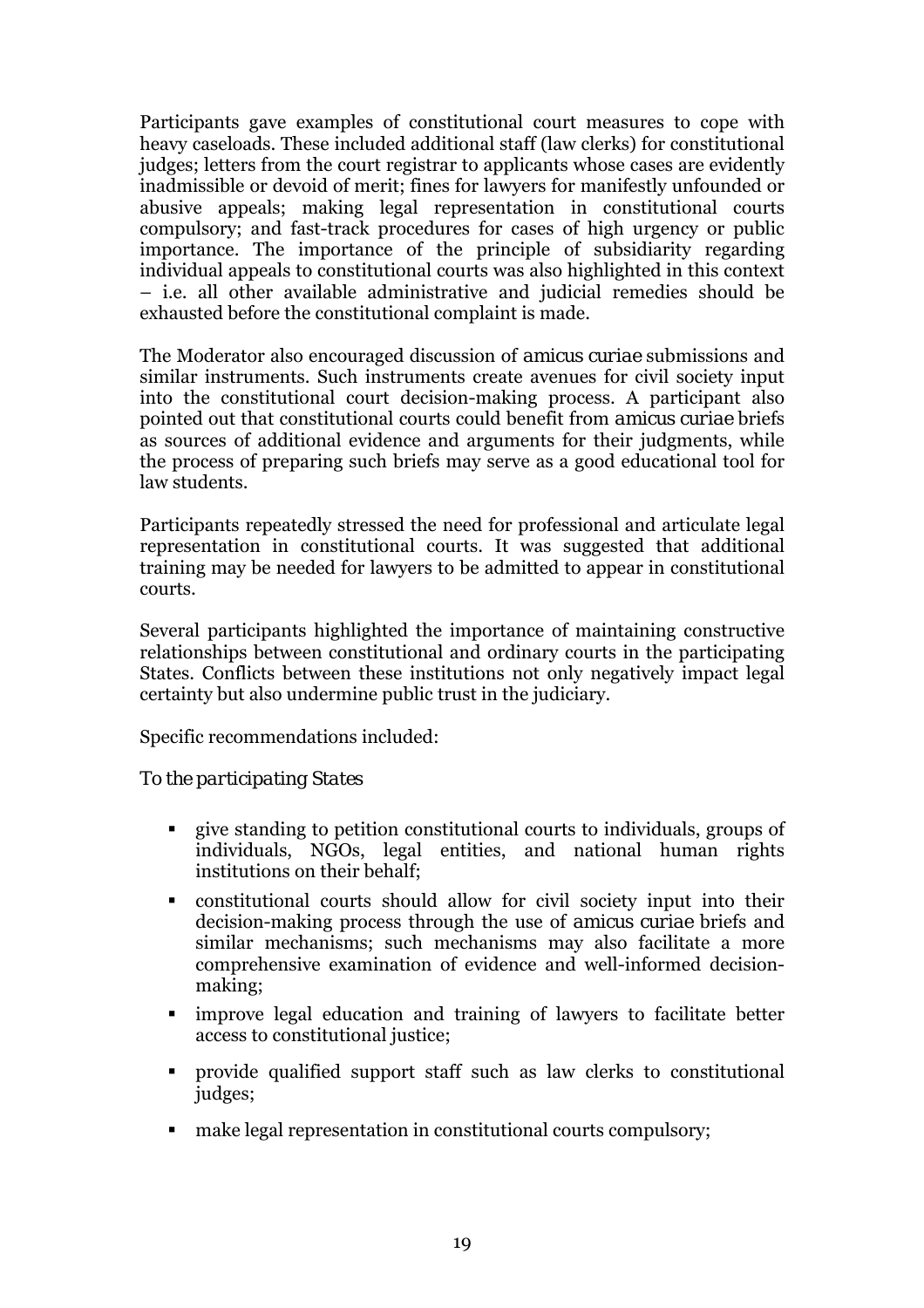Participants gave examples of constitutional court measures to cope with heavy caseloads. These included additional staff (law clerks) for constitutional judges; letters from the court registrar to applicants whose cases are evidently inadmissible or devoid of merit; fines for lawyers for manifestly unfounded or abusive appeals; making legal representation in constitutional courts compulsory; and fast-track procedures for cases of high urgency or public importance. The importance of the principle of subsidiarity regarding individual appeals to constitutional courts was also highlighted in this context ñ i.e. all other available administrative and judicial remedies should be exhausted before the constitutional complaint is made.

The Moderator also encouraged discussion of *amicus curiae* submissions and similar instruments. Such instruments create avenues for civil society input into the constitutional court decision-making process. A participant also pointed out that constitutional courts could benefit from *amicus curiae* briefs as sources of additional evidence and arguments for their judgments, while the process of preparing such briefs may serve as a good educational tool for law students.

Participants repeatedly stressed the need for professional and articulate legal representation in constitutional courts. It was suggested that additional training may be needed for lawyers to be admitted to appear in constitutional courts.

Several participants highlighted the importance of maintaining constructive relationships between constitutional and ordinary courts in the participating States. Conflicts between these institutions not only negatively impact legal certainty but also undermine public trust in the judiciary.

Specific recommendations included:

# *To the participating States*

- ! give standing to petition constitutional courts to individuals, groups of individuals, NGOs, legal entities, and national human rights institutions on their behalf;
- ! constitutional courts should allow for civil society input into their decision-making process through the use of *amicus curiae* briefs and similar mechanisms; such mechanisms may also facilitate a more comprehensive examination of evidence and well-informed decisionmaking;
- ! improve legal education and training of lawyers to facilitate better access to constitutional justice;
- ! provide qualified support staff such as law clerks to constitutional judges;
- make legal representation in constitutional courts compulsory;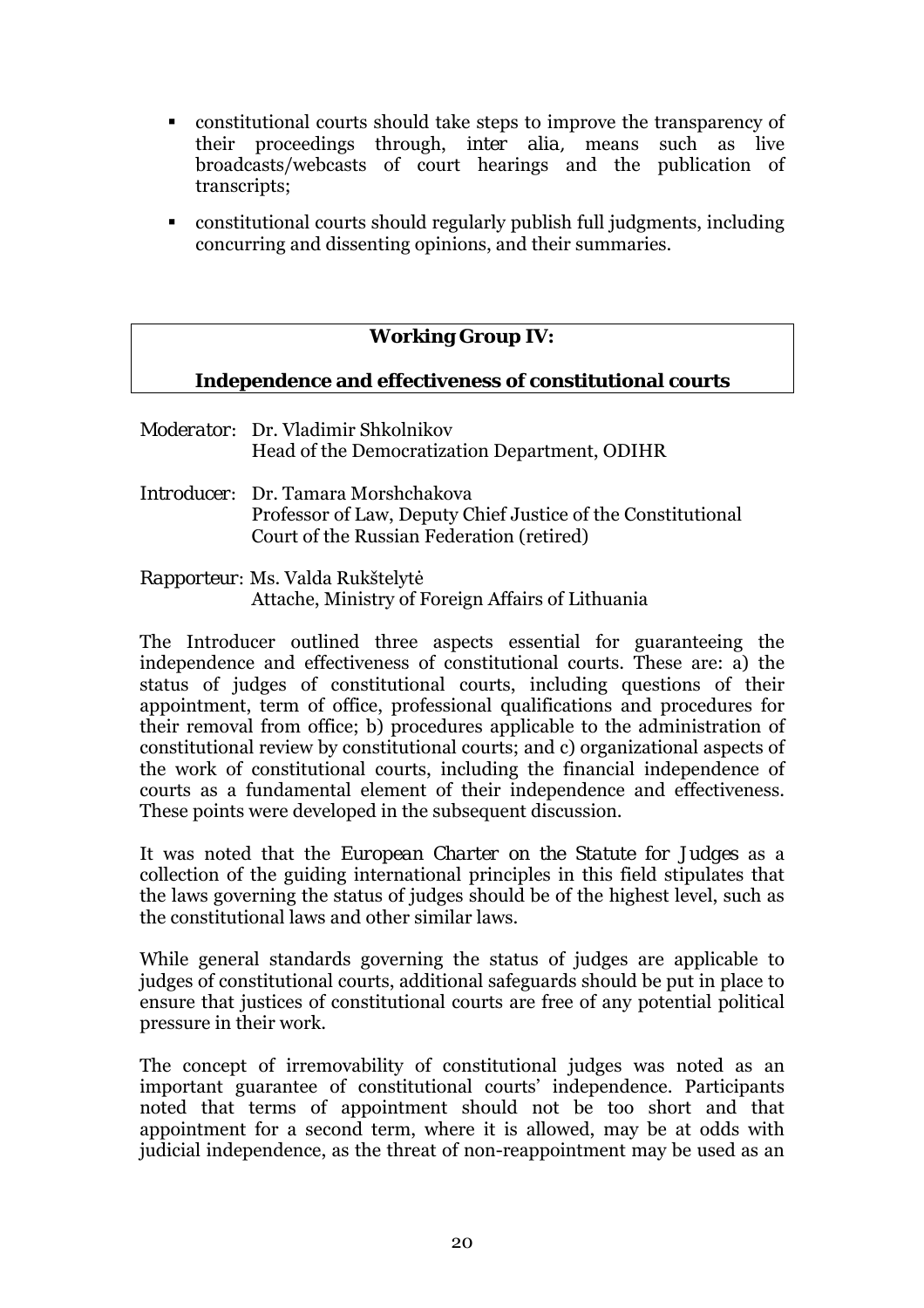- <span id="page-19-0"></span>! constitutional courts should take steps to improve the transparency of their proceedings through, *inter alia,* means such as live broadcasts/webcasts of court hearings and the publication of transcripts;
- ! constitutional courts should regularly publish full judgments, including concurring and dissenting opinions, and their summaries.

# **Working Group IV:**

### **Independence and effectiveness of constitutional courts**

- *Moderator:* Dr. Vladimir Shkolnikov Head of the Democratization Department, ODIHR
- *Introducer:* Dr. Tamara Morshchakova Professor of Law, Deputy Chief Justice of the Constitutional Court of the Russian Federation (retired)
- *Rapporteur:* Ms. Valda Rukötelytė Attache, Ministry of Foreign Affairs of Lithuania

The Introducer outlined three aspects essential for guaranteeing the independence and effectiveness of constitutional courts. These are: a) the status of judges of constitutional courts, including questions of their appointment, term of office, professional qualifications and procedures for their removal from office; b) procedures applicable to the administration of constitutional review by constitutional courts; and c) organizational aspects of the work of constitutional courts, including the financial independence of courts as a fundamental element of their independence and effectiveness. These points were developed in the subsequent discussion.

It was noted that the *European Charter on the Statute for Judges* as a collection of the guiding international principles in this field stipulates that the laws governing the status of judges should be of the highest level, such as the constitutional laws and other similar laws.

While general standards governing the status of judges are applicable to judges of constitutional courts, additional safeguards should be put in place to ensure that justices of constitutional courts are free of any potential political pressure in their work.

The concept of irremovability of constitutional judges was noted as an important guarantee of constitutional courts' independence. Participants noted that terms of appointment should not be too short and that appointment for a second term, where it is allowed, may be at odds with judicial independence, as the threat of non-reappointment may be used as an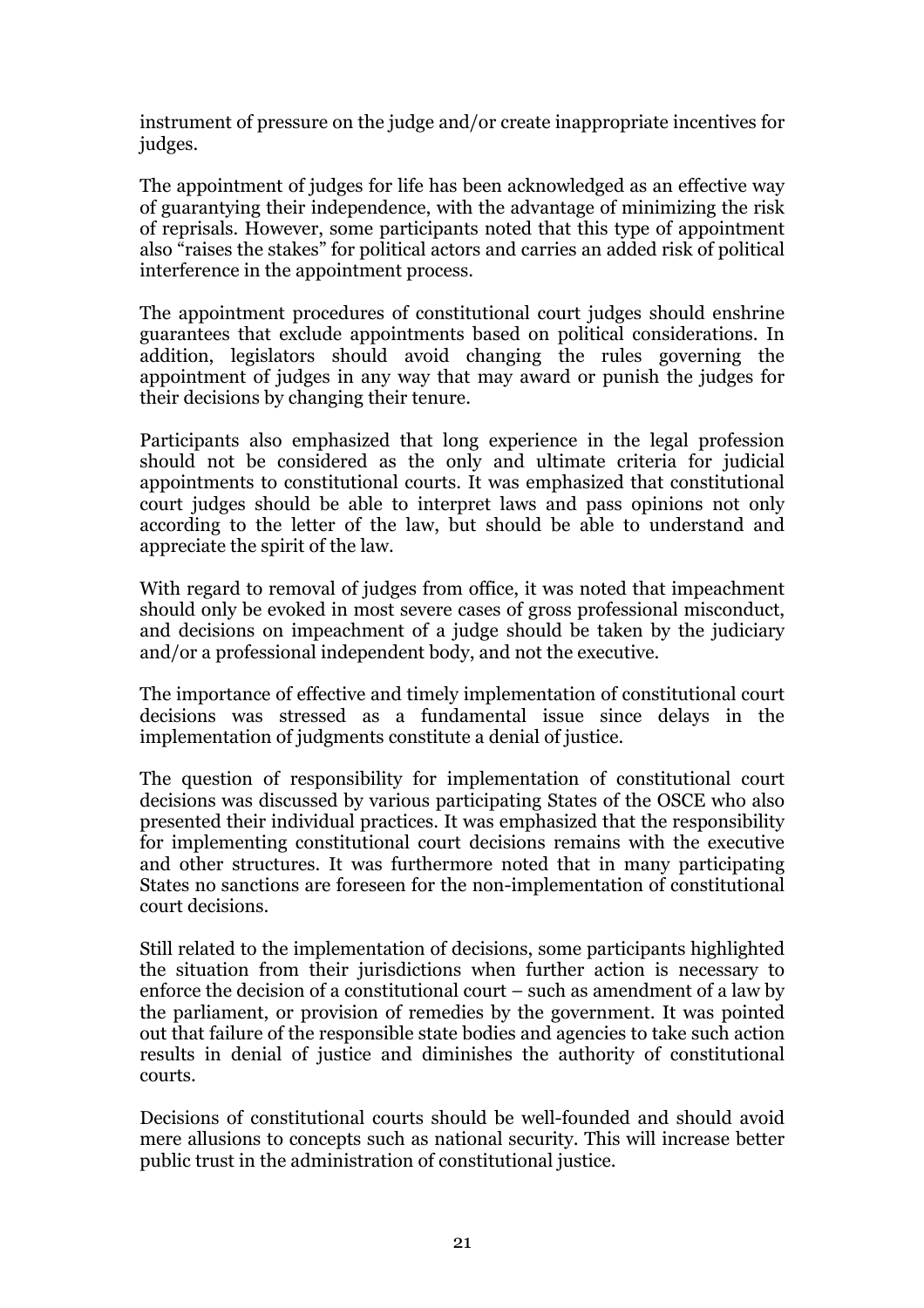instrument of pressure on the judge and/or create inappropriate incentives for judges.

The appointment of judges for life has been acknowledged as an effective way of guarantying their independence, with the advantage of minimizing the risk of reprisals. However, some participants noted that this type of appointment also "raises the stakes" for political actors and carries an added risk of political interference in the appointment process.

The appointment procedures of constitutional court judges should enshrine guarantees that exclude appointments based on political considerations. In addition, legislators should avoid changing the rules governing the appointment of judges in any way that may award or punish the judges for their decisions by changing their tenure.

Participants also emphasized that long experience in the legal profession should not be considered as the only and ultimate criteria for judicial appointments to constitutional courts. It was emphasized that constitutional court judges should be able to interpret laws and pass opinions not only according to the letter of the law, but should be able to understand and appreciate the spirit of the law.

With regard to removal of judges from office, it was noted that impeachment should only be evoked in most severe cases of gross professional misconduct, and decisions on impeachment of a judge should be taken by the judiciary and/or a professional independent body, and not the executive.

The importance of effective and timely implementation of constitutional court decisions was stressed as a fundamental issue since delays in the implementation of judgments constitute a denial of justice.

The question of responsibility for implementation of constitutional court decisions was discussed by various participating States of the OSCE who also presented their individual practices. It was emphasized that the responsibility for implementing constitutional court decisions remains with the executive and other structures. It was furthermore noted that in many participating States no sanctions are foreseen for the non-implementation of constitutional court decisions.

Still related to the implementation of decisions, some participants highlighted the situation from their jurisdictions when further action is necessary to enforce the decision of a constitutional court  $-$  such as amendment of a law by the parliament, or provision of remedies by the government. It was pointed out that failure of the responsible state bodies and agencies to take such action results in denial of justice and diminishes the authority of constitutional courts.

Decisions of constitutional courts should be well-founded and should avoid mere allusions to concepts such as national security. This will increase better public trust in the administration of constitutional justice.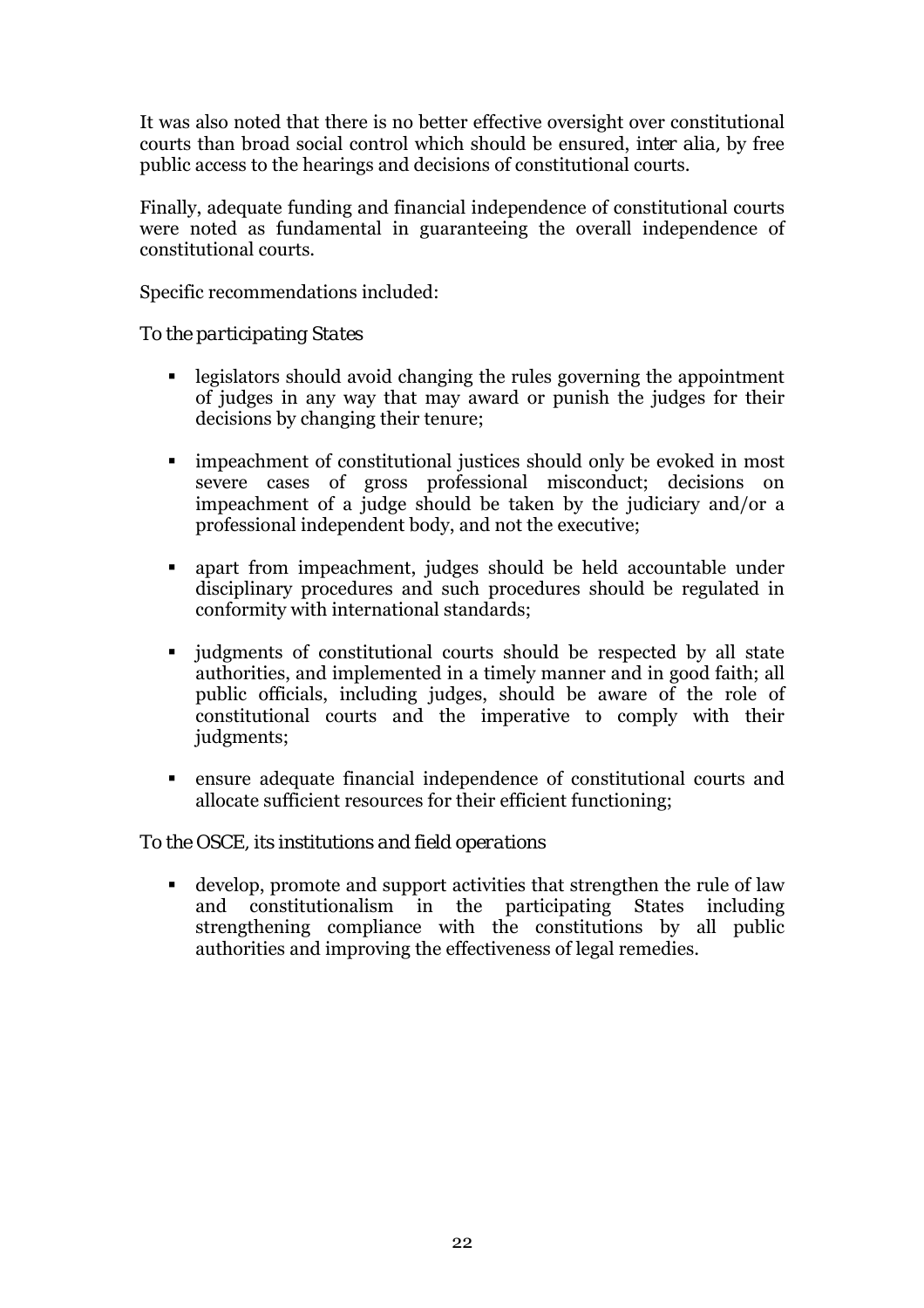It was also noted that there is no better effective oversight over constitutional courts than broad social control which should be ensured, *inter alia,* by free public access to the hearings and decisions of constitutional courts.

Finally, adequate funding and financial independence of constitutional courts were noted as fundamental in guaranteeing the overall independence of constitutional courts.

Specific recommendations included:

### *To the participating States*

- ! legislators should avoid changing the rules governing the appointment of judges in any way that may award or punish the judges for their decisions by changing their tenure;
- ! impeachment of constitutional justices should only be evoked in most severe cases of gross professional misconduct; decisions on impeachment of a judge should be taken by the judiciary and/or a professional independent body, and not the executive;
- ! apart from impeachment, judges should be held accountable under disciplinary procedures and such procedures should be regulated in conformity with international standards;
- ! judgments of constitutional courts should be respected by all state authorities, and implemented in a timely manner and in good faith; all public officials, including judges, should be aware of the role of constitutional courts and the imperative to comply with their judgments;
- ! ensure adequate financial independence of constitutional courts and allocate sufficient resources for their efficient functioning;

# *To the OSCE, its institutions and field operations*

! develop, promote and support activities that strengthen the rule of law and constitutionalism in the participating States including strengthening compliance with the constitutions by all public authorities and improving the effectiveness of legal remedies.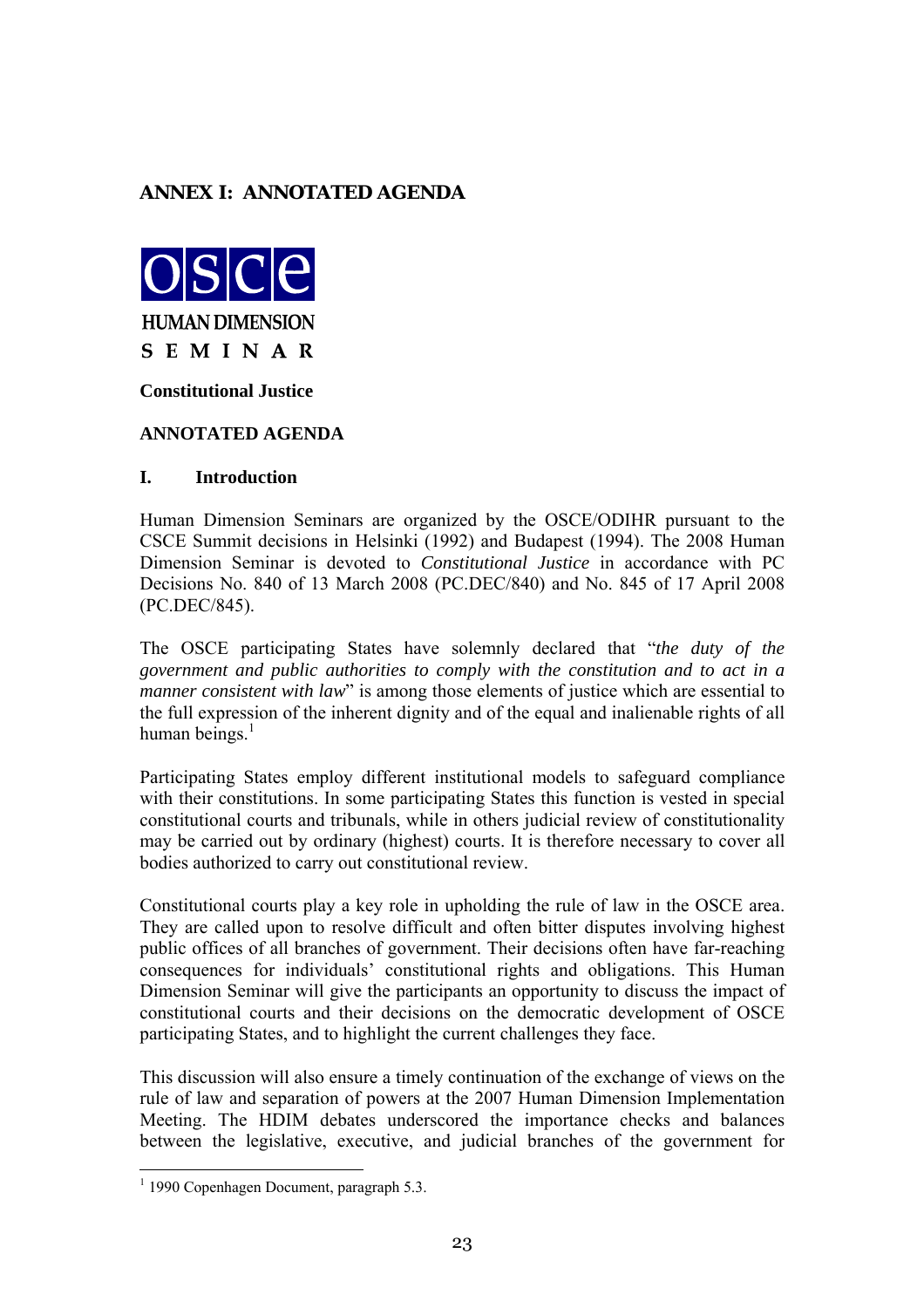### <span id="page-22-0"></span>**ANNEX I: ANNOTATED AGENDA**



**Constitutional Justice** 

#### **ANNOTATED AGENDA**

#### **I. Introduction**

Human Dimension Seminars are organized by the OSCE/ODIHR pursuant to the CSCE Summit decisions in Helsinki (1992) and Budapest (1994). The 2008 Human Dimension Seminar is devoted to *Constitutional Justice* in accordance with PC Decisions No. 840 of 13 March 2008 (PC.DEC/840) and No. 845 of 17 April 2008 (PC.DEC/845).

The OSCE participating States have solemnly declared that *<i>the duty of the government and public authorities to comply with the constitution and to act in a manner consistent with law*<sup>"</sup> is among those elements of justice which are essential to the full expression of the inherent dignity and of the equal and inalienable rights of all human beings. $<sup>1</sup>$  $<sup>1</sup>$  $<sup>1</sup>$ </sup>

Participating States employ different institutional models to safeguard compliance with their constitutions. In some participating States this function is vested in special constitutional courts and tribunals, while in others judicial review of constitutionality may be carried out by ordinary (highest) courts. It is therefore necessary to cover all bodies authorized to carry out constitutional review.

Constitutional courts play a key role in upholding the rule of law in the OSCE area. They are called upon to resolve difficult and often bitter disputes involving highest public offices of all branches of government. Their decisions often have far-reaching consequences for individuals' constitutional rights and obligations. This Human Dimension Seminar will give the participants an opportunity to discuss the impact of constitutional courts and their decisions on the democratic development of OSCE participating States, and to highlight the current challenges they face.

This discussion will also ensure a timely continuation of the exchange of views on the rule of law and separation of powers at the 2007 Human Dimension Implementation Meeting. The HDIM debates underscored the importance checks and balances between the legislative, executive, and judicial branches of the government for

 $\overline{a}$ 

<span id="page-22-1"></span><sup>&</sup>lt;sup>1</sup> 1990 Copenhagen Document, paragraph 5.3.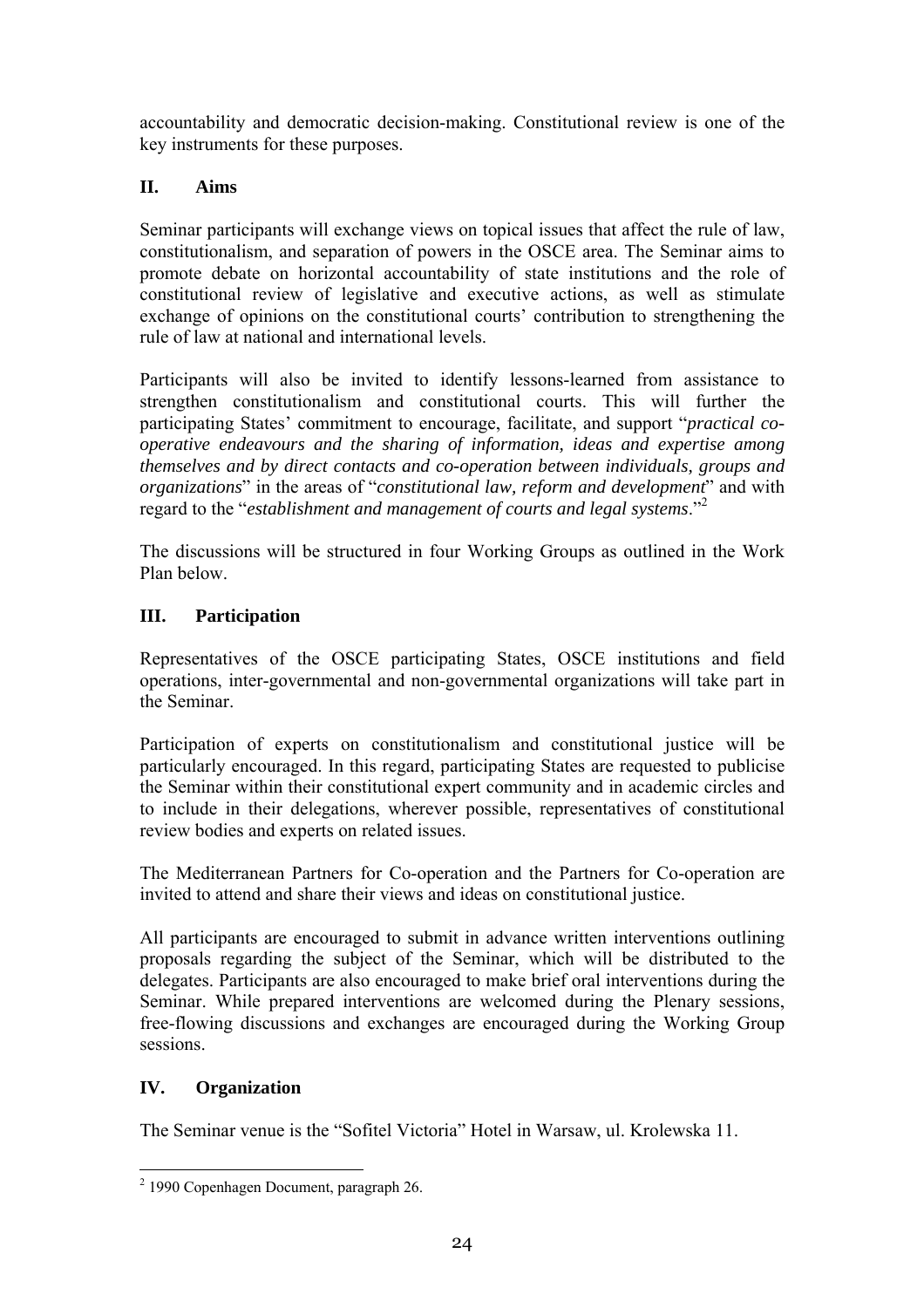accountability and democratic decision-making. Constitutional review is one of the key instruments for these purposes.

### **II. Aims**

Seminar participants will exchange views on topical issues that affect the rule of law, constitutionalism, and separation of powers in the OSCE area. The Seminar aims to promote debate on horizontal accountability of state institutions and the role of constitutional review of legislative and executive actions, as well as stimulate exchange of opinions on the constitutional courts' contribution to strengthening the rule of law at national and international levels.

Participants will also be invited to identify lessons-learned from assistance to strengthen constitutionalism and constitutional courts. This will further the participating States' commitment to encourage, facilitate, and support *"practical cooperative endeavours and the sharing of information, ideas and expertise among themselves and by direct contacts and co-operation between individuals, groups and organizations*" in the areas of "*constitutional law, reform and development*" and with regard to the *"establishment and management of courts and legal systems*."<sup>[2](#page-23-0)</sup>

The discussions will be structured in four Working Groups as outlined in the Work Plan below.

### **III. Participation**

Representatives of the OSCE participating States, OSCE institutions and field operations, inter-governmental and non-governmental organizations will take part in the Seminar.

Participation of experts on constitutionalism and constitutional justice will be particularly encouraged. In this regard, participating States are requested to publicise the Seminar within their constitutional expert community and in academic circles and to include in their delegations, wherever possible, representatives of constitutional review bodies and experts on related issues.

The Mediterranean Partners for Co-operation and the Partners for Co-operation are invited to attend and share their views and ideas on constitutional justice.

All participants are encouraged to submit in advance written interventions outlining proposals regarding the subject of the Seminar, which will be distributed to the delegates. Participants are also encouraged to make brief oral interventions during the Seminar. While prepared interventions are welcomed during the Plenary sessions, free-flowing discussions and exchanges are encouraged during the Working Group sessions.

# **IV. Organization**

The Seminar venue is the "Sofitel Victoria" Hotel in Warsaw, ul. Krolewska 11.

<span id="page-23-0"></span> 2 1990 Copenhagen Document, paragraph 26.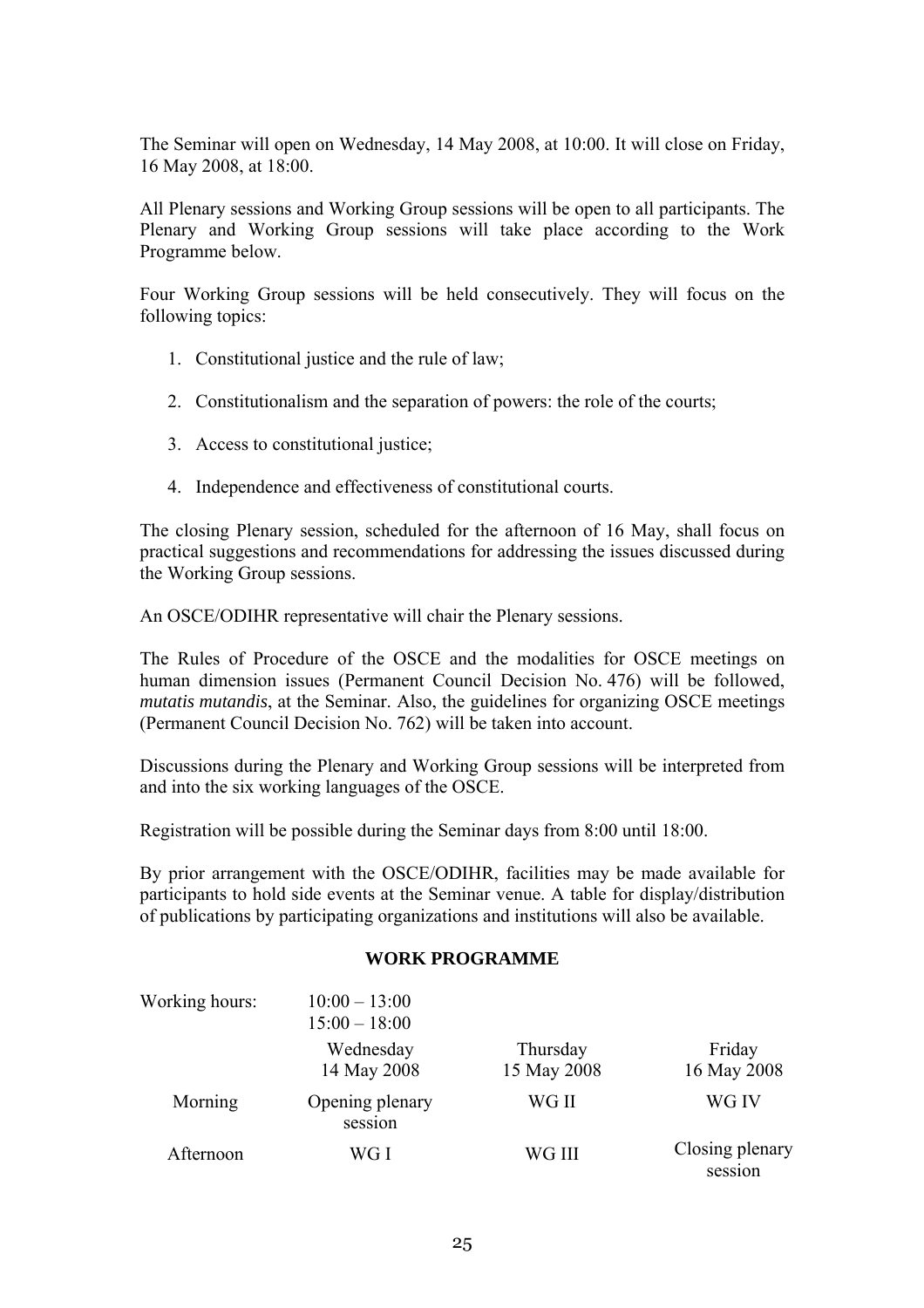The Seminar will open on Wednesday, 14 May 2008, at 10:00. It will close on Friday, 16 May 2008, at 18:00.

All Plenary sessions and Working Group sessions will be open to all participants. The Plenary and Working Group sessions will take place according to the Work Programme below.

Four Working Group sessions will be held consecutively. They will focus on the following topics:

- 1. Constitutional justice and the rule of law;
- 2. Constitutionalism and the separation of powers: the role of the courts;
- 3. Access to constitutional justice;
- 4. Independence and effectiveness of constitutional courts.

The closing Plenary session, scheduled for the afternoon of 16 May, shall focus on practical suggestions and recommendations for addressing the issues discussed during the Working Group sessions.

An OSCE/ODIHR representative will chair the Plenary sessions.

The Rules of Procedure of the OSCE and the modalities for OSCE meetings on human dimension issues (Permanent Council Decision No. 476) will be followed, *mutatis mutandis*, at the Seminar. Also, the guidelines for organizing OSCE meetings (Permanent Council Decision No. 762) will be taken into account.

Discussions during the Plenary and Working Group sessions will be interpreted from and into the six working languages of the OSCE.

Registration will be possible during the Seminar days from 8:00 until 18:00.

By prior arrangement with the OSCE/ODIHR, facilities may be made available for participants to hold side events at the Seminar venue. A table for display/distribution of publications by participating organizations and institutions will also be available.

#### **WORK PROGRAMME**

| Working hours: | $10:00 - 13:00$<br>$15:00 - 18:00$ |                         |                            |
|----------------|------------------------------------|-------------------------|----------------------------|
|                | Wednesday<br>14 May 2008           | Thursday<br>15 May 2008 | Friday<br>16 May 2008      |
| Morning        | Opening plenary<br>session         | WG II                   | WG IV                      |
| Afternoon      | WG I                               | WG III                  | Closing plenary<br>session |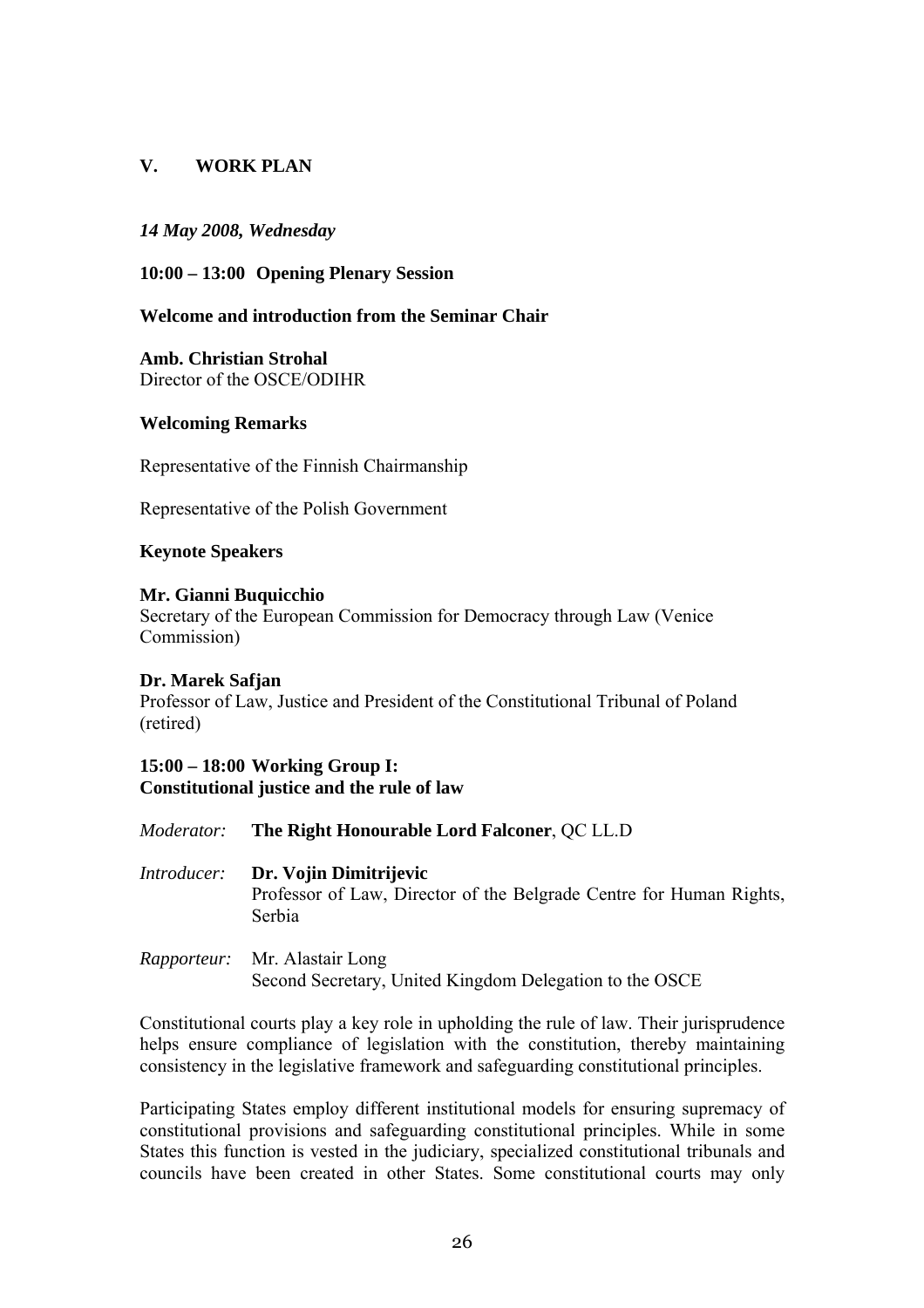### **V. WORK PLAN**

#### *14 May 2008, Wednesday*

#### **10:00 – 13:00 Opening Plenary Session**

### **Welcome and introduction from the Seminar Chair**

**Amb. Christian Strohal**  Director of the OSCE/ODIHR

#### **Welcoming Remarks**

Representative of the Finnish Chairmanship

Representative of the Polish Government

#### **Keynote Speakers**

#### **Mr. Gianni Buquicchio**

Secretary of the European Commission for Democracy through Law (Venice Commission)

#### **Dr. Marek Safjan**

Professor of Law, Justice and President of the Constitutional Tribunal of Poland (retired)

#### **15:00 – 18:00 Working Group I: Constitutional justice and the rule of law**

| <i>Moderator:</i> The Right Honourable Lord Falconer, QC LL.D                                                              |
|----------------------------------------------------------------------------------------------------------------------------|
| <i>Introducer:</i> Dr. Vojin Dimitrijevic<br>Professor of Law, Director of the Belgrade Centre for Human Rights,<br>Serbia |
| <i>Rapporteur:</i> Mr. Alastair Long                                                                                       |

# Second Secretary, United Kingdom Delegation to the OSCE

Constitutional courts play a key role in upholding the rule of law. Their jurisprudence helps ensure compliance of legislation with the constitution, thereby maintaining consistency in the legislative framework and safeguarding constitutional principles.

Participating States employ different institutional models for ensuring supremacy of constitutional provisions and safeguarding constitutional principles. While in some States this function is vested in the judiciary, specialized constitutional tribunals and councils have been created in other States. Some constitutional courts may only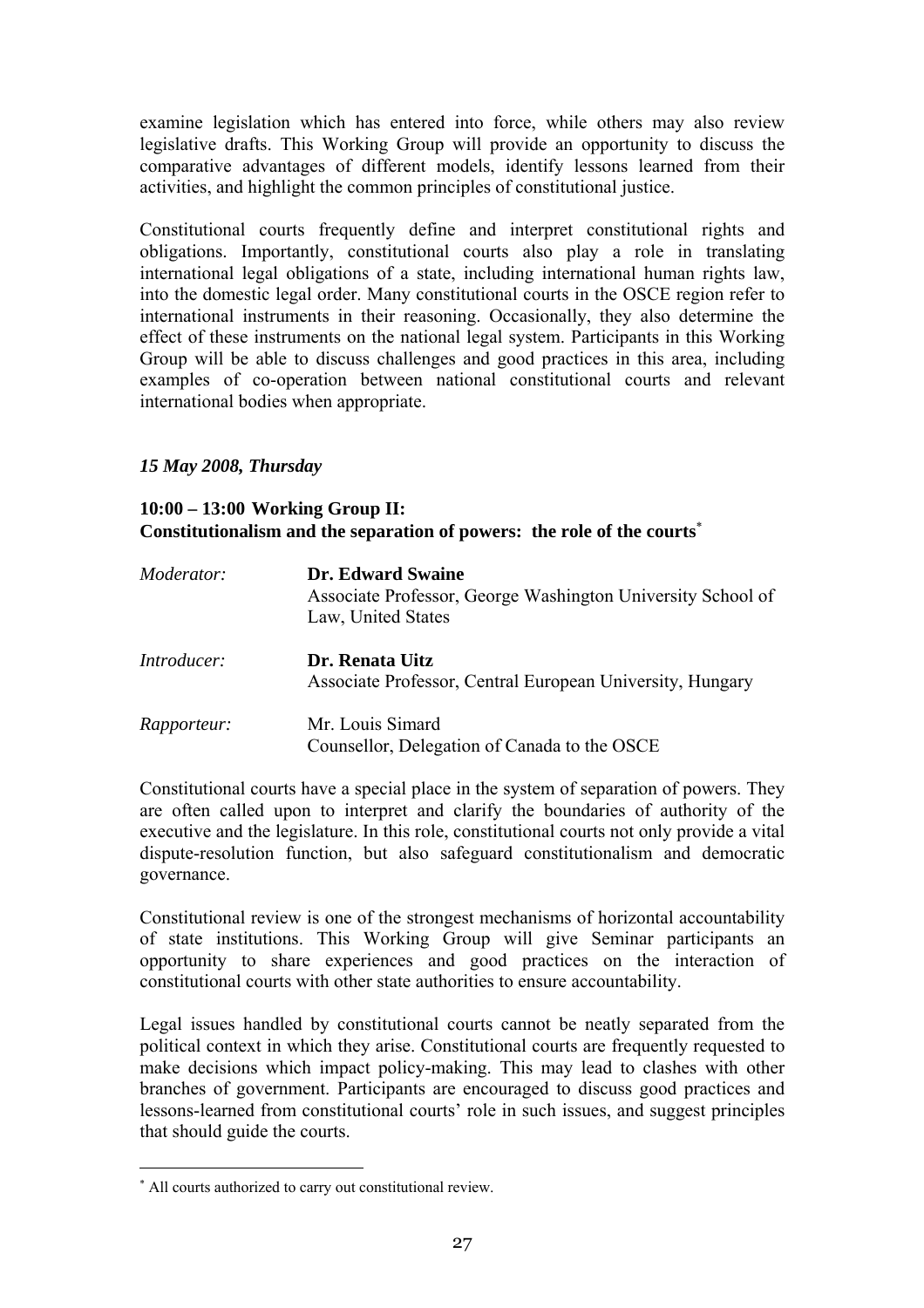examine legislation which has entered into force, while others may also review legislative drafts. This Working Group will provide an opportunity to discuss the comparative advantages of different models, identify lessons learned from their activities, and highlight the common principles of constitutional justice.

Constitutional courts frequently define and interpret constitutional rights and obligations. Importantly, constitutional courts also play a role in translating international legal obligations of a state, including international human rights law, into the domestic legal order. Many constitutional courts in the OSCE region refer to international instruments in their reasoning. Occasionally, they also determine the effect of these instruments on the national legal system. Participants in this Working Group will be able to discuss challenges and good practices in this area, including examples of co-operation between national constitutional courts and relevant international bodies when appropriate.

### *15 May 2008, Thursday*

### **10:00 – 13:00 Working Group II: Constitutionalism and the separation of powers: the role of the courts**[∗](#page-26-0)

| Moderator:         | <b>Dr. Edward Swaine</b><br>Associate Professor, George Washington University School of<br>Law, United States |
|--------------------|---------------------------------------------------------------------------------------------------------------|
| <i>Introducer:</i> | Dr. Renata Uitz<br>Associate Professor, Central European University, Hungary                                  |
| <i>Rapporteur:</i> | Mr. Louis Simard<br>Counsellor, Delegation of Canada to the OSCE                                              |

Constitutional courts have a special place in the system of separation of powers. They are often called upon to interpret and clarify the boundaries of authority of the executive and the legislature. In this role, constitutional courts not only provide a vital dispute-resolution function, but also safeguard constitutionalism and democratic governance.

Constitutional review is one of the strongest mechanisms of horizontal accountability of state institutions. This Working Group will give Seminar participants an opportunity to share experiences and good practices on the interaction of constitutional courts with other state authorities to ensure accountability.

Legal issues handled by constitutional courts cannot be neatly separated from the political context in which they arise. Constitutional courts are frequently requested to make decisions which impact policy-making. This may lead to clashes with other branches of government. Participants are encouraged to discuss good practices and lessons-learned from constitutional courts' role in such issues, and suggest principles that should guide the courts.

 $\overline{a}$ 

<span id="page-26-0"></span><sup>∗</sup> All courts authorized to carry out constitutional review.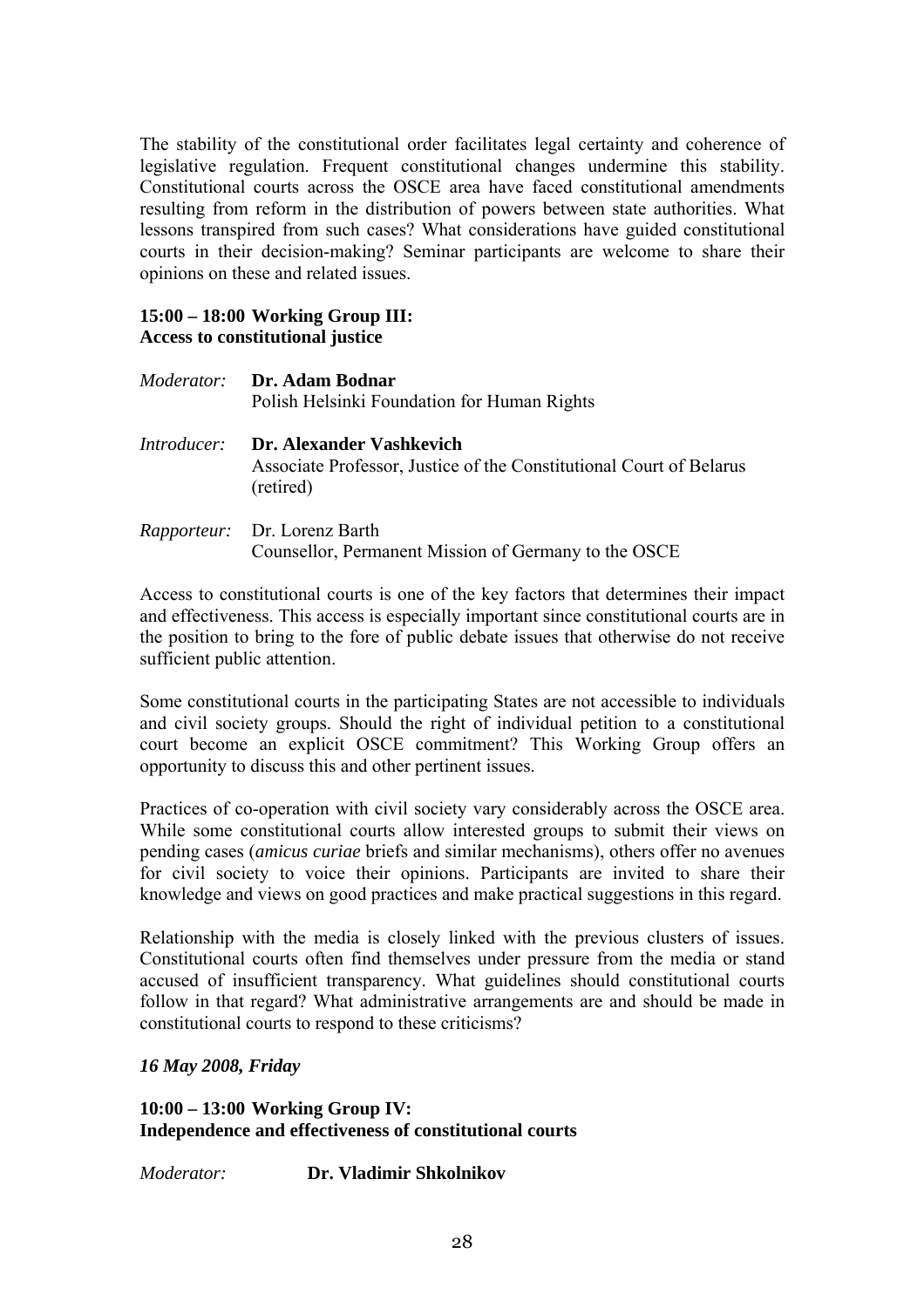The stability of the constitutional order facilitates legal certainty and coherence of legislative regulation. Frequent constitutional changes undermine this stability. Constitutional courts across the OSCE area have faced constitutional amendments resulting from reform in the distribution of powers between state authorities. What lessons transpired from such cases? What considerations have guided constitutional courts in their decision-making? Seminar participants are welcome to share their opinions on these and related issues.

### **15:00 – 18:00 Working Group III: Access to constitutional justice**

|                    | <i>Moderator:</i> Dr. Adam Bodnar<br>Polish Helsinki Foundation for Human Rights                             |
|--------------------|--------------------------------------------------------------------------------------------------------------|
| <i>Introducer:</i> | Dr. Alexander Vashkevich<br>Associate Professor, Justice of the Constitutional Court of Belarus<br>(retired) |
|                    | <i>Rapporteur:</i> Dr. Lorenz Barth<br>Counsellor, Permanent Mission of Germany to the OSCE                  |

Access to constitutional courts is one of the key factors that determines their impact and effectiveness. This access is especially important since constitutional courts are in the position to bring to the fore of public debate issues that otherwise do not receive sufficient public attention.

Some constitutional courts in the participating States are not accessible to individuals and civil society groups. Should the right of individual petition to a constitutional court become an explicit OSCE commitment? This Working Group offers an opportunity to discuss this and other pertinent issues.

Practices of co-operation with civil society vary considerably across the OSCE area. While some constitutional courts allow interested groups to submit their views on pending cases (*amicus curiae* briefs and similar mechanisms), others offer no avenues for civil society to voice their opinions. Participants are invited to share their knowledge and views on good practices and make practical suggestions in this regard.

Relationship with the media is closely linked with the previous clusters of issues. Constitutional courts often find themselves under pressure from the media or stand accused of insufficient transparency. What guidelines should constitutional courts follow in that regard? What administrative arrangements are and should be made in constitutional courts to respond to these criticisms?

### *16 May 2008, Friday*

**10:00 – 13:00 Working Group IV: Independence and effectiveness of constitutional courts** 

*Moderator:* **Dr. Vladimir Shkolnikov**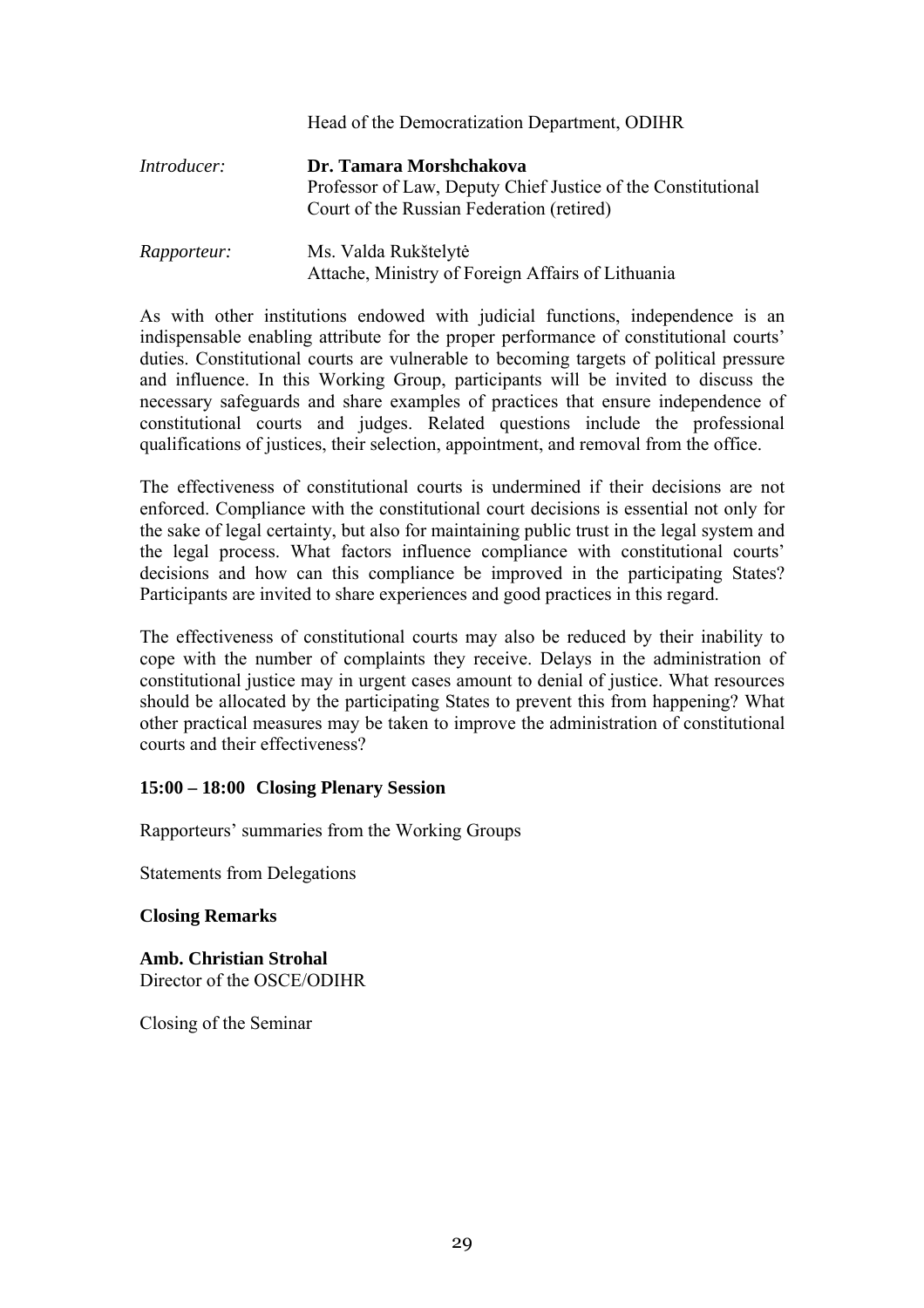|                    | Head of the Democratization Department, ODIHR                                                                                        |
|--------------------|--------------------------------------------------------------------------------------------------------------------------------------|
| <i>Introducer:</i> | Dr. Tamara Morshchakova<br>Professor of Law, Deputy Chief Justice of the Constitutional<br>Court of the Russian Federation (retired) |
| <i>Rapporteur:</i> | Ms. Valda Rukštelytė<br>Attache, Ministry of Foreign Affairs of Lithuania                                                            |

As with other institutions endowed with judicial functions, independence is an indispensable enabling attribute for the proper performance of constitutional courts<sup>'</sup> duties. Constitutional courts are vulnerable to becoming targets of political pressure and influence. In this Working Group, participants will be invited to discuss the necessary safeguards and share examples of practices that ensure independence of constitutional courts and judges. Related questions include the professional qualifications of justices, their selection, appointment, and removal from the office.

The effectiveness of constitutional courts is undermined if their decisions are not enforced. Compliance with the constitutional court decisions is essential not only for the sake of legal certainty, but also for maintaining public trust in the legal system and the legal process. What factors influence compliance with constitutional courts' decisions and how can this compliance be improved in the participating States? Participants are invited to share experiences and good practices in this regard.

The effectiveness of constitutional courts may also be reduced by their inability to cope with the number of complaints they receive. Delays in the administration of constitutional justice may in urgent cases amount to denial of justice. What resources should be allocated by the participating States to prevent this from happening? What other practical measures may be taken to improve the administration of constitutional courts and their effectiveness?

### **15:00 – 18:00 Closing Plenary Session**

Rapporteurs' summaries from the Working Groups

Statements from Delegations

#### **Closing Remarks**

**Amb. Christian Strohal**  Director of the OSCE/ODIHR

Closing of the Seminar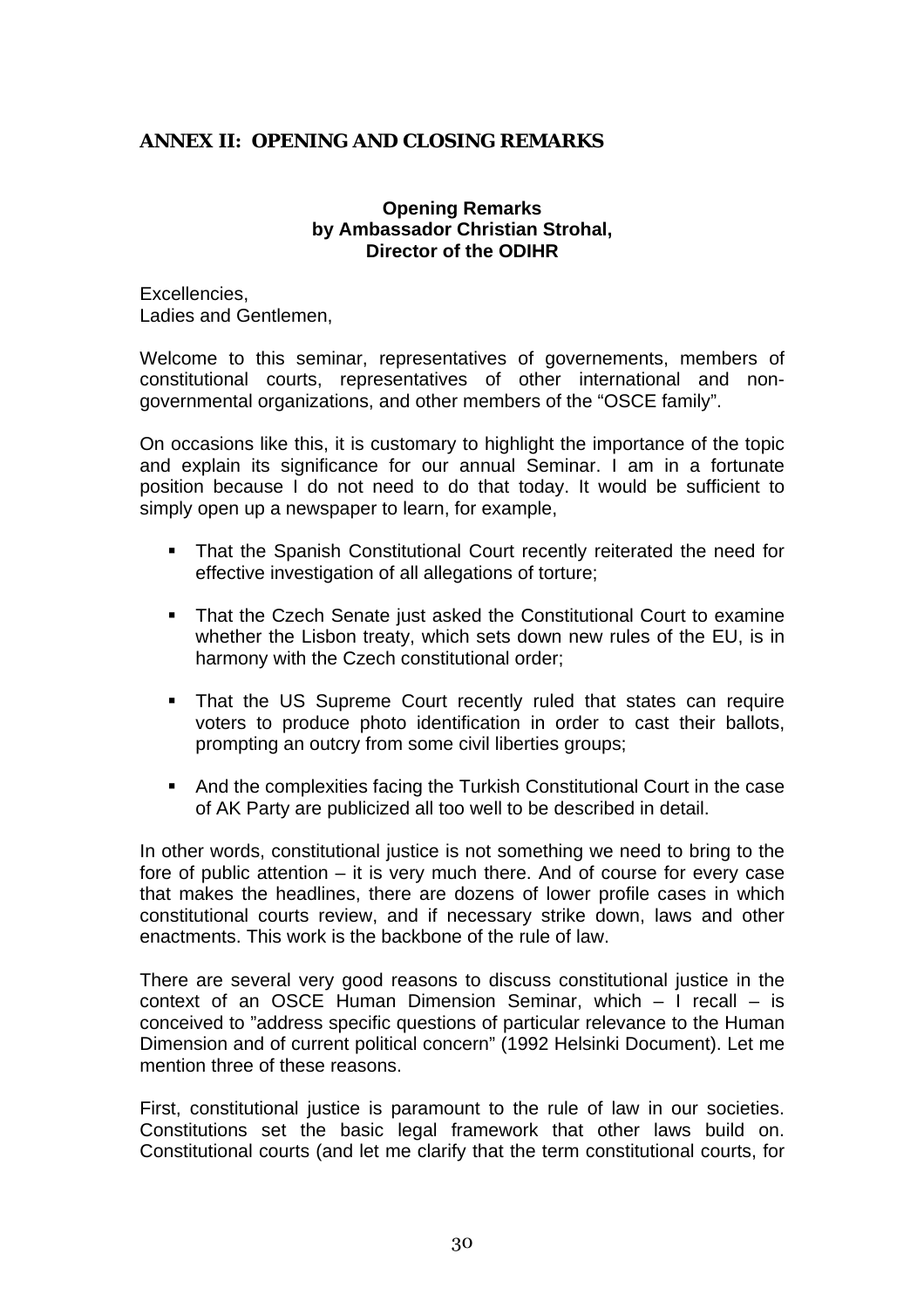### <span id="page-29-0"></span>**ANNEX II: OPENING AND CLOSING REMARKS**

### **Opening Remarks by Ambassador Christian Strohal, Director of the ODIHR**

Excellencies, Ladies and Gentlemen,

Welcome to this seminar, representatives of governements, members of constitutional courts, representatives of other international and nongovernmental organizations, and other members of the "OSCE family".

On occasions like this, it is customary to highlight the importance of the topic and explain its significance for our annual Seminar. I am in a fortunate position because I do not need to do that today. It would be sufficient to simply open up a newspaper to learn, for example,

- ! That the Spanish Constitutional Court recently reiterated the need for effective investigation of all allegations of torture;
- ! That the Czech Senate just asked the Constitutional Court to examine whether the Lisbon treaty, which sets down new rules of the EU, is in harmony with the Czech constitutional order;
- ! That the US Supreme Court recently ruled that states can require voters to produce photo identification in order to cast their ballots, prompting an outcry from some civil liberties groups;
- ! And the complexities facing the Turkish Constitutional Court in the case of AK Party are publicized all too well to be described in detail.

In other words, constitutional justice is not something we need to bring to the fore of public attention – it is very much there. And of course for every case that makes the headlines, there are dozens of lower profile cases in which constitutional courts review, and if necessary strike down, laws and other enactments. This work is the backbone of the rule of law.

There are several very good reasons to discuss constitutional justice in the context of an OSCE Human Dimension Seminar, which – I recall – is conceived to "address specific questions of particular relevance to the Human Dimension and of current political concern" (1992 Helsinki Document). Let me mention three of these reasons.

First, constitutional justice is paramount to the rule of law in our societies. Constitutions set the basic legal framework that other laws build on. Constitutional courts (and let me clarify that the term constitutional courts, for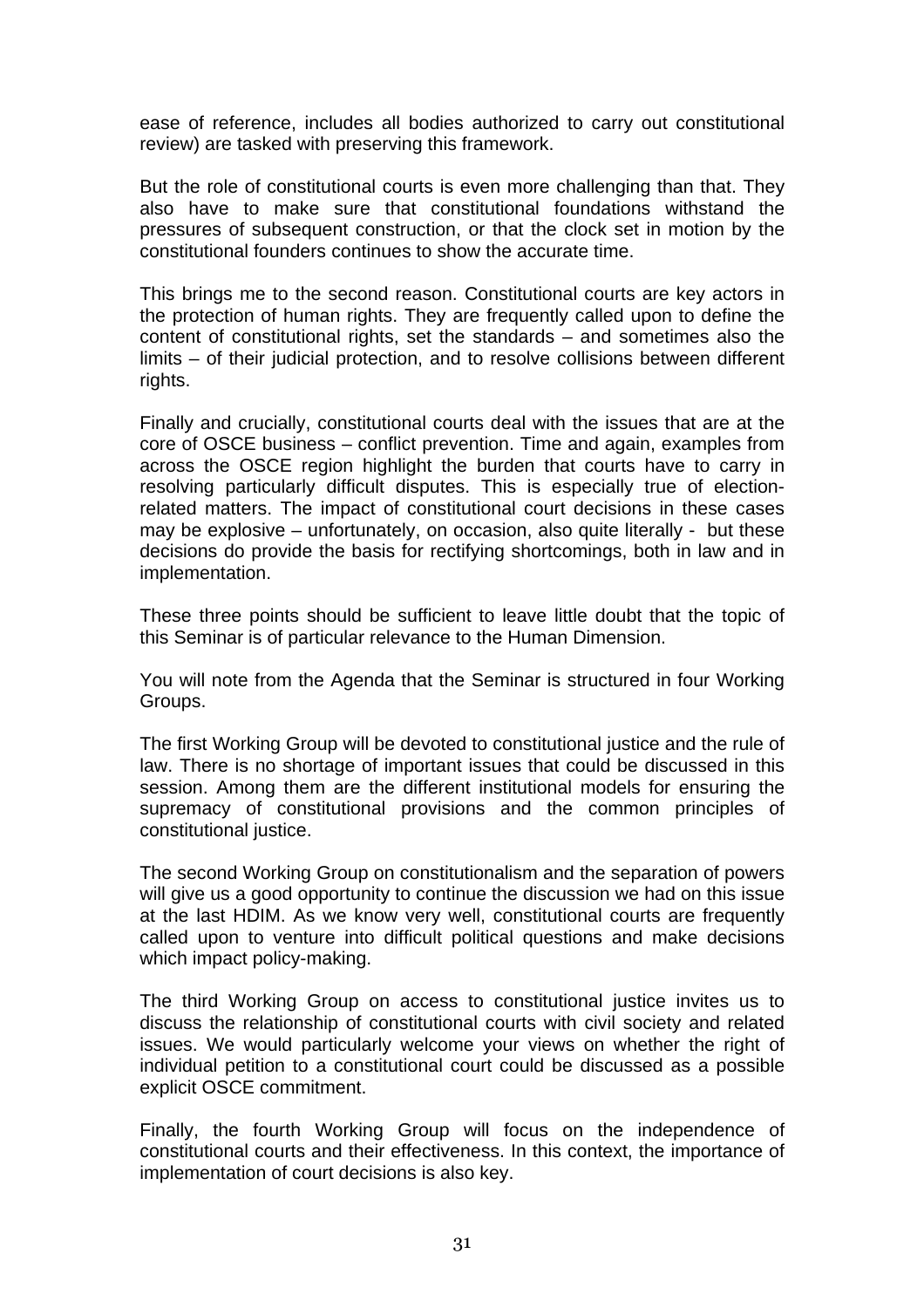ease of reference, includes all bodies authorized to carry out constitutional review) are tasked with preserving this framework.

But the role of constitutional courts is even more challenging than that. They also have to make sure that constitutional foundations withstand the pressures of subsequent construction, or that the clock set in motion by the constitutional founders continues to show the accurate time.

This brings me to the second reason. Constitutional courts are key actors in the protection of human rights. They are frequently called upon to define the content of constitutional rights, set the standards – and sometimes also the limits – of their judicial protection, and to resolve collisions between different rights.

Finally and crucially, constitutional courts deal with the issues that are at the core of OSCE business – conflict prevention. Time and again, examples from across the OSCE region highlight the burden that courts have to carry in resolving particularly difficult disputes. This is especially true of electionrelated matters. The impact of constitutional court decisions in these cases may be explosive – unfortunately, on occasion, also quite literally - but these decisions do provide the basis for rectifying shortcomings, both in law and in implementation.

These three points should be sufficient to leave little doubt that the topic of this Seminar is of particular relevance to the Human Dimension.

You will note from the Agenda that the Seminar is structured in four Working Groups.

The first Working Group will be devoted to constitutional justice and the rule of law. There is no shortage of important issues that could be discussed in this session. Among them are the different institutional models for ensuring the supremacy of constitutional provisions and the common principles of constitutional justice.

The second Working Group on constitutionalism and the separation of powers will give us a good opportunity to continue the discussion we had on this issue at the last HDIM. As we know very well, constitutional courts are frequently called upon to venture into difficult political questions and make decisions which impact policy-making.

The third Working Group on access to constitutional justice invites us to discuss the relationship of constitutional courts with civil society and related issues. We would particularly welcome your views on whether the right of individual petition to a constitutional court could be discussed as a possible explicit OSCE commitment.

Finally, the fourth Working Group will focus on the independence of constitutional courts and their effectiveness. In this context, the importance of implementation of court decisions is also key.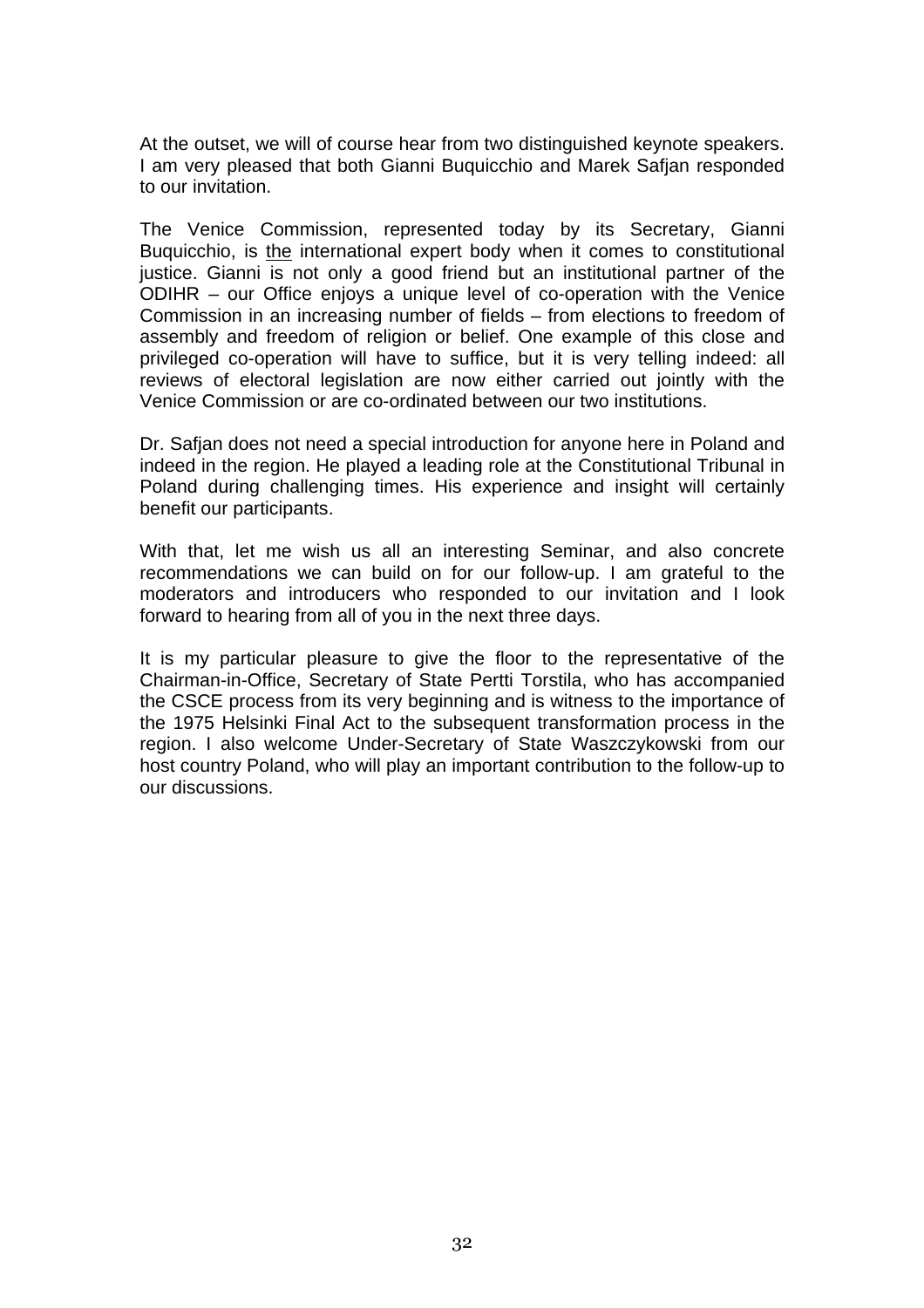At the outset, we will of course hear from two distinguished keynote speakers. I am very pleased that both Gianni Buquicchio and Marek Safjan responded to our invitation.

The Venice Commission, represented today by its Secretary, Gianni Buquicchio, is the international expert body when it comes to constitutional justice. Gianni is not only a good friend but an institutional partner of the ODIHR – our Office enjoys a unique level of co-operation with the Venice Commission in an increasing number of fields – from elections to freedom of assembly and freedom of religion or belief. One example of this close and privileged co-operation will have to suffice, but it is very telling indeed: all reviews of electoral legislation are now either carried out jointly with the Venice Commission or are co-ordinated between our two institutions.

Dr. Safjan does not need a special introduction for anyone here in Poland and indeed in the region. He played a leading role at the Constitutional Tribunal in Poland during challenging times. His experience and insight will certainly benefit our participants.

With that, let me wish us all an interesting Seminar, and also concrete recommendations we can build on for our follow-up. I am grateful to the moderators and introducers who responded to our invitation and I look forward to hearing from all of you in the next three days.

It is my particular pleasure to give the floor to the representative of the Chairman-in-Office, Secretary of State Pertti Torstila, who has accompanied the CSCE process from its very beginning and is witness to the importance of the 1975 Helsinki Final Act to the subsequent transformation process in the region. I also welcome Under-Secretary of State Waszczykowski from our host country Poland, who will play an important contribution to the follow-up to our discussions.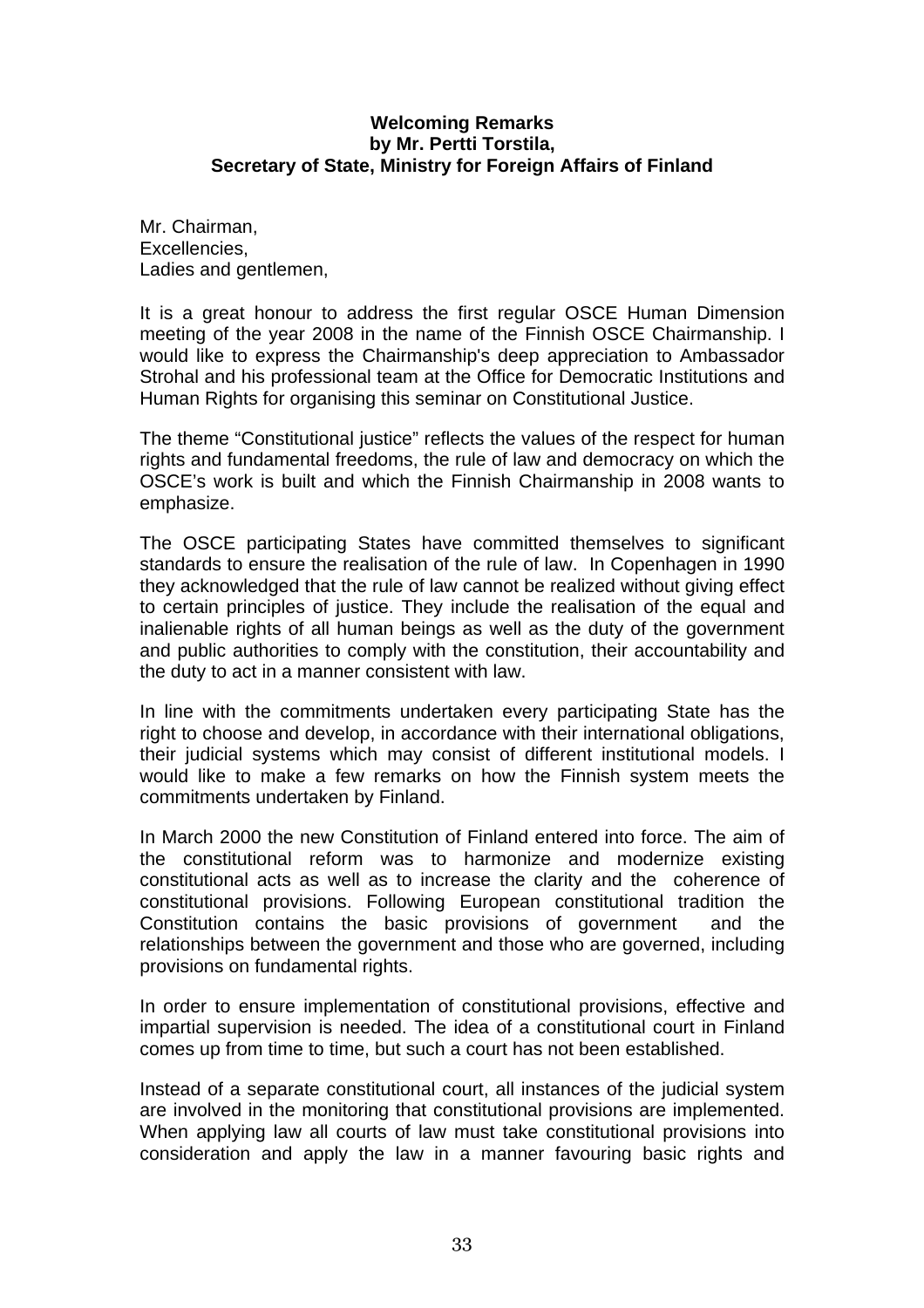### **Welcoming Remarks by Mr. Pertti Torstila, Secretary of State, Ministry for Foreign Affairs of Finland**

Mr. Chairman, Excellencies, Ladies and gentlemen.

It is a great honour to address the first regular OSCE Human Dimension meeting of the year 2008 in the name of the Finnish OSCE Chairmanship. I would like to express the Chairmanship's deep appreciation to Ambassador Strohal and his professional team at the Office for Democratic Institutions and Human Rights for organising this seminar on Constitutional Justice.

The theme "Constitutional justice" reflects the values of the respect for human rights and fundamental freedoms, the rule of law and democracy on which the OSCE's work is built and which the Finnish Chairmanship in 2008 wants to emphasize.

The OSCE participating States have committed themselves to significant standards to ensure the realisation of the rule of law. In Copenhagen in 1990 they acknowledged that the rule of law cannot be realized without giving effect to certain principles of justice. They include the realisation of the equal and inalienable rights of all human beings as well as the duty of the government and public authorities to comply with the constitution, their accountability and the duty to act in a manner consistent with law.

In line with the commitments undertaken every participating State has the right to choose and develop, in accordance with their international obligations, their judicial systems which may consist of different institutional models. I would like to make a few remarks on how the Finnish system meets the commitments undertaken by Finland.

In March 2000 the new Constitution of Finland entered into force. The aim of the constitutional reform was to harmonize and modernize existing constitutional acts as well as to increase the clarity and the coherence of constitutional provisions. Following European constitutional tradition the Constitution contains the basic provisions of government and the relationships between the government and those who are governed, including provisions on fundamental rights.

In order to ensure implementation of constitutional provisions, effective and impartial supervision is needed. The idea of a constitutional court in Finland comes up from time to time, but such a court has not been established.

Instead of a separate constitutional court, all instances of the judicial system are involved in the monitoring that constitutional provisions are implemented. When applying law all courts of law must take constitutional provisions into consideration and apply the law in a manner favouring basic rights and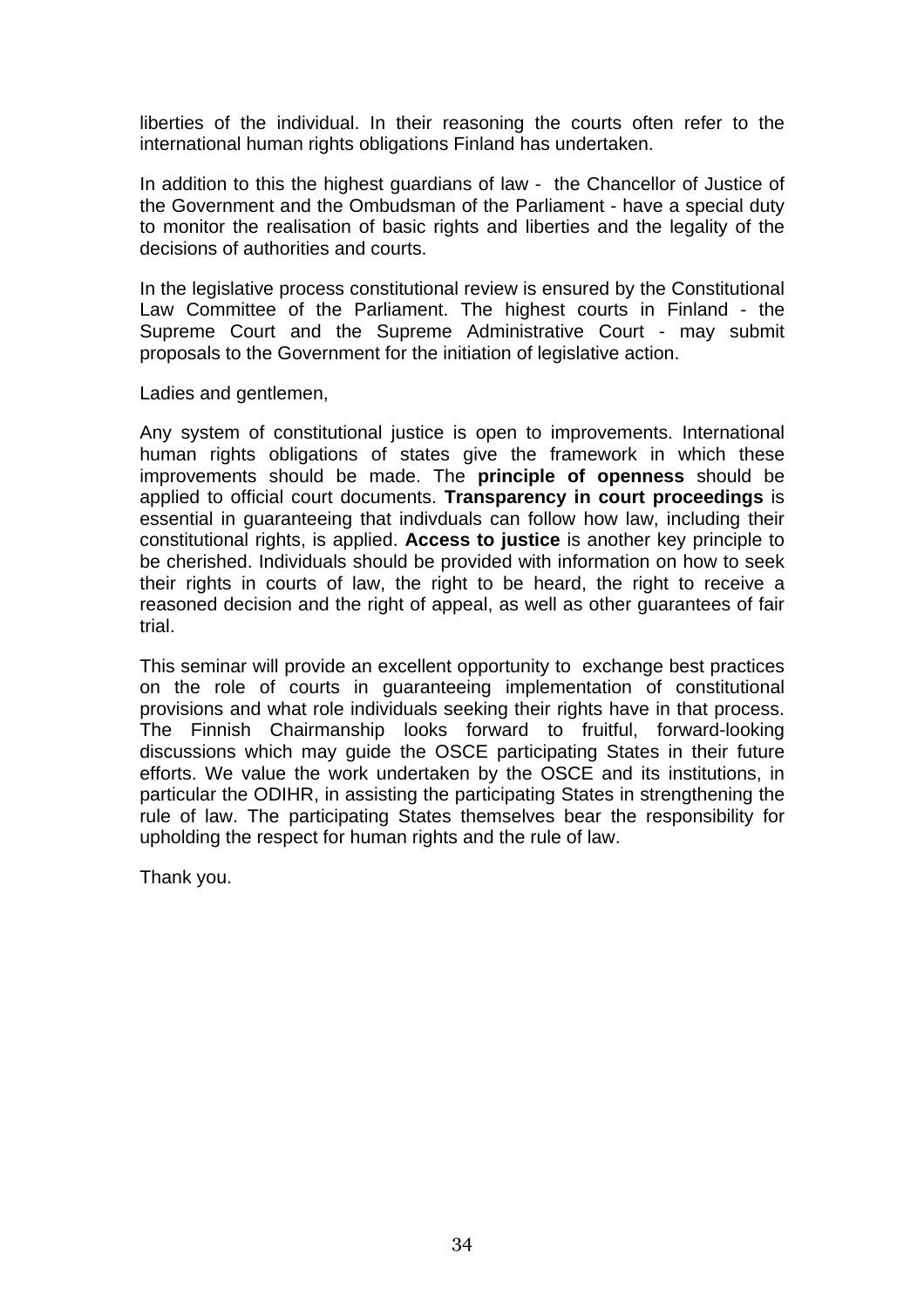liberties of the individual. In their reasoning the courts often refer to the international human rights obligations Finland has undertaken.

In addition to this the highest guardians of law - the Chancellor of Justice of the Government and the Ombudsman of the Parliament - have a special duty to monitor the realisation of basic rights and liberties and the legality of the decisions of authorities and courts.

In the legislative process constitutional review is ensured by the Constitutional Law Committee of the Parliament. The highest courts in Finland - the Supreme Court and the Supreme Administrative Court - may submit proposals to the Government for the initiation of legislative action.

Ladies and gentlemen,

Any system of constitutional justice is open to improvements. International human rights obligations of states give the framework in which these improvements should be made. The **principle of openness** should be applied to official court documents. **Transparency in court proceedings** is essential in guaranteeing that indivduals can follow how law, including their constitutional rights, is applied. **Access to justice** is another key principle to be cherished. Individuals should be provided with information on how to seek their rights in courts of law, the right to be heard, the right to receive a reasoned decision and the right of appeal, as well as other guarantees of fair trial.

This seminar will provide an excellent opportunity to exchange best practices on the role of courts in guaranteeing implementation of constitutional provisions and what role individuals seeking their rights have in that process. The Finnish Chairmanship looks forward to fruitful, forward-looking discussions which may guide the OSCE participating States in their future efforts. We value the work undertaken by the OSCE and its institutions, in particular the ODIHR, in assisting the participating States in strengthening the rule of law. The participating States themselves bear the responsibility for upholding the respect for human rights and the rule of law.

Thank you.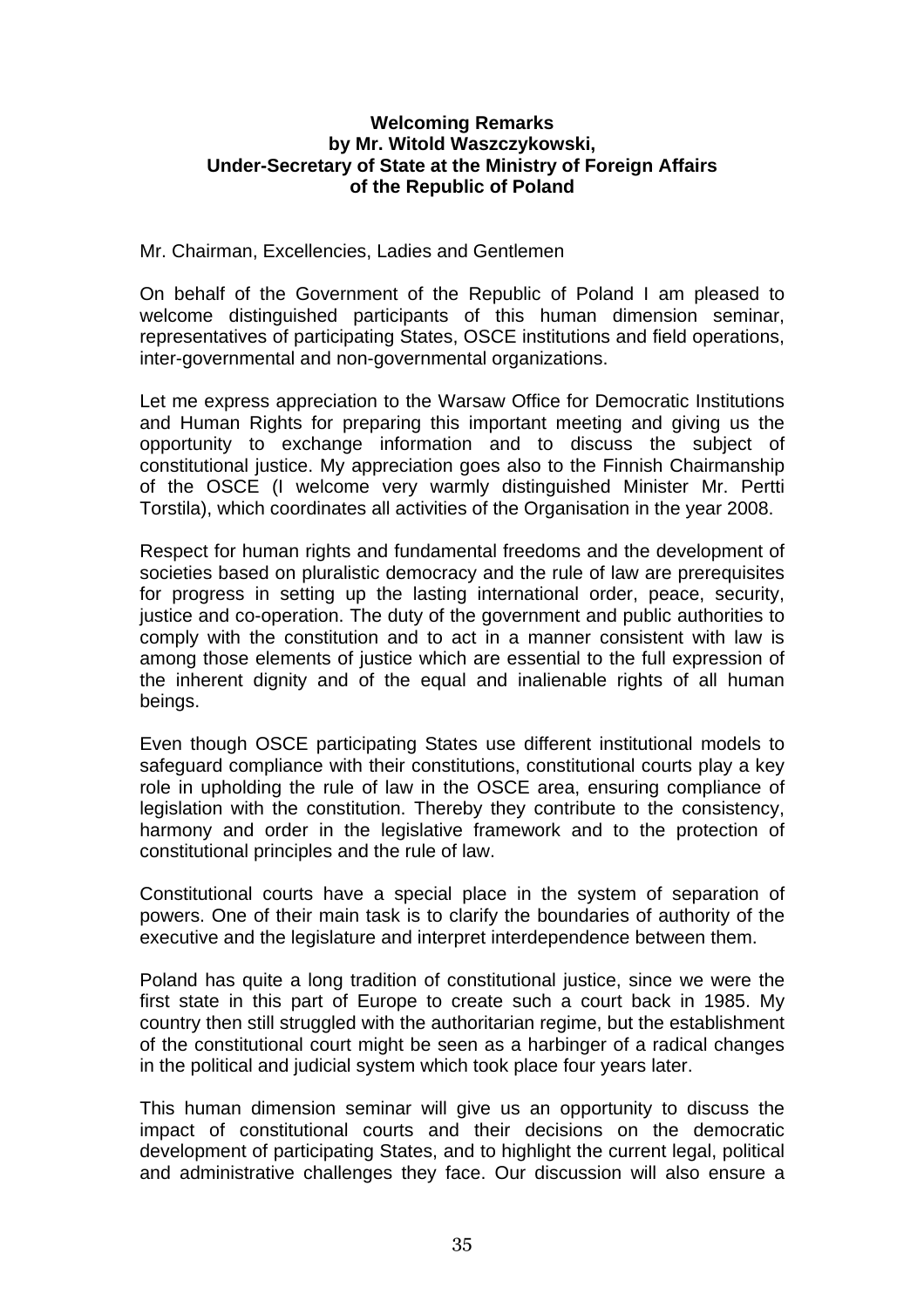### **Welcoming Remarks by Mr. Witold Waszczykowski, Under-Secretary of State at the Ministry of Foreign Affairs of the Republic of Poland**

### Mr. Chairman, Excellencies, Ladies and Gentlemen

On behalf of the Government of the Republic of Poland I am pleased to welcome distinguished participants of this human dimension seminar, representatives of participating States, OSCE institutions and field operations, inter-governmental and non-governmental organizations.

Let me express appreciation to the Warsaw Office for Democratic Institutions and Human Rights for preparing this important meeting and giving us the opportunity to exchange information and to discuss the subject of constitutional justice. My appreciation goes also to the Finnish Chairmanship of the OSCE (I welcome very warmly distinguished Minister Mr. Pertti Torstila), which coordinates all activities of the Organisation in the year 2008.

Respect for human rights and fundamental freedoms and the development of societies based on pluralistic democracy and the rule of law are prerequisites for progress in setting up the lasting international order, peace, security, justice and co-operation. The duty of the government and public authorities to comply with the constitution and to act in a manner consistent with law is among those elements of justice which are essential to the full expression of the inherent dignity and of the equal and inalienable rights of all human beings.

Even though OSCE participating States use different institutional models to safeguard compliance with their constitutions, constitutional courts play a key role in upholding the rule of law in the OSCE area, ensuring compliance of legislation with the constitution. Thereby they contribute to the consistency, harmony and order in the legislative framework and to the protection of constitutional principles and the rule of law.

Constitutional courts have a special place in the system of separation of powers. One of their main task is to clarify the boundaries of authority of the executive and the legislature and interpret interdependence between them.

Poland has quite a long tradition of constitutional justice, since we were the first state in this part of Europe to create such a court back in 1985. My country then still struggled with the authoritarian regime, but the establishment of the constitutional court might be seen as a harbinger of a radical changes in the political and judicial system which took place four years later.

This human dimension seminar will give us an opportunity to discuss the impact of constitutional courts and their decisions on the democratic development of participating States, and to highlight the current legal, political and administrative challenges they face. Our discussion will also ensure a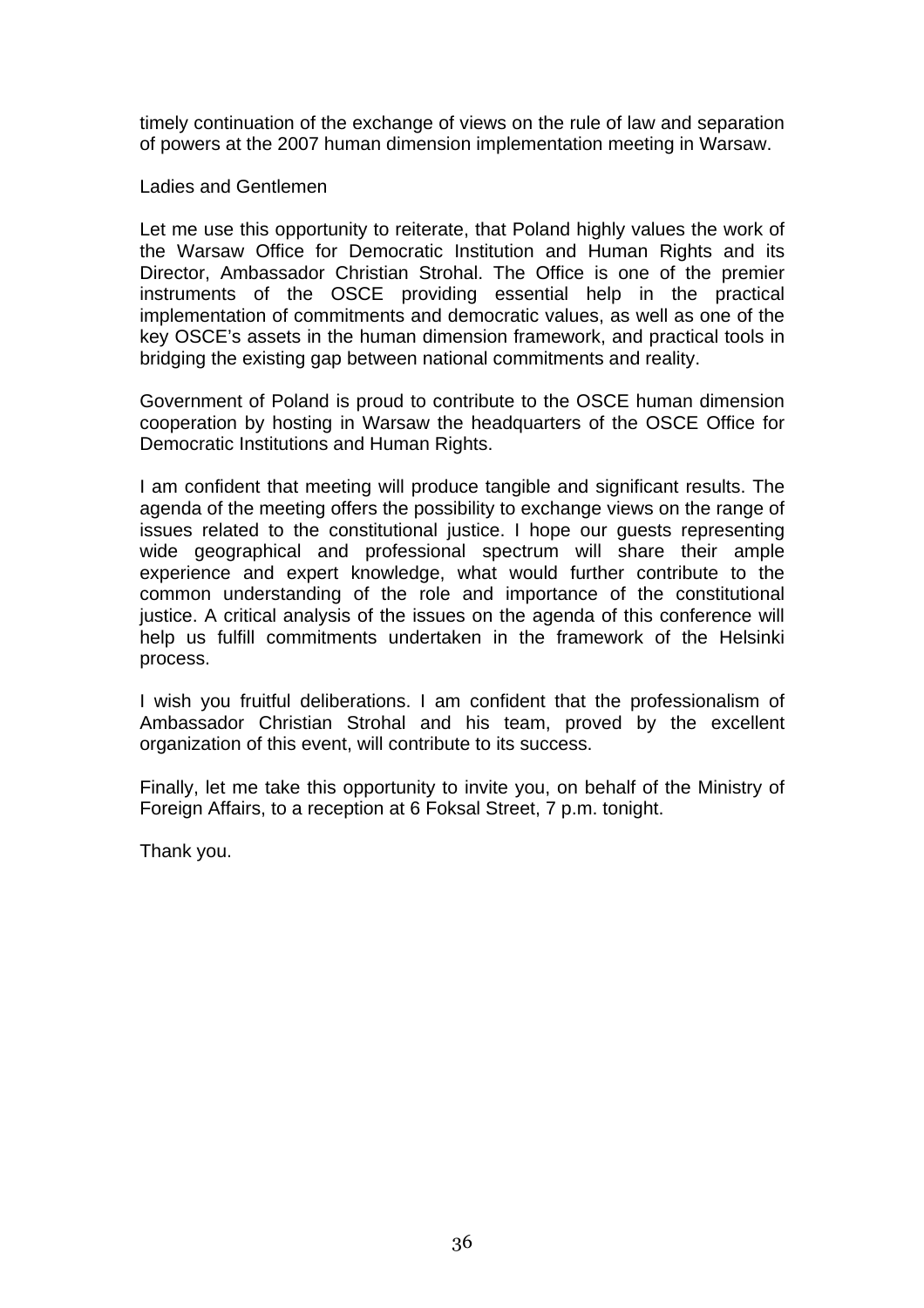timely continuation of the exchange of views on the rule of law and separation of powers at the 2007 human dimension implementation meeting in Warsaw.

Ladies and Gentlemen

Let me use this opportunity to reiterate, that Poland highly values the work of the Warsaw Office for Democratic Institution and Human Rights and its Director, Ambassador Christian Strohal. The Office is one of the premier instruments of the OSCE providing essential help in the practical implementation of commitments and democratic values, as well as one of the key OSCE's assets in the human dimension framework, and practical tools in bridging the existing gap between national commitments and reality.

Government of Poland is proud to contribute to the OSCE human dimension cooperation by hosting in Warsaw the headquarters of the OSCE Office for Democratic Institutions and Human Rights.

I am confident that meeting will produce tangible and significant results. The agenda of the meeting offers the possibility to exchange views on the range of issues related to the constitutional justice. I hope our guests representing wide geographical and professional spectrum will share their ample experience and expert knowledge, what would further contribute to the common understanding of the role and importance of the constitutional justice. A critical analysis of the issues on the agenda of this conference will help us fulfill commitments undertaken in the framework of the Helsinki process.

I wish you fruitful deliberations. I am confident that the professionalism of Ambassador Christian Strohal and his team, proved by the excellent organization of this event, will contribute to its success.

Finally, let me take this opportunity to invite you, on behalf of the Ministry of Foreign Affairs, to a reception at 6 Foksal Street, 7 p.m. tonight.

Thank you.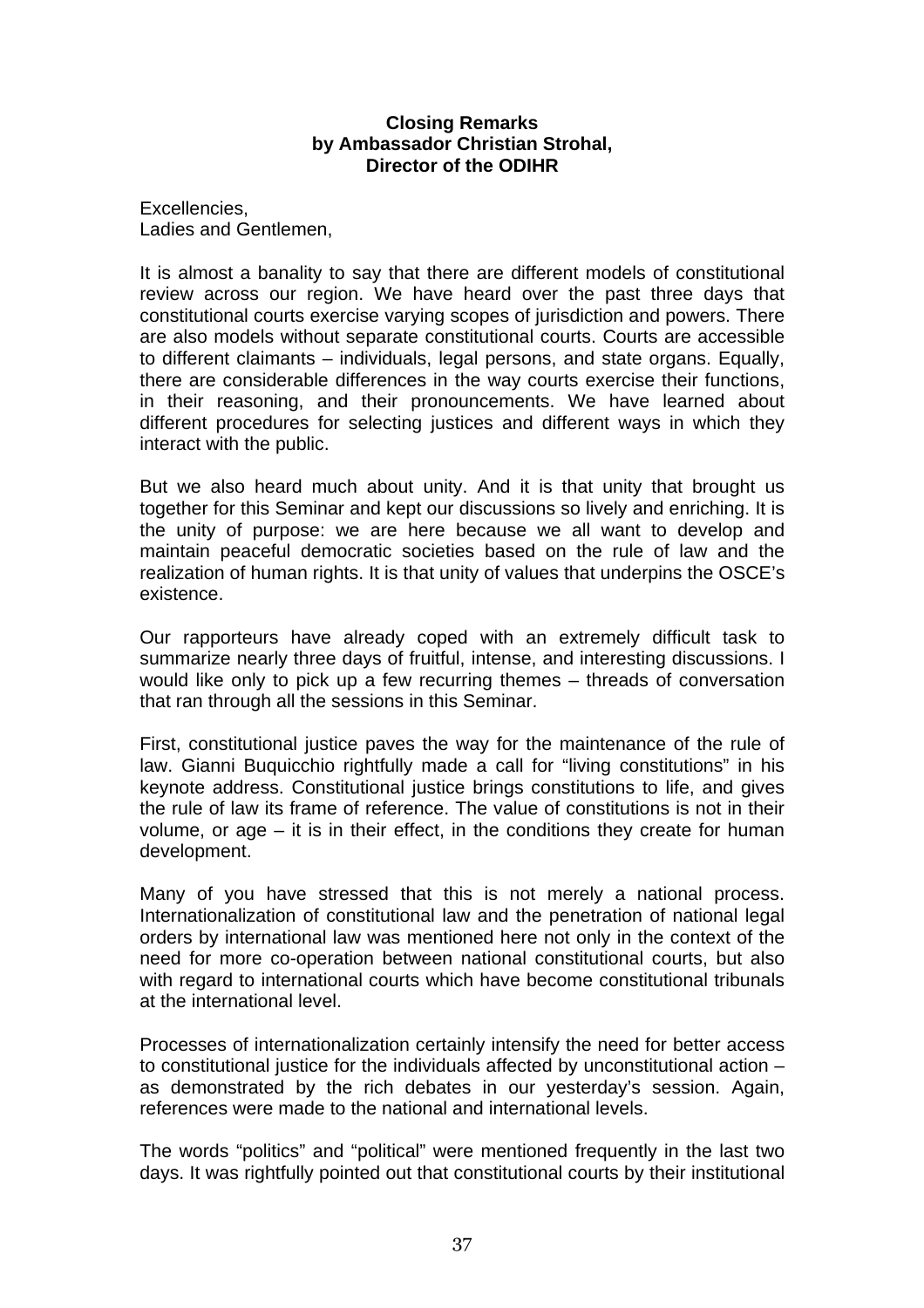### **Closing Remarks by Ambassador Christian Strohal, Director of the ODIHR**

Excellencies, Ladies and Gentlemen,

It is almost a banality to say that there are different models of constitutional review across our region. We have heard over the past three days that constitutional courts exercise varying scopes of jurisdiction and powers. There are also models without separate constitutional courts. Courts are accessible to different claimants – individuals, legal persons, and state organs. Equally, there are considerable differences in the way courts exercise their functions, in their reasoning, and their pronouncements. We have learned about different procedures for selecting justices and different ways in which they interact with the public.

But we also heard much about unity. And it is that unity that brought us together for this Seminar and kept our discussions so lively and enriching. It is the unity of purpose: we are here because we all want to develop and maintain peaceful democratic societies based on the rule of law and the realization of human rights. It is that unity of values that underpins the OSCE's existence.

Our rapporteurs have already coped with an extremely difficult task to summarize nearly three days of fruitful, intense, and interesting discussions. I would like only to pick up a few recurring themes – threads of conversation that ran through all the sessions in this Seminar.

First, constitutional justice paves the way for the maintenance of the rule of law. Gianni Buquicchio rightfully made a call for "living constitutions" in his keynote address. Constitutional justice brings constitutions to life, and gives the rule of law its frame of reference. The value of constitutions is not in their volume, or age – it is in their effect, in the conditions they create for human development.

Many of you have stressed that this is not merely a national process. Internationalization of constitutional law and the penetration of national legal orders by international law was mentioned here not only in the context of the need for more co-operation between national constitutional courts, but also with regard to international courts which have become constitutional tribunals at the international level.

Processes of internationalization certainly intensify the need for better access to constitutional justice for the individuals affected by unconstitutional action – as demonstrated by the rich debates in our yesterday's session. Again, references were made to the national and international levels.

The words "politics" and "political" were mentioned frequently in the last two days. It was rightfully pointed out that constitutional courts by their institutional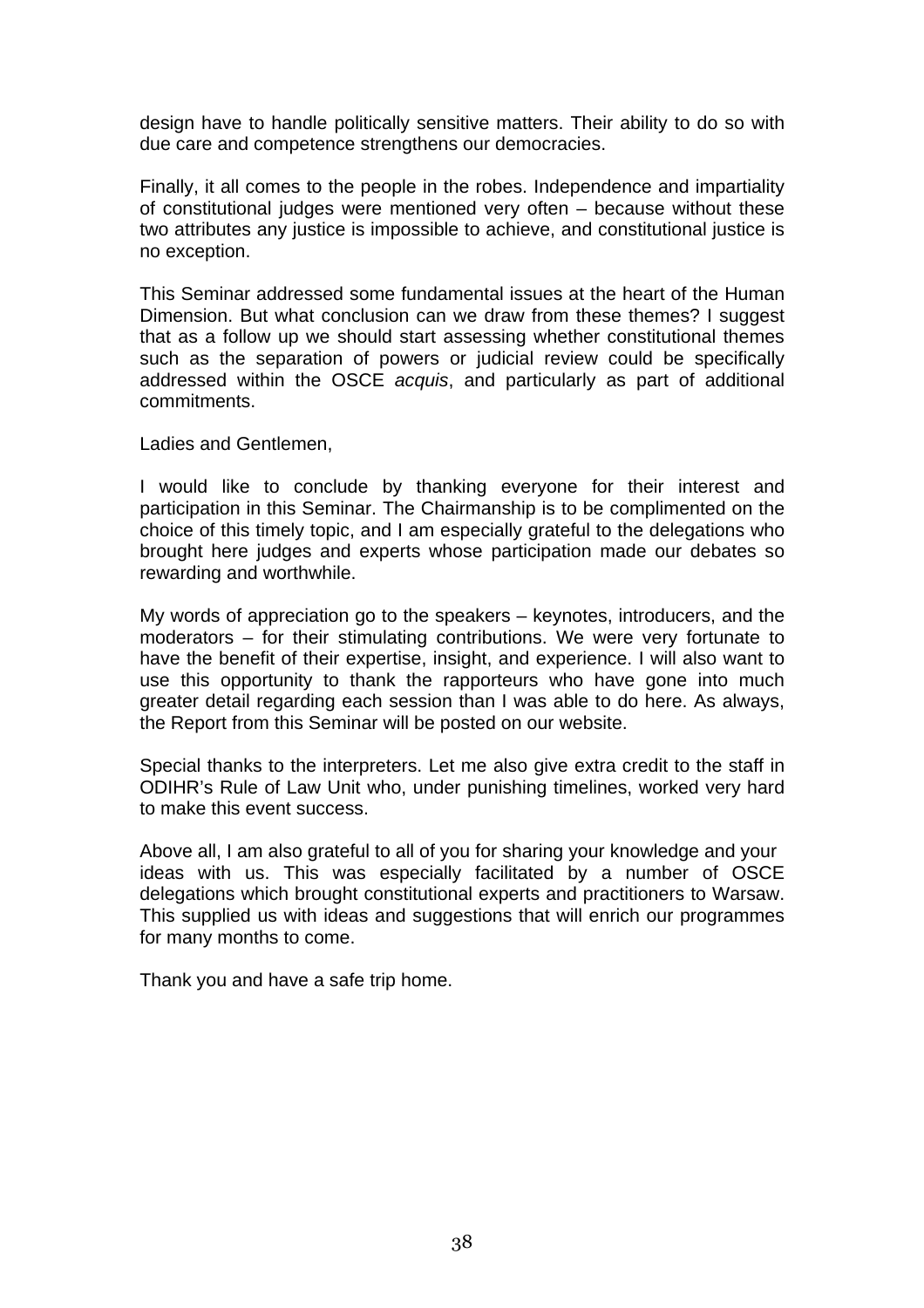design have to handle politically sensitive matters. Their ability to do so with due care and competence strengthens our democracies.

Finally, it all comes to the people in the robes. Independence and impartiality of constitutional judges were mentioned very often – because without these two attributes any justice is impossible to achieve, and constitutional justice is no exception.

This Seminar addressed some fundamental issues at the heart of the Human Dimension. But what conclusion can we draw from these themes? I suggest that as a follow up we should start assessing whether constitutional themes such as the separation of powers or judicial review could be specifically addressed within the OSCE *acquis*, and particularly as part of additional commitments.

Ladies and Gentlemen,

I would like to conclude by thanking everyone for their interest and participation in this Seminar. The Chairmanship is to be complimented on the choice of this timely topic, and I am especially grateful to the delegations who brought here judges and experts whose participation made our debates so rewarding and worthwhile.

My words of appreciation go to the speakers – keynotes, introducers, and the moderators – for their stimulating contributions. We were very fortunate to have the benefit of their expertise, insight, and experience. I will also want to use this opportunity to thank the rapporteurs who have gone into much greater detail regarding each session than I was able to do here. As always, the Report from this Seminar will be posted on our website.

Special thanks to the interpreters. Let me also give extra credit to the staff in ODIHR's Rule of Law Unit who, under punishing timelines, worked very hard to make this event success.

Above all, I am also grateful to all of you for sharing your knowledge and your ideas with us. This was especially facilitated by a number of OSCE delegations which brought constitutional experts and practitioners to Warsaw. This supplied us with ideas and suggestions that will enrich our programmes for many months to come.

Thank you and have a safe trip home.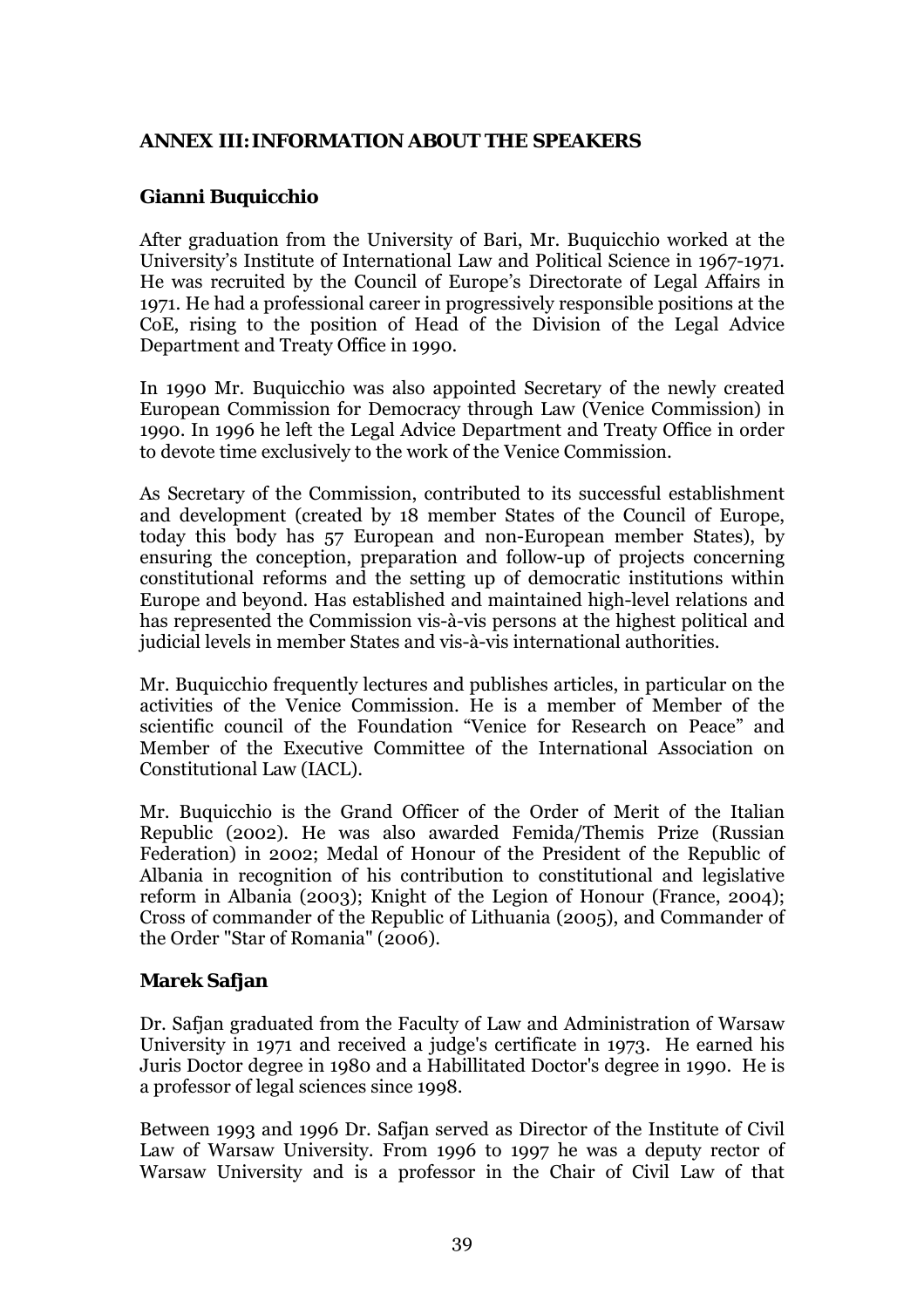### <span id="page-38-0"></span>**ANNEX III: INFORMATION ABOUT THE SPEAKERS**

# **Gianni Buquicchio**

After graduation from the University of Bari, Mr. Buquicchio worked at the Universityís Institute of International Law and Political Science in 1967-1971. He was recruited by the Council of Europe's Directorate of Legal Affairs in 1971. He had a professional career in progressively responsible positions at the CoE, rising to the position of Head of the Division of the Legal Advice Department and Treaty Office in 1990.

In 1990 Mr. Buquicchio was also appointed Secretary of the newly created European Commission for Democracy through Law (Venice Commission) in 1990. In 1996 he left the Legal Advice Department and Treaty Office in order to devote time exclusively to the work of the Venice Commission.

As Secretary of the Commission, contributed to its successful establishment and development (created by 18 member States of the Council of Europe, today this body has 57 European and non-European member States), by ensuring the conception, preparation and follow-up of projects concerning constitutional reforms and the setting up of democratic institutions within Europe and beyond. Has established and maintained high-level relations and has represented the Commission vis-à-vis persons at the highest political and judicial levels in member States and vis-à-vis international authorities.

Mr. Buquicchio frequently lectures and publishes articles, in particular on the activities of the Venice Commission. He is a member of Member of the scientific council of the Foundation "Venice for Research on Peace" and Member of the Executive Committee of the International Association on Constitutional Law (IACL).

Mr. Buquicchio is the Grand Officer of the Order of Merit of the Italian Republic (2002). He was also awarded Femida/Themis Prize (Russian Federation) in 2002; Medal of Honour of the President of the Republic of Albania in recognition of his contribution to constitutional and legislative reform in Albania (2003); Knight of the Legion of Honour (France, 2004); Cross of commander of the Republic of Lithuania (2005), and Commander of the Order "Star of Romania" (2006).

# **Marek Safjan**

Dr. Safjan graduated from the Faculty of Law and Administration of Warsaw University in 1971 and received a judge's certificate in 1973. He earned his Juris Doctor degree in 1980 and a Habillitated Doctor's degree in 1990. He is a professor of legal sciences since 1998.

Between 1993 and 1996 Dr. Safjan served as Director of the Institute of Civil Law of Warsaw University. From 1996 to 1997 he was a deputy rector of Warsaw University and is a professor in the Chair of Civil Law of that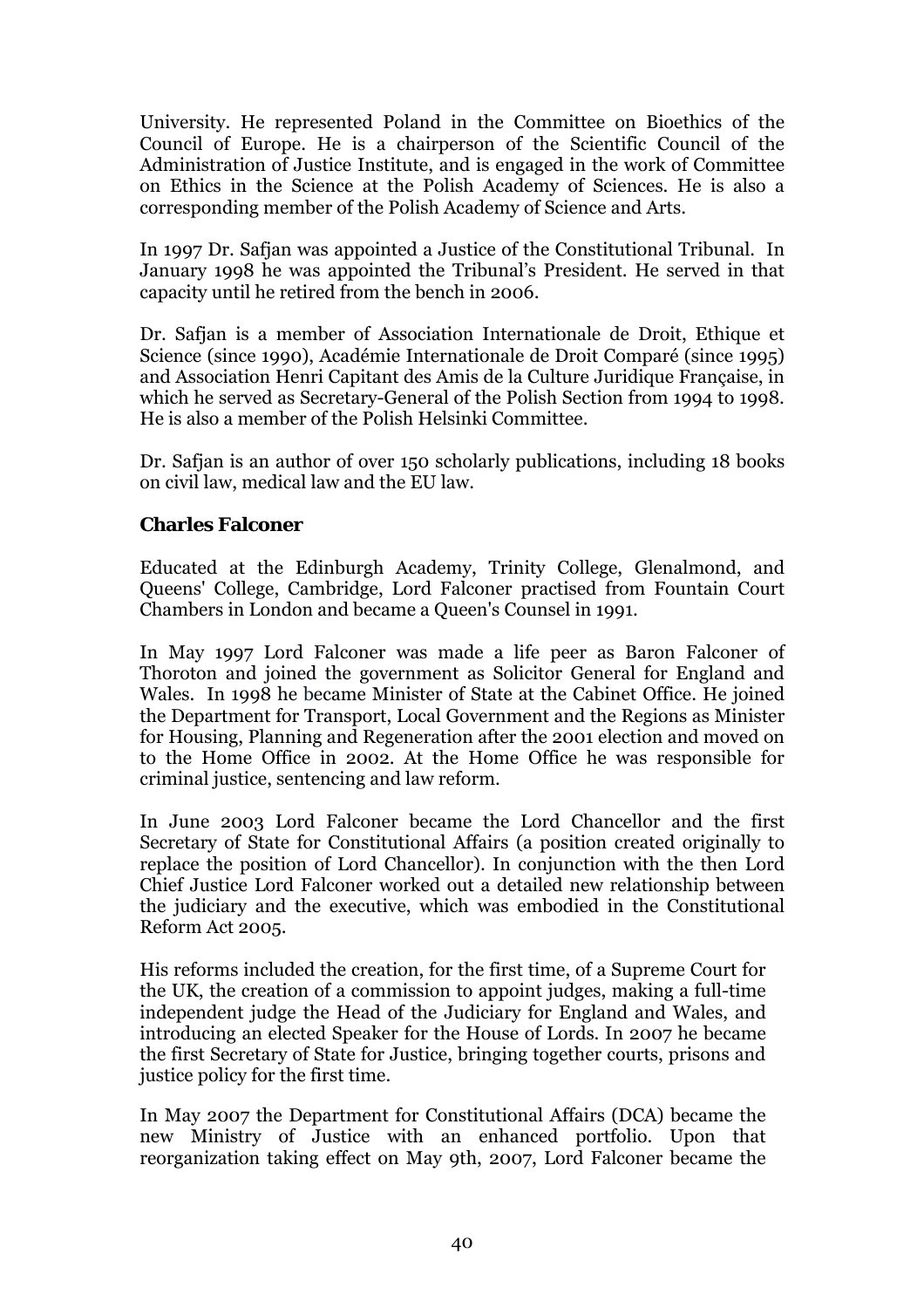University. He represented Poland in the Committee on Bioethics of the Council of Europe. He is a chairperson of the Scientific Council of the Administration of Justice Institute, and is engaged in the work of Committee on Ethics in the Science at the Polish Academy of Sciences. He is also a corresponding member of the Polish Academy of Science and Arts.

In 1997 Dr. Safjan was appointed a Justice of the Constitutional Tribunal. In January 1998 he was appointed the Tribunal's President. He served in that capacity until he retired from the bench in 2006.

Dr. Safjan is a member of Association Internationale de Droit, Ethique et Science (since 1990), Académie Internationale de Droit Comparé (since 1995) and Association Henri Capitant des Amis de la Culture Juridique Française, in which he served as Secretary-General of the Polish Section from 1994 to 1998. He is also a member of the Polish Helsinki Committee.

Dr. Safjan is an author of over 150 scholarly publications, including 18 books on civil law, medical law and the EU law.

### **Charles Falconer**

Educated at the Edinburgh Academy, Trinity College, Glenalmond, and Queens' College, Cambridge, Lord Falconer practised from Fountain Court Chambers in London and became a Queen's Counsel in 1991.

In May 1997 Lord Falconer was made a life peer as Baron Falconer of Thoroton and joined the government as Solicitor General for England and Wales. In 1998 he became Minister of State at the Cabinet Office. He joined the Department for Transport, Local Government and the Regions as Minister for Housing, Planning and Regeneration after the 2001 election and moved on to the Home Office in 2002. At the Home Office he was responsible for criminal justice, sentencing and law reform.

In June 2003 Lord Falconer became the Lord Chancellor and the first Secretary of State for Constitutional Affairs (a position created originally to replace the position of Lord Chancellor). In conjunction with the then Lord Chief Justice Lord Falconer worked out a detailed new relationship between the judiciary and the executive, which was embodied in the Constitutional Reform Act 2005.

His reforms included the creation, for the first time, of a Supreme Court for the UK, the creation of a commission to appoint judges, making a full-time independent judge the Head of the Judiciary for England and Wales, and introducing an elected Speaker for the House of Lords. In 2007 he became the first Secretary of State for Justice, bringing together courts, prisons and justice policy for the first time.

In May 2007 the Department for Constitutional Affairs (DCA) became the new Ministry of Justice with an enhanced portfolio. Upon that reorganization taking effect on May 9th, 2007, Lord Falconer became the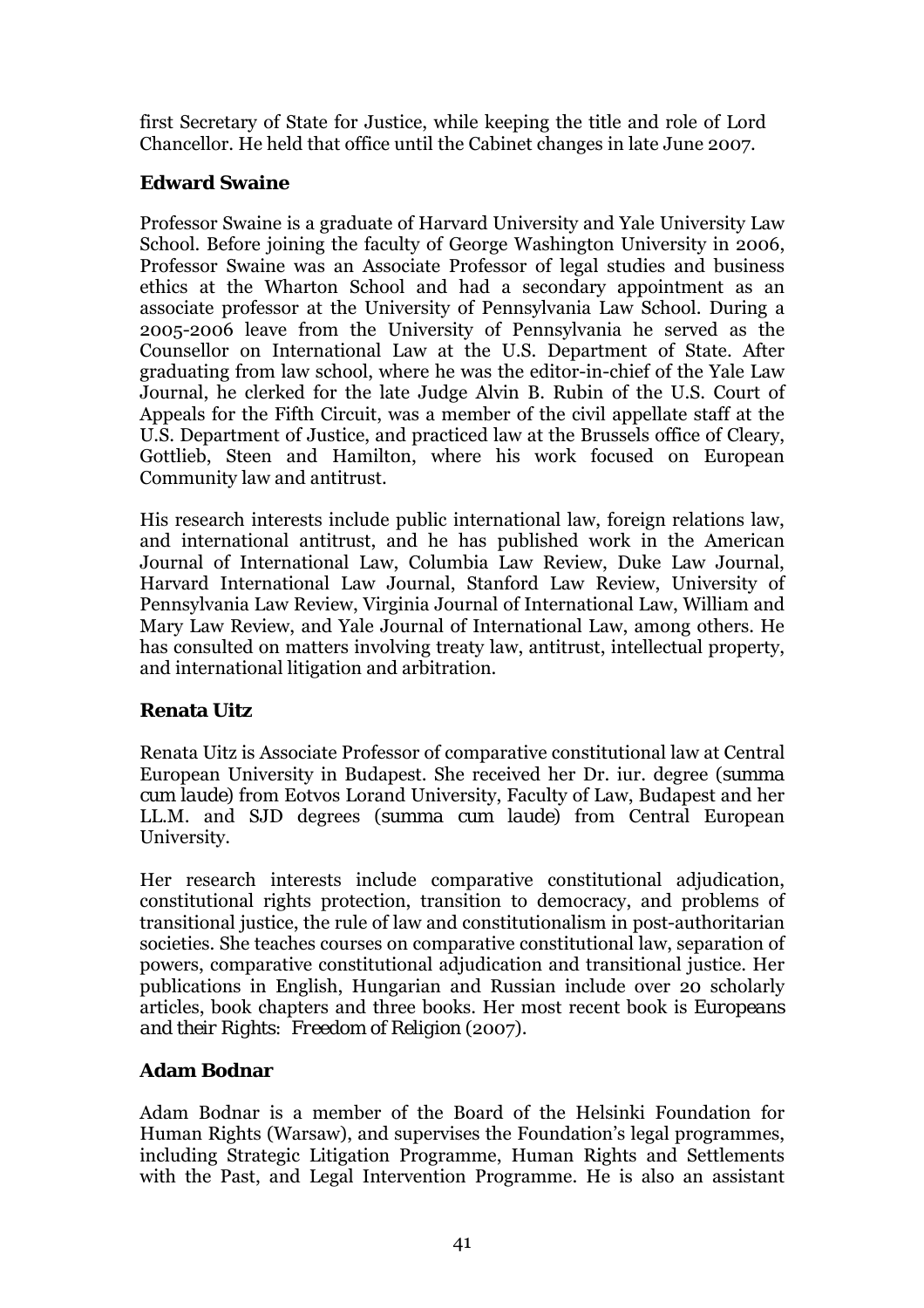first Secretary of State for Justice, while keeping the title and role of Lord Chancellor. He held that office until the Cabinet changes in late June 2007.

### **Edward Swaine**

Professor Swaine is a graduate of Harvard University and Yale University Law School. Before joining the faculty of George Washington University in 2006, Professor Swaine was an Associate Professor of legal studies and business ethics at the Wharton School and had a secondary appointment as an associate professor at the University of Pennsylvania Law School. During a 2005-2006 leave from the University of Pennsylvania he served as the Counsellor on International Law at the U.S. Department of State. After graduating from law school, where he was the editor-in-chief of the Yale Law Journal, he clerked for the late Judge Alvin B. Rubin of the U.S. Court of Appeals for the Fifth Circuit, was a member of the civil appellate staff at the U.S. Department of Justice, and practiced law at the Brussels office of Cleary, Gottlieb, Steen and Hamilton, where his work focused on European Community law and antitrust.

His research interests include public international law, foreign relations law, and international antitrust, and he has published work in the American Journal of International Law, Columbia Law Review, Duke Law Journal, Harvard International Law Journal, Stanford Law Review, University of Pennsylvania Law Review, Virginia Journal of International Law, William and Mary Law Review, and Yale Journal of International Law, among others. He has consulted on matters involving treaty law, antitrust, intellectual property, and international litigation and arbitration.

# **Renata Uitz**

Renata Uitz is Associate Professor of comparative constitutional law at Central European University in Budapest. She received her Dr. iur. degree (*summa cum laude*) from Eotvos Lorand University, Faculty of Law, Budapest and her LL.M. and SJD degrees (*summa cum laude*) from Central European University.

Her research interests include comparative constitutional adjudication, constitutional rights protection, transition to democracy, and problems of transitional justice, the rule of law and constitutionalism in post-authoritarian societies. She teaches courses on comparative constitutional law, separation of powers, comparative constitutional adjudication and transitional justice. Her publications in English, Hungarian and Russian include over 20 scholarly articles, book chapters and three books. Her most recent book is *Europeans and their Rights: Freedom of Religion* (2007).

# **Adam Bodnar**

Adam Bodnar is a member of the Board of the Helsinki Foundation for Human Rights (Warsaw), and supervises the Foundation's legal programmes, including Strategic Litigation Programme, Human Rights and Settlements with the Past, and Legal Intervention Programme. He is also an assistant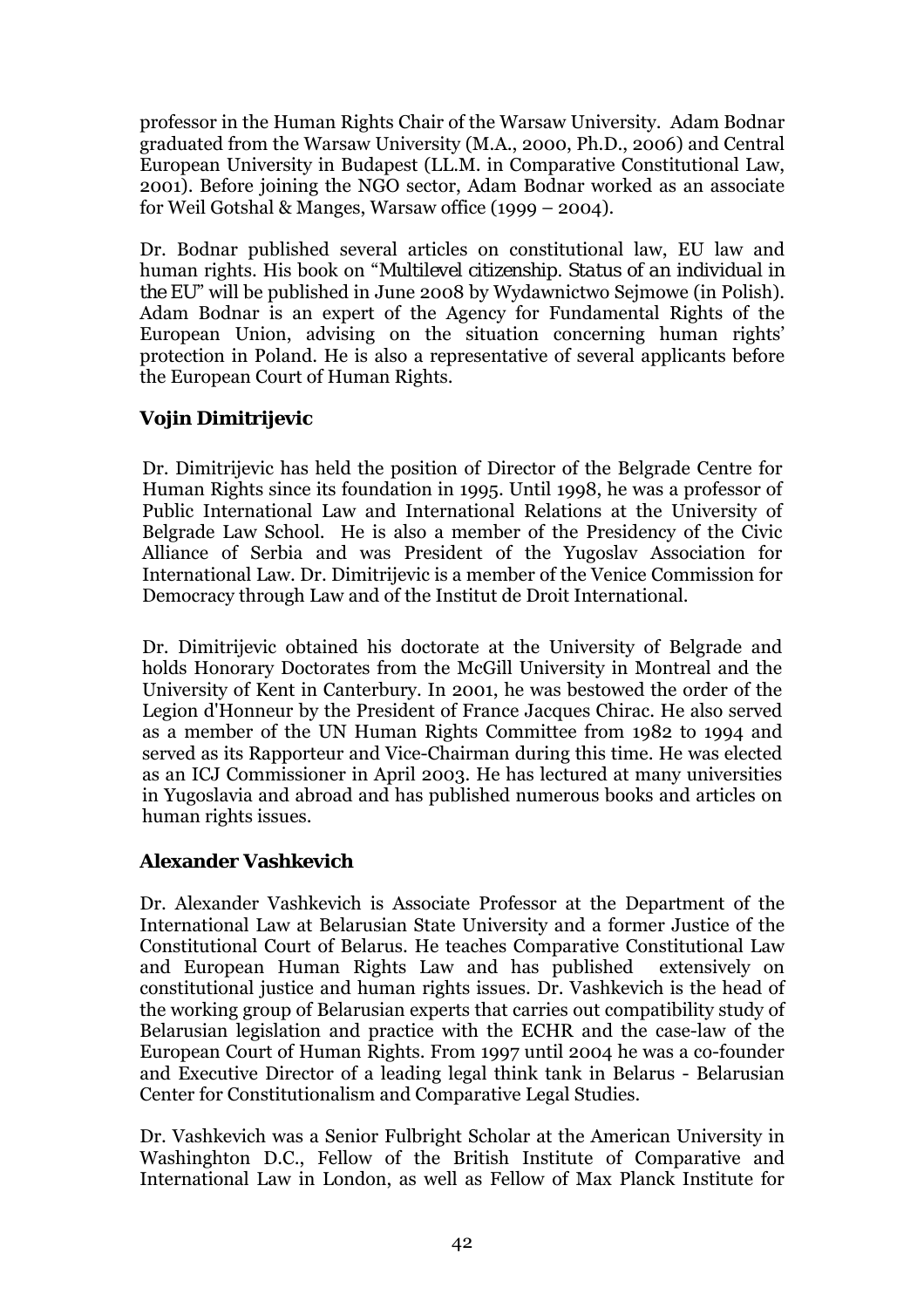professor in the Human Rights Chair of the Warsaw University. Adam Bodnar graduated from the Warsaw University (M.A., 2000, Ph.D., 2006) and Central European University in Budapest (LL.M. in Comparative Constitutional Law, 2001). Before joining the NGO sector, Adam Bodnar worked as an associate for Weil Gotshal & Manges, Warsaw office  $(1999 - 2004)$ .

Dr. Bodnar published several articles on constitutional law, EU law and human rights. His book on "*Multilevel citizenship. Status of an individual in the EU*î will be published in June 2008 by Wydawnictwo Sejmowe (in Polish). Adam Bodnar is an expert of the Agency for Fundamental Rights of the European Union, advising on the situation concerning human rights' protection in Poland. He is also a representative of several applicants before the European Court of Human Rights.

# **Vojin Dimitrijevic**

Dr. Dimitrijevic has held the position of Director of the Belgrade Centre for Human Rights since its foundation in 1995. Until 1998, he was a professor of Public International Law and International Relations at the University of Belgrade Law School. He is also a member of the Presidency of the Civic Alliance of Serbia and was President of the Yugoslav Association for International Law. Dr. Dimitrijevic is a member of the Venice Commission for Democracy through Law and of the Institut de Droit International.

Dr. Dimitrijevic obtained his doctorate at the University of Belgrade and holds Honorary Doctorates from the McGill University in Montreal and the University of Kent in Canterbury. In 2001, he was bestowed the order of the Legion d'Honneur by the President of France Jacques Chirac. He also served as a member of the UN Human Rights Committee from 1982 to 1994 and served as its Rapporteur and Vice-Chairman during this time. He was elected as an ICJ Commissioner in April 2003. He has lectured at many universities in Yugoslavia and abroad and has published numerous books and articles on human rights issues.

# **Alexander Vashkevich**

Dr. Alexander Vashkevich is Associate Professor at the Department of the International Law at Belarusian State University and a former Justice of the Constitutional Court of Belarus. He teaches Comparative Constitutional Law and European Human Rights Law and has published extensively on constitutional justice and human rights issues. Dr. Vashkevich is the head of the working group of Belarusian experts that carries out compatibility study of Belarusian legislation and practice with the ECHR and the case-law of the European Court of Human Rights. From 1997 until 2004 he was a co-founder and Executive Director of a leading legal think tank in Belarus - Belarusian Center for Constitutionalism and Comparative Legal Studies.

Dr. Vashkevich was a Senior Fulbright Scholar at the American University in Washinghton D.C., Fellow of the British Institute of Comparative and International Law in London, as well as Fellow of Max Planck Institute for